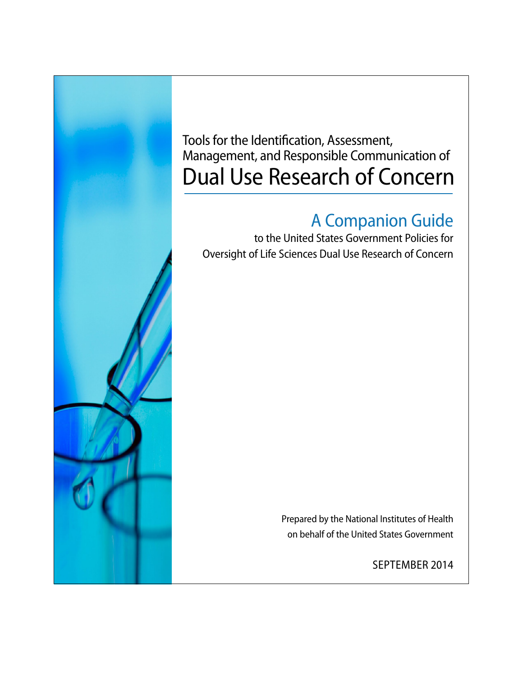

Tools for the Identification, Assessment, Management, and Responsible Communication of Dual Use Research of Concern

# A Companion Guide

to the United States Government Policies for Oversight of Life Sciences Dual Use Research of Concern

> Prepared by the National Institutes of Health on behalf of the United States Government

> > SEPTEMBER 2014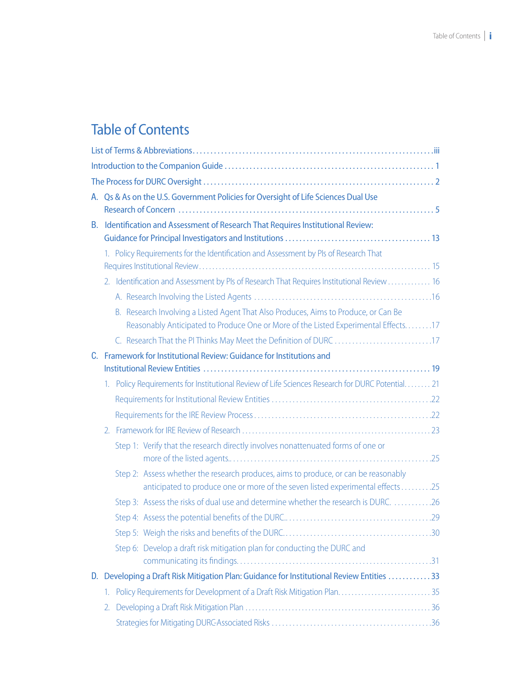# Table of Contents

|    |               | A. Qs & As on the U.S. Government Policies for Oversight of Life Sciences Dual Use                                                                                        |
|----|---------------|---------------------------------------------------------------------------------------------------------------------------------------------------------------------------|
|    |               |                                                                                                                                                                           |
| В. |               | Identification and Assessment of Research That Requires Institutional Review:                                                                                             |
|    |               |                                                                                                                                                                           |
|    |               | 1. Policy Requirements for the Identification and Assessment by PIs of Research That                                                                                      |
|    |               | 2. Identification and Assessment by PIs of Research That Requires Institutional Review  16                                                                                |
|    |               |                                                                                                                                                                           |
|    |               | B. Research Involving a Listed Agent That Also Produces, Aims to Produce, or Can Be<br>Reasonably Anticipated to Produce One or More of the Listed Experimental Effects17 |
|    |               |                                                                                                                                                                           |
| C. |               | Framework for Institutional Review: Guidance for Institutions and                                                                                                         |
|    |               |                                                                                                                                                                           |
|    | 1.            | Policy Requirements for Institutional Review of Life Sciences Research for DURC Potential. 21                                                                             |
|    |               |                                                                                                                                                                           |
|    |               |                                                                                                                                                                           |
|    | $\mathcal{L}$ |                                                                                                                                                                           |
|    |               | Step 1: Verify that the research directly involves nonattenuated forms of one or                                                                                          |
|    |               | Step 2: Assess whether the research produces, aims to produce, or can be reasonably<br>anticipated to produce one or more of the seven listed experimental effects25      |
|    |               | Step 3: Assess the risks of dual use and determine whether the research is DURC. 26                                                                                       |
|    |               |                                                                                                                                                                           |
|    |               |                                                                                                                                                                           |
|    |               | Step 6: Develop a draft risk mitigation plan for conducting the DURC and                                                                                                  |
|    |               | D. Developing a Draft Risk Mitigation Plan: Guidance for Institutional Review Entities 33                                                                                 |
|    | 1.            | Policy Requirements for Development of a Draft Risk Mitigation Plan 35                                                                                                    |
|    | 2.            |                                                                                                                                                                           |
|    |               |                                                                                                                                                                           |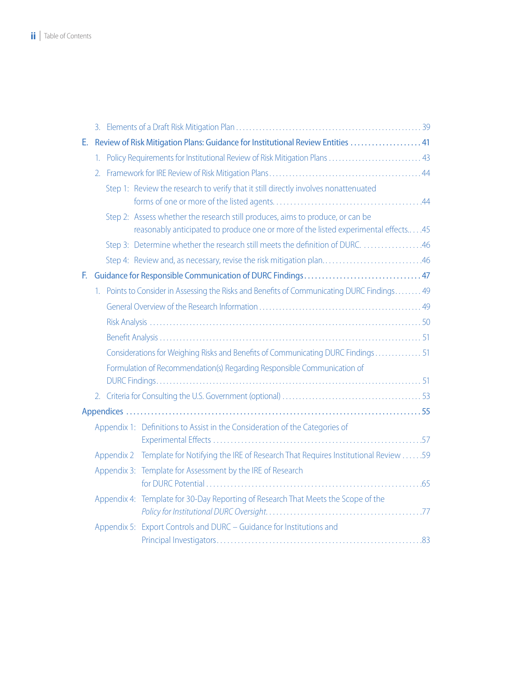| Е. |                  |                                                                                                                                                                      |  |
|----|------------------|----------------------------------------------------------------------------------------------------------------------------------------------------------------------|--|
|    |                  | 1. Policy Requirements for Institutional Review of Risk Mitigation Plans  43                                                                                         |  |
|    | $\overline{2}$ . |                                                                                                                                                                      |  |
|    |                  | Step 1: Review the research to verify that it still directly involves nonattenuated                                                                                  |  |
|    |                  | Step 2: Assess whether the research still produces, aims to produce, or can be<br>reasonably anticipated to produce one or more of the listed experimental effects45 |  |
|    |                  |                                                                                                                                                                      |  |
|    |                  | Step 4: Review and, as necessary, revise the risk mitigation plan46                                                                                                  |  |
| E. |                  |                                                                                                                                                                      |  |
|    |                  | 1. Points to Consider in Assessing the Risks and Benefits of Communicating DURC Findings 49                                                                          |  |
|    |                  |                                                                                                                                                                      |  |
|    |                  |                                                                                                                                                                      |  |
|    |                  |                                                                                                                                                                      |  |
|    |                  | Considerations for Weighing Risks and Benefits of Communicating DURC Findings  51                                                                                    |  |
|    |                  | Formulation of Recommendation(s) Regarding Responsible Communication of                                                                                              |  |
|    |                  |                                                                                                                                                                      |  |
|    |                  |                                                                                                                                                                      |  |
|    |                  | Appendix 1: Definitions to Assist in the Consideration of the Categories of                                                                                          |  |
|    |                  | Appendix 2 Template for Notifying the IRE of Research That Requires Institutional Review 59                                                                          |  |
|    |                  | Appendix 3: Template for Assessment by the IRE of Research                                                                                                           |  |
|    |                  | Appendix 4: Template for 30-Day Reporting of Research That Meets the Scope of the                                                                                    |  |
|    |                  | Appendix 5: Export Controls and DURC - Guidance for Institutions and                                                                                                 |  |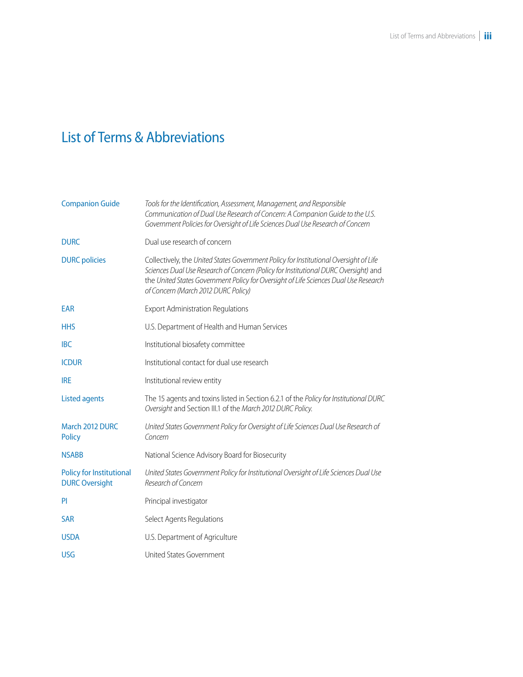# <span id="page-3-0"></span>List of Terms & Abbreviations

| <b>Companion Guide</b>                            | Tools for the Identification, Assessment, Management, and Responsible<br>Communication of Dual Use Research of Concern: A Companion Guide to the U.S.<br>Government Policies for Oversight of Life Sciences Dual Use Research of Concern                                                                    |
|---------------------------------------------------|-------------------------------------------------------------------------------------------------------------------------------------------------------------------------------------------------------------------------------------------------------------------------------------------------------------|
| <b>DURC</b>                                       | Dual use research of concern                                                                                                                                                                                                                                                                                |
| <b>DURC</b> policies                              | Collectively, the United States Government Policy for Institutional Oversight of Life<br>Sciences Dual Use Research of Concern (Policy for Institutional DURC Oversight) and<br>the United States Government Policy for Oversight of Life Sciences Dual Use Research<br>of Concern (March 2012 DURC Policy) |
| <b>EAR</b>                                        | <b>Export Administration Regulations</b>                                                                                                                                                                                                                                                                    |
| <b>HHS</b>                                        | U.S. Department of Health and Human Services                                                                                                                                                                                                                                                                |
| <b>IBC</b>                                        | Institutional biosafety committee                                                                                                                                                                                                                                                                           |
| <b>ICDUR</b>                                      | Institutional contact for dual use research                                                                                                                                                                                                                                                                 |
| <b>IRE</b>                                        | Institutional review entity                                                                                                                                                                                                                                                                                 |
| <b>Listed agents</b>                              | The 15 agents and toxins listed in Section 6.2.1 of the Policy for Institutional DURC<br>Oversight and Section III.1 of the March 2012 DURC Policy.                                                                                                                                                         |
| March 2012 DURC<br><b>Policy</b>                  | United States Government Policy for Oversight of Life Sciences Dual Use Research of<br>Concern                                                                                                                                                                                                              |
| <b>NSABB</b>                                      | National Science Advisory Board for Biosecurity                                                                                                                                                                                                                                                             |
| Policy for Institutional<br><b>DURC Oversight</b> | United States Government Policy for Institutional Oversight of Life Sciences Dual Use<br>Research of Concern                                                                                                                                                                                                |
| PI                                                | Principal investigator                                                                                                                                                                                                                                                                                      |
| <b>SAR</b>                                        | Select Agents Regulations                                                                                                                                                                                                                                                                                   |
| <b>USDA</b>                                       | U.S. Department of Agriculture                                                                                                                                                                                                                                                                              |
| <b>USG</b>                                        | United States Government                                                                                                                                                                                                                                                                                    |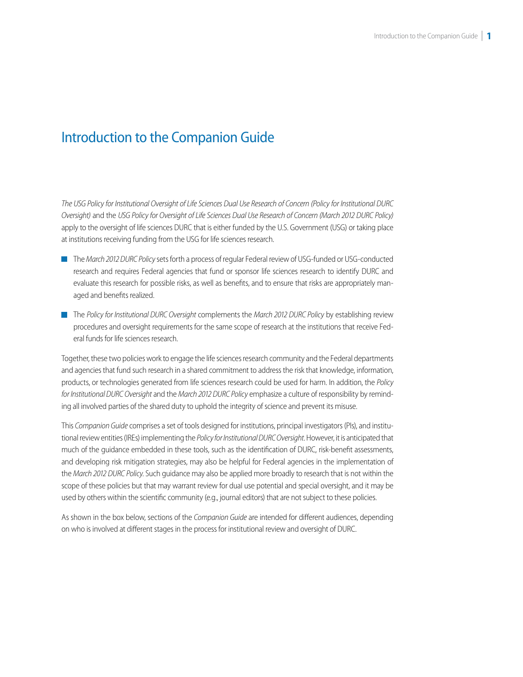# <span id="page-4-0"></span>Introduction to the Companion Guide

*The USG Policy for Institutional Oversight of Life Sciences Dual Use Research of Concern (Policy for Institutional DURC Oversight)* and the *USG Policy for Oversight of Life Sciences Dual Use Research of Concern (March 2012 DURC Policy)*  apply to the oversight of life sciences DURC that is either funded by the U.S. Government (USG) or taking place at institutions receiving funding from the USG for life sciences research.

- The *March 2012 DURC Policy* sets forth a process of regular Federal review of USG-funded or USG-conducted research and requires Federal agencies that fund or sponsor life sciences research to identify DURC and evaluate this research for possible risks, as well as benefits, and to ensure that risks are appropriately managed and benefits realized.
- The *Policy for Institutional DURC Oversight* complements the *March 2012 DURC Policy* by establishing review procedures and oversight requirements for the same scope of research at the institutions that receive Federal funds for life sciences research.

Together, these two policies work to engage the life sciences research community and the Federal departments and agencies that fund such research in a shared commitment to address the risk that knowledge, information, products, or technologies generated from life sciences research could be used for harm. In addition, the *Policy for Institutional DURC Oversight* and the *March 2012 DURC Policy* emphasize a culture of responsibility by reminding all involved parties of the shared duty to uphold the integrity of science and prevent its misuse.

This *Companion Guide* comprises a set of tools designed for institutions, principal investigators (PIs), and institutional review entities (IREs) implementing the *Policy for Institutional DURC Oversight*. However, it is anticipated that much of the guidance embedded in these tools, such as the identification of DURC, risk-benefit assessments, and developing risk mitigation strategies, may also be helpful for Federal agencies in the implementation of the *March 2012 DURC Policy*. Such guidance may also be applied more broadly to research that is not within the scope of these policies but that may warrant review for dual use potential and special oversight, and it may be used by others within the scientific community (e.g., journal editors) that are not subject to these policies.

As shown in the box below, sections of the *Companion Guide* are intended for different audiences, depending on who is involved at different stages in the process for institutional review and oversight of DURC.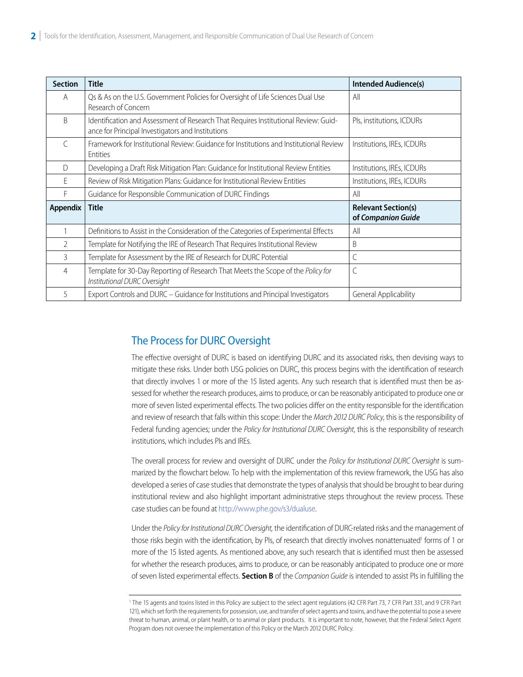<span id="page-5-0"></span>

| <b>Section</b>  | <b>Title</b>                                                                                                                             | <b>Intended Audience(s)</b>                      |
|-----------------|------------------------------------------------------------------------------------------------------------------------------------------|--------------------------------------------------|
| A               | Qs & As on the U.S. Government Policies for Oversight of Life Sciences Dual Use<br>Research of Concern                                   | All                                              |
| B               | Identification and Assessment of Research That Requires Institutional Review: Guid-<br>ance for Principal Investigators and Institutions | Pls, institutions, ICDURs                        |
| $\subset$       | Framework for Institutional Review: Guidance for Institutions and Institutional Review<br>Entities                                       | Institutions, IREs, ICDURs                       |
| D               | Developing a Draft Risk Mitigation Plan: Guidance for Institutional Review Entities                                                      | Institutions, IREs, ICDURs                       |
| F               | Review of Risk Mitigation Plans: Guidance for Institutional Review Entities                                                              | Institutions, IREs, ICDURs                       |
| F               | Guidance for Responsible Communication of DURC Findings                                                                                  | All                                              |
| <b>Appendix</b> | <b>Title</b>                                                                                                                             | <b>Relevant Section(s)</b><br>of Companion Guide |
|                 | Definitions to Assist in the Consideration of the Categories of Experimental Effects                                                     | All                                              |
| $\overline{2}$  | Template for Notifying the IRE of Research That Requires Institutional Review                                                            | B                                                |
| 3               | Template for Assessment by the IRE of Research for DURC Potential                                                                        | $\mathsf{C}$                                     |
| 4               | Template for 30-Day Reporting of Research That Meets the Scope of the Policy for<br>Institutional DURC Oversight                         | $\mathsf{C}$                                     |
| 5               | Export Controls and DURC - Guidance for Institutions and Principal Investigators                                                         | General Applicability                            |

## The Process for DURC Oversight

The effective oversight of DURC is based on identifying DURC and its associated risks, then devising ways to mitigate these risks. Under both USG policies on DURC, this process begins with the identification of research that directly involves 1 or more of the 15 listed agents. Any such research that is identified must then be assessed for whether the research produces, aims to produce, or can be reasonably anticipated to produce one or more of seven listed experimental effects. The two policies differ on the entity responsible for the identification and review of research that falls within this scope: Under the *March 2012 DURC Policy*, this is the responsibility of Federal funding agencies; under the *Policy for Institutional DURC Oversight*, this is the responsibility of research institutions, which includes PIs and IREs.

The overall process for review and oversight of DURC under the *Policy for Institutional DURC Oversight* is summarized by the flowchart below. To help with the implementation of this review framework, the USG has also developed a series of case studies that demonstrate the types of analysis that should be brought to bear during institutional review and also highlight important administrative steps throughout the review process. These case studies can be found at<http://www.phe.gov/s3/dualuse>.

Under the *Policy for Institutional DURC Oversight,* the identification of DURC-related risks and the management of those risks begin with the identification, by Pls, of research that directly involves nonattenuated<sup>1</sup> forms of 1 or more of the 15 listed agents. As mentioned above, any such research that is identified must then be assessed for whether the research produces, aims to produce, or can be reasonably anticipated to produce one or more of seven listed experimental effects. **Section B** of the *Companion Guide* is intended to assist PIs in fulfilling the

<sup>1</sup> The 15 agents and toxins listed in this Policy are subject to the select agent regulations (42 CFR Part 73, 7 CFR Part 331, and 9 CFR Part 121), which set forth the requirements for possession, use, and transfer of select agents and toxins, and have the potential to pose a severe threat to human, animal, or plant health, or to animal or plant products. It is important to note, however, that the Federal Select Agent Program does not oversee the implementation of this Policy or the March 2012 DURC Policy.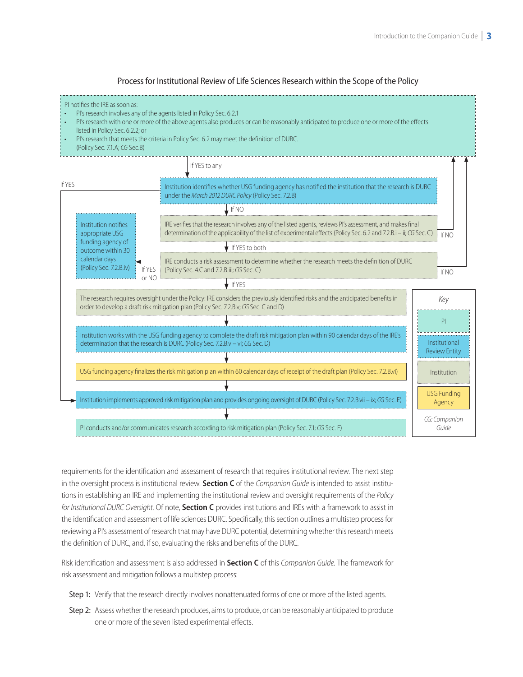

Process for Institutional Review of Life Sciences Research within the Scope of the Policy

requirements for the identification and assessment of research that requires institutional review. The next step in the oversight process is institutional review. **Section C** of the *Companion Guide* is intended to assist institutions in establishing an IRE and implementing the institutional review and oversight requirements of the *Policy for Institutional DURC Oversight*. Of note, **Section C** provides institutions and IREs with a framework to assist in the identification and assessment of life sciences DURC. Specifically, this section outlines a multistep process for reviewing a PI's assessment of research that may have DURC potential, determining whether this research meets the definition of DURC, and, if so, evaluating the risks and benefits of the DURC.

Risk identification and assessment is also addressed in **Section C** of this *Companion Guide*. The framework for risk assessment and mitigation follows a multistep process:

- Step 1: Verify that the research directly involves nonattenuated forms of one or more of the listed agents.
- Step 2: Assess whether the research produces, aims to produce, or can be reasonably anticipated to produce one or more of the seven listed experimental effects.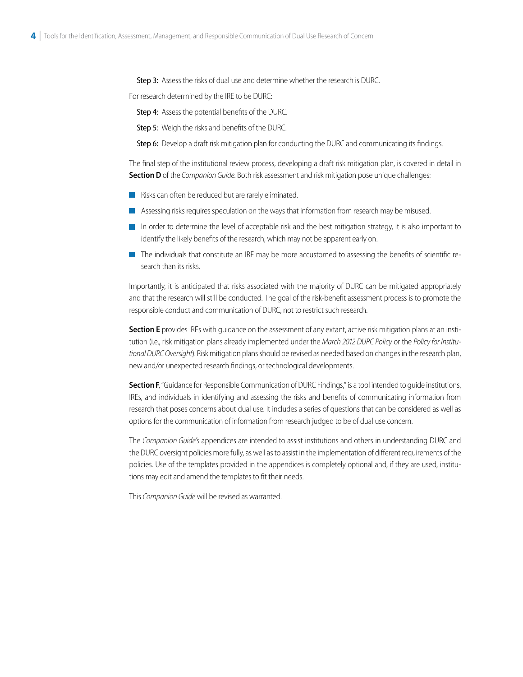Step 3: Assess the risks of dual use and determine whether the research is DURC.<br>For research determined by the IRE to be DURC:

Step 4: Assess the potential benefits of the DURC.

Step 5: Weigh the risks and benefits of the DURC.

Step 6: Develop a draft risk mitigation plan for conducting the DURC and communicating its findings.

The final step of the institutional review process, developing a draft risk mitigation plan, is covered in detail in **Section D** of the *Companion Guide*. Both risk assessment and risk mitigation pose unique challenges:

- Risks can often be reduced but are rarely eliminated.
- Assessing risks requires speculation on the ways that information from research may be misused.
- In order to determine the level of acceptable risk and the best mitigation strategy, it is also important to identify the likely benefits of the research, which may not be apparent early on.
- The individuals that constitute an IRE may be more accustomed to assessing the benefits of scientific research than its risks.

Importantly, it is anticipated that risks associated with the majority of DURC can be mitigated appropriately and that the research will still be conducted. The goal of the risk-benefit assessment process is to promote the responsible conduct and communication of DURC, not to restrict such research.

**Section E** provides IREs with guidance on the assessment of any extant, active risk mitigation plans at an institution (i.e., risk mitigation plans already implemented under the *March 2012 DURC Policy* or the *Policy for Institutional DURC Oversight*). Risk mitigation plans should be revised as needed based on changes in the research plan, new and/or unexpected research findings, or technological developments.

**Section F**, "Guidance for Responsible Communication of DURC Findings," is a tool intended to quide institutions, IREs, and individuals in identifying and assessing the risks and benefits of communicating information from research that poses concerns about dual use. It includes a series of questions that can be considered as well as options for the communication of information from research judged to be of dual use concern.

The *Companion Guide's* appendices are intended to assist institutions and others in understanding DURC and the DURC oversight policies more fully, as well as to assist in the implementation of different requirements of the policies. Use of the templates provided in the appendices is completely optional and, if they are used, institutions may edit and amend the templates to fit their needs.

This *Companion Guide* will be revised as warranted.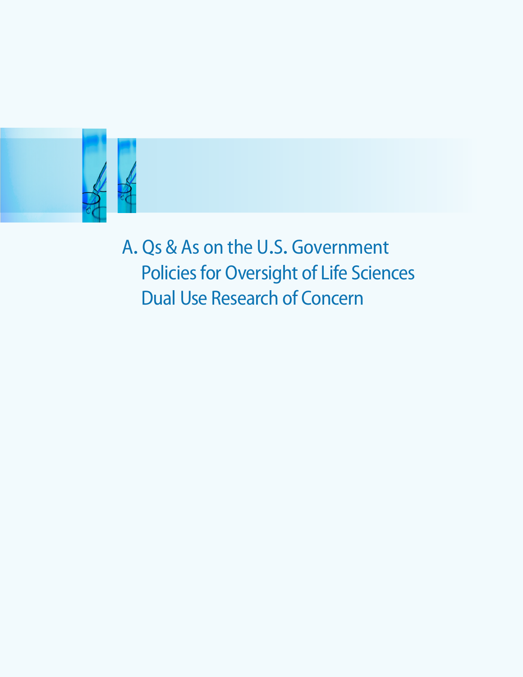<span id="page-8-0"></span>

A**.** Qs & As on the U**.**S**.** Government Policies for Oversight of Life Sciences Dual Use Research of Concern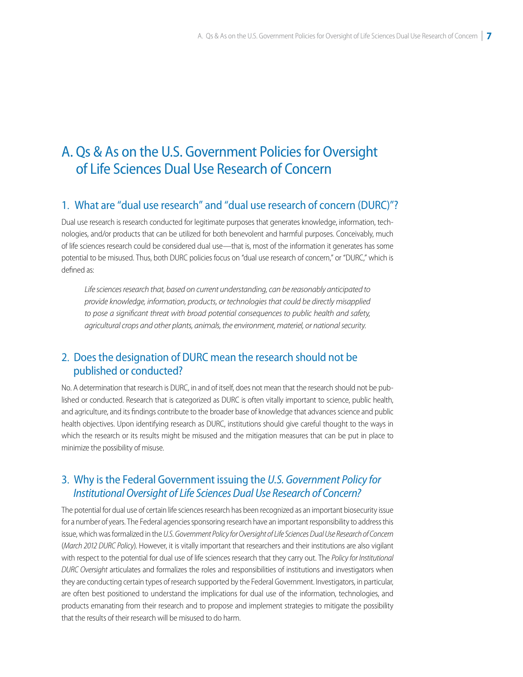# A. Qs & As on the U.S. Government Policies for Oversight of Life Sciences Dual Use Research of Concern

## 1. What are "dual use research" and "dual use research of concern (DURC)"?

Dual use research is research conducted for legitimate purposes that generates knowledge, information, technologies, and/or products that can be utilized for both benevolent and harmful purposes. Conceivably, much of life sciences research could be considered dual use—that is, most of the information it generates has some potential to be misused. Thus, both DURC policies focus on "dual use research of concern," or "DURC," which is defined as:

*Life sciences research that, based on current understanding, can be reasonably anticipated to provide knowledge, information, products, or technologies that could be directly misapplied to pose a significant threat with broad potential consequences to public health and safety, agricultural crops and other plants, animals, the environment, materiel, or national security.* 

## 2. Does the designation of DURC mean the research should not be published or conducted?

No. A determination that research is DURC, in and of itself, does not mean that the research should not be published or conducted. Research that is categorized as DURC is often vitally important to science, public health, and agriculture, and its findings contribute to the broader base of knowledge that advances science and public health objectives. Upon identifying research as DURC, institutions should give careful thought to the ways in which the research or its results might be misused and the mitigation measures that can be put in place to minimize the possibility of misuse.

## 3. Why is the Federal Government issuing the *U.S. Government Policy for Institutional Oversight of Life Sciences Dual Use Research of Concern?*

The potential for dual use of certain life sciences research has been recognized as an important biosecurity issue for a number of years. The Federal agencies sponsoring research have an important responsibility to address this issue, which was formalized in the *U.S. Government Policy for Oversight of Life Sciences Dual Use Research of Concern* (*March 2012 DURC Policy*). However, it is vitally important that researchers and their institutions are also vigilant with respect to the potential for dual use of life sciences research that they carry out. The *Policy for Institutional DURC Oversight* articulates and formalizes the roles and responsibilities of institutions and investigators when they are conducting certain types of research supported by the Federal Government. Investigators, in particular, are often best positioned to understand the implications for dual use of the information, technologies, and products emanating from their research and to propose and implement strategies to mitigate the possibility that the results of their research will be misused to do harm.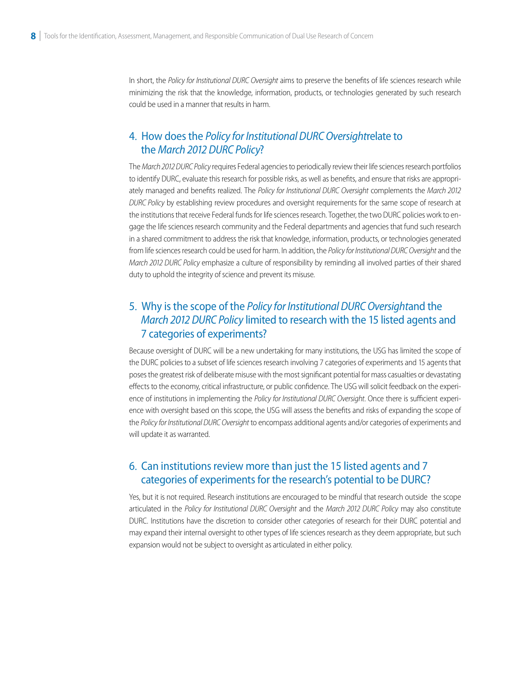In short, the *Policy for Institutional DURC Oversight* aims to preserve the benefits of life sciences research while minimizing the risk that the knowledge, information, products, or technologies generated by such research could be used in a manner that results in harm.

## 4. How does the *Policy for Institutional DURC Oversightrelate to* the *March 2012 DURC Policy*?

 The *March 2012 DURC Policy* requires Federal agencies to periodically review their life sciences research portfolios to identify DURC, evaluate this research for possible risks, as well as benefits, and ensure that risks are appropriately managed and benefits realized. The *Policy for Institutional DURC Oversight* complements the *March 2012 DURC Policy* by establishing review procedures and oversight requirements for the same scope of research at the institutions that receive Federal funds for life sciences research. Together, the two DURC policies work to engage the life sciences research community and the Federal departments and agencies that fund such research in a shared commitment to address the risk that knowledge, information, products, or technologies generated from life sciences research could be used for harm. In addition, the *Policy for Institutional DURC Oversight* and the *March 2012 DURC Policy* emphasize a culture of responsibility by reminding all involved parties of their shared duty to uphold the integrity of science and prevent its misuse.

## 5. Why is the scope of the *Policy for Institutional DURC Oversight* and the *March 2012 DURC Policy* limited to research with the 15 listed agents and 7 categories of experiments?

Because oversight of DURC will be a new undertaking for many institutions, the USG has limited the scope of the DURC policies to a subset of life sciences research involving 7 categories of experiments and 15 agents that poses the greatest risk of deliberate misuse with the most significant potential for mass casualties or devastating effects to the economy, critical infrastructure, or public confidence. The USG will solicit feedback on the experience of institutions in implementing the *Policy for Institutional DURC Oversight*. Once there is sufficient experience with oversight based on this scope, the USG will assess the benefits and risks of expanding the scope of the *Policy for Institutional DURC Oversight* to encompass additional agents and/or categories of experiments and will update it as warranted.

## 6. Can institutions review more than just the 15 listed agents and 7 categories of experiments for the research's potential to be DURC?

Yes, but it is not required. Research institutions are encouraged to be mindful that research outside the scope articulated in the *Policy for Institutional DURC Oversight* and the *March 2012 DURC Policy* may also constitute DURC. Institutions have the discretion to consider other categories of research for their DURC potential and may expand their internal oversight to other types of life sciences research as they deem appropriate, but such expansion would not be subject to oversight as articulated in either policy.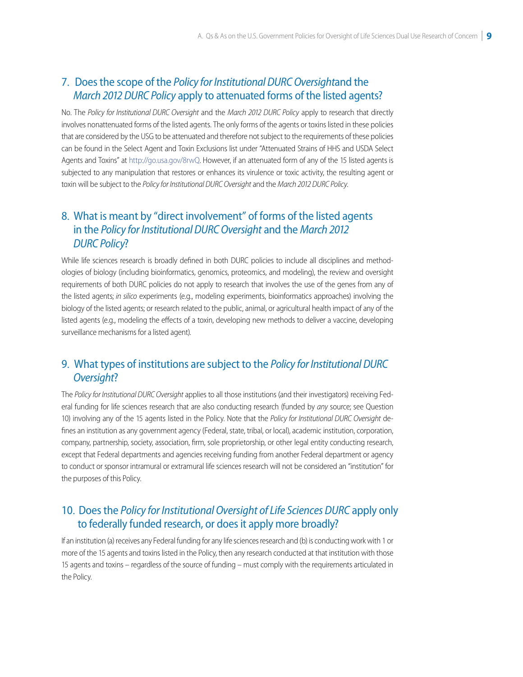## 7. Does the scope of the *Policy for Institutional DURC Oversight* and the *March 2012 DURC Policy* apply to attenuated forms of the listed agents?

No. The *Policy for Institutional DURC Oversight* and the *March 2012 DURC Policy* apply to research that directly involves nonattenuated forms of the listed agents. The only forms of the agents or toxins listed in these policies that are considered by the USG to be attenuated and therefore not subject to the requirements of these policies can be found in the Select Agent and Toxin Exclusions list under "Attenuated Strains of HHS and USDA Select Agents and Toxins" at [http://go.usa.gov/8rwQ.](http://www.selectagents.gov/Select%20Agents%20and%20Toxins%20Exclusions.html) However, if an attenuated form of any of the 15 listed agents is subjected to any manipulation that restores or enhances its virulence or toxic activity, the resulting agent or toxin will be subject to the *Policy for Institutional DURC Oversight* and the *March 2012 DURC Policy*.

## 8. What is meant by "direct involvement" of forms of the listed agents in the *Policy for Institutional DURC Oversight* and the *March 2012 DURC Policy*?

While life sciences research is broadly defined in both DURC policies to include all disciplines and methodologies of biology (including bioinformatics, genomics, proteomics, and modeling), the review and oversight requirements of both DURC policies do not apply to research that involves the use of the genes from any of the listed agents; *in silico* experiments (e.g., modeling experiments, bioinformatics approaches) involving the biology of the listed agents; or research related to the public, animal, or agricultural health impact of any of the listed agents (e.g., modeling the effects of a toxin, developing new methods to deliver a vaccine, developing surveillance mechanisms for a listed agent).

## 9. What types of institutions are subject to the *Policy for Institutional DURC Oversight*?

The *Policy for Institutional DURC Oversight* applies to all those institutions (and their investigators) receiving Federal funding for life sciences research that are also conducting research (funded by *any* source; see Question 10) involving any of the 15 agents listed in the Policy. Note that the *Policy for Institutional DURC Oversight* defines an institution as any government agency (Federal, state, tribal, or local), academic institution, corporation, company, partnership, society, association, firm, sole proprietorship, or other legal entity conducting research, except that Federal departments and agencies receiving funding from another Federal department or agency to conduct or sponsor intramural or extramural life sciences research will not be considered an "institution" for the purposes of this Policy.

## 10. Does the *Policy for Institutional Oversight of Life Sciences DURC* apply only to federally funded research, or does it apply more broadly?

If an institution (a) receives any Federal funding for any life sciences research and (b) is conducting work with 1 or more of the 15 agents and toxins listed in the Policy, then any research conducted at that institution with those 15 agents and toxins – regardless of the source of funding – must comply with the requirements articulated in the Policy.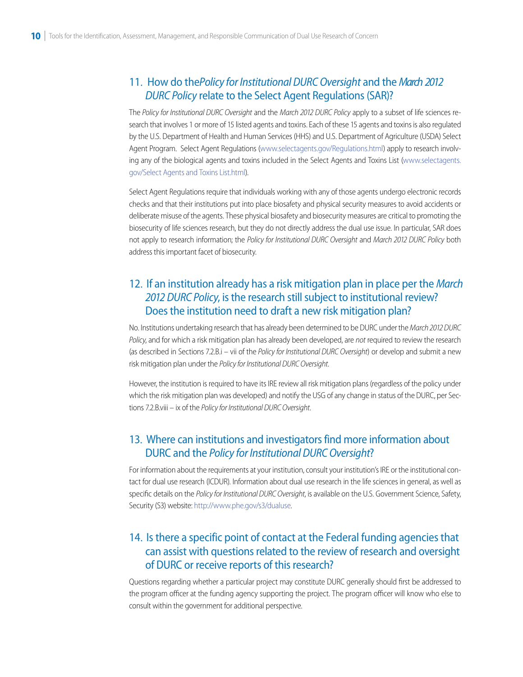#### $\ddot{\phantom{0}}$ 11. How do the *Policy for Institutional DURC Oversight* and the *March 2012 DURC Policy* relate to the Select Agent Regulations (SAR)?

The *Policy for Institutional DURC Oversight* and the *March 2012 DURC Policy* apply to a subset of life sciences research that involves 1 or more of 15 listed agents and toxins. Each of these 15 agents and toxins is also regulated by the U.S. Department of Health and Human Services (HHS) and U.S. Department of Agriculture (USDA) Select Agent Program. Select Agent Regulations [\(www.selectagents.gov/Regulations.html\)](http://www.selectagents.gov/Regulations.html) apply to research involv[ing any of the biological agents and toxins included in the Select Agents and Toxins List \(www.selectagents.](http://www.selectagents.gov/SelectAgentsandToxinsList.html) gov/Select Agents and Toxins List.html).

Select Agent Regulations require that individuals working with any of those agents undergo electronic records checks and that their institutions put into place biosafety and physical security measures to avoid accidents or deliberate misuse of the agents. These physical biosafety and biosecurity measures are critical to promoting the biosecurity of life sciences research, but they do not directly address the dual use issue. In particular, SAR does not apply to research information; the *Policy for Institutional DURC Oversight* and *March 2012 DURC Policy* both address this important facet of biosecurity.

# 12. If an institution already has a risk mitigation plan in place per the *March 2012 DURC Policy*, is the research still subject to institutional review? Does the institution need to draft a new risk mitigation plan?

No. Institutions undertaking research that has already been determined to be DURC under the *March 2012 DURC Policy*, and for which a risk mitigation plan has already been developed, are *not* required to review the research (as described in Sections 7.2.B.i – vii of the *Policy for Institutional DURC Oversight*) or develop and submit a new risk mitigation plan under the *Policy for Institutional DURC Oversight*.

However, the institution is required to have its IRE review all risk mitigation plans (regardless of the policy under which the risk mitigation plan was developed) and notify the USG of any change in status of the DURC, per Sections 7.2.B.viii – ix of the *Policy for Institutional DURC Oversight*.

## 13. Where can institutions and investigators find more information about DURC and the *Policy for Institutional DURC Oversight*?

For information about the requirements at your institution, consult your institution's IRE or the institutional contact for dual use research (ICDUR). Information about dual use research in the life sciences in general, as well as specific details on the *Policy for Institutional DURC Oversight*, is available on the U.S. Government Science, Safety, Security (S3) website:<http://www.phe.gov/s3/dualuse>.

## 14. Is there a specific point of contact at the Federal funding agencies that can assist with questions related to the review of research and oversight of DURC or receive reports of this research?

Questions regarding whether a particular project may constitute DURC generally should first be addressed to the program officer at the funding agency supporting the project. The program officer will know who else to consult within the government for additional perspective.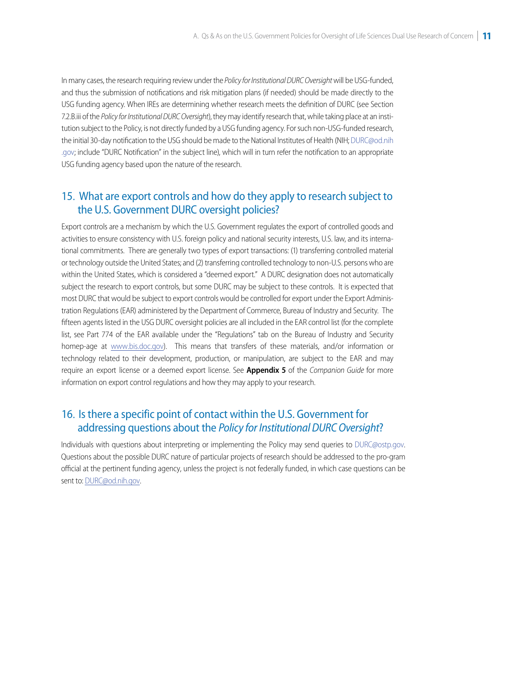In many cases, the research requiring review under the *Policy for Institutional DURC Oversight* will be USG-funded, and thus the submission of notifications and risk mitigation plans (if needed) should be made directly to the USG funding agency. When IREs are determining whether research meets the definition of DURC (see Section 7.2.B.iii of the *Policy for Institutional DURC Oversight*), they may identify research that, while taking place at an institution subject to the Policy, is not directly funded by a USG funding agency. For such non-USG-funded research, the initial 30-day notification to the USG should be made to the National Institutes of Health (NIH; DURC@od.nih [.gov; include "DURC Notification" in the subject line\), which will in turn refer the notification to an appropriate](mailto:DURC@od.nih.gov)  USG funding agency based upon the nature of the research.

## 15. What are export controls and how do they apply to research subject to the U.S. Government DURC oversight policies?

Export controls are a mechanism by which the U.S. Government regulates the export of controlled goods and activities to ensure consistency with U.S. foreign policy and national security interests, U.S. law, and its international commitments. There are generally two types of export transactions: (1) transferring controlled material or technology outside the United States; and (2) transferring controlled technology to non-U.S. persons who are within the United States, which is considered a "deemed export." A DURC designation does not automatically subject the research to export controls, but some DURC may be subject to these controls. It is expected that most DURC that would be subject to export controls would be controlled for export under the Export Administration Regulations (EAR) administered by the Department of Commerce, Bureau of Industry and Security. The fifteen agents listed in the USG DURC oversight policies are all included in the EAR control list (for the complete list, see Part 774 of the EAR available under the "Regulations" tab on the Bureau of Industry and Security homep-age at www.bis.doc.gov). This means that transfers of these materials, and/or information or technology related to their development, production, or manipulation, are subject to the EAR and may require an export license or a deemed export license. See **Appendix 5** of the *Companion Guide* for more information on export control regulations and how they may apply to your research.

## 16. Is there a specific point of contact within the U.S. Government for addressing questions about the *Policy for Institutional DURC Oversight*?

Individuals with questions about interpreting or implementing the Policy may send querie[s to DURC@ostp.](mailto:DURC@ostp.gov)gov. Questions about the possible DURC nature of particular projects of research should be addressed to the pro-gram official at the pertinent funding agency, unless the project is not federally funded, in which case questions can be sent to: DURC[@od.nih.gov.](mailto:DURC@od.nih.gov)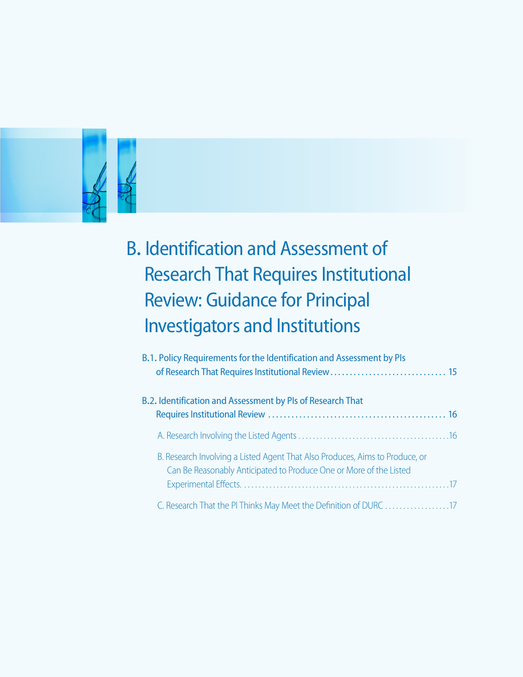<span id="page-14-0"></span>

# B**.** Identification and Assessment of Research That Requires Institutional Review: Guidance for Principal Investigators and Institutions

| B.1. Policy Requirements for the Identification and Assessment by PIs                                                                              |  |
|----------------------------------------------------------------------------------------------------------------------------------------------------|--|
| B.2. Identification and Assessment by PIs of Research That                                                                                         |  |
|                                                                                                                                                    |  |
| B. Research Involving a Listed Agent That Also Produces, Aims to Produce, or<br>Can Be Reasonably Anticipated to Produce One or More of the Listed |  |
|                                                                                                                                                    |  |
| C. Research That the PI Thinks May Meet the Definition of DURC 17                                                                                  |  |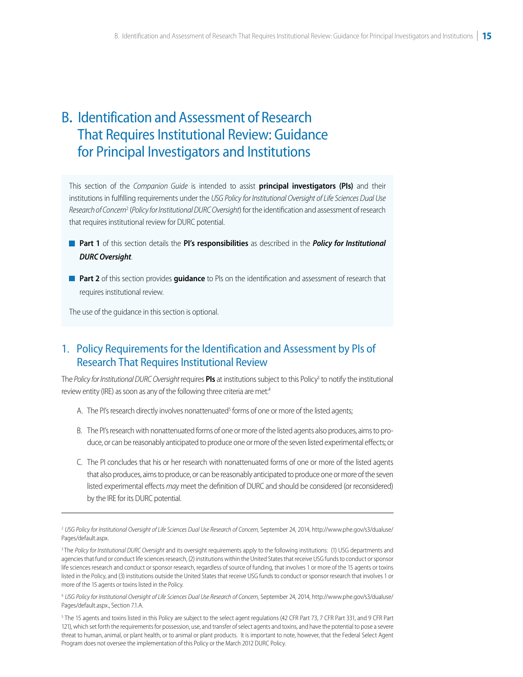# <span id="page-15-0"></span>B**.** Identification and Assessment of Research That Requires Institutional Review: Guidance for Principal Investigators and Institutions

This section of the *Companion Guide* is intended to assist **principal investigators (PIs)** and their institutions in fulfilling requirements under the *USG Policy for Institutional Oversight of Life Sciences Dual Use Research of Concern*<sup>2</sup> (*Policy for Institutional DURC Oversight*) for the identification and assessment of research that requires institutional review for DURC potential.

- **Part 1** of this section details the **PI's responsibilities** as described in the *Policy for Institutional DURC Oversight*.
- **Part 2** of this section provides **quidance** to PIs on the identification and assessment of research that requires institutional review.

The use of the guidance in this section is optional.

## 1. Policy Requirements for the Identification and Assessment by PIs of Research That Requires Institutional Review

The *Policy for Institutional DURC Oversight r*equires **PIs** at institutions subject to this Policy<sup>3</sup> to notify the institutional review entity (IRE) as soon as any of the following three criteria are met.<sup>4</sup>

- A. The PI's research directly involves nonattenuated<sup>5</sup> forms of one or more of the listed agents;
- B. The PI's research with nonattenuated forms of one or more of the listed agents also produces, aims to produce, or can be reasonably anticipated to produce one or more of the seven listed experimental effects; or
- C. The PI concludes that his or her research with nonattenuated forms of one or more of the listed agents that also produces, aims to produce, or can be reasonably anticipated to produce one or more of the seven listed experimental effects *may* meet the definition of DURC and should be considered (or reconsidered) by the IRE for its DURC potential.

<sup>2</sup>*[USG Policy for Institutional Oversight of Life Sciences Dual Use Research of Concern](http://www.phe.gov/s3/dualuse/Pages/default.aspx)*, September 24, 2014, http://www.phe.gov/s3/dualuse/ Pages/default.aspx.

<sup>&</sup>lt;sup>3</sup>The *Policy for Institutional DURC Oversight* and its oversight requirements apply to the following institutions: (1) USG departments and agencies that fund or conduct life sciences research, (2) institutions within the United States that receive USG funds to conduct or sponsor life sciences research and conduct or sponsor research, regardless of source of funding, that involves 1 or more of the 15 agents or toxins listed in the Policy, and (3) institutions outside the United States that receive USG funds to conduct or sponsor research that involves 1 or more of the 15 agents or toxins listed in the Policy.

<sup>4</sup>*[USG Policy for Institutional Oversight of Life Sciences Dual Use Research of Concern](http://www.phe.gov/s3/dualuse/Pages/default.aspx)*, September 24, 2014, http://www.phe.gov/s3/dualuse/ Pages/default.aspx., Section 7.1.A.

<sup>5</sup> The 15 agents and toxins listed in this Policy are subject to the select agent regulations (42 CFR Part 73, 7 CFR Part 331, and 9 CFR Part 121), which set forth the requirements for possession, use, and transfer of select agents and toxins, and have the potential to pose a severe threat to human, animal, or plant health, or to animal or plant products. It is important to note, however, that the Federal Select Agent Program does not oversee the implementation of this Policy or the March 2012 DURC Policy.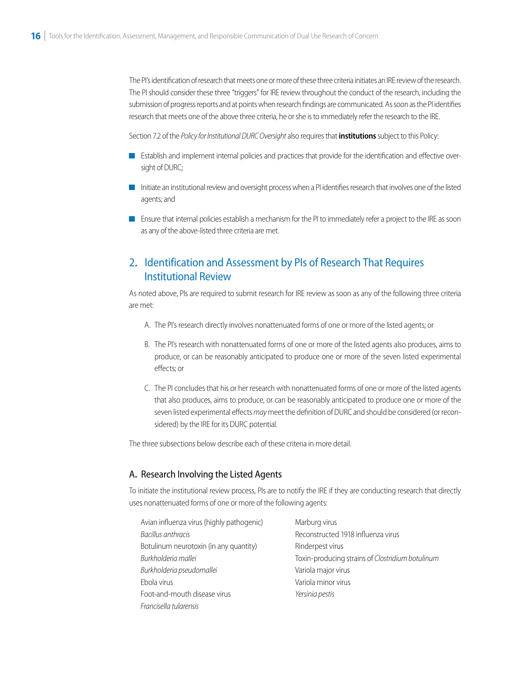<span id="page-16-0"></span>The PI's identification of research that meets one or more of these three criteria initiates an IRE review of the research. The PI should consider these three "triggers" for IRE review throughout the conduct of the research, including the submission of progress reports and at points when research findings are communicated. As soon as the PI identifies research that meets one of the above three criteria, he or she is to immediately refer the research to the IRE.

Section 7.2 of the *Policy for Institutional DURC Oversight* also requires that **institutions** subject to this Policy:

- Establish and implement internal policies and practices that provide for the identification and effective oversight of DURC;
- **Initiate an institutional review and oversight process when a PI identifies research that involves one of the listed** agents; and
- **E** Ensure that internal policies establish a mechanism for the PI to immediately refer a project to the IRE as soon as any of the above-listed three criteria are met.

## 2**.** Identification and Assessment by PIs of Research That Requires Institutional Review

As noted above, PIs are required to submit research for IRE review as soon as any of the following three criteria are met:

- A. The PI's research directly involves nonattenuated forms of one or more of the listed agents; or
- B. The PI's research with nonattenuated forms of one or more of the listed agents also produces, aims to produce, or can be reasonably anticipated to produce one or more of the seven listed experimental effects; or
- C. The PI concludes that his or her research with nonattenuated forms of one or more of the listed agents that also produces, aims to produce, or can be reasonably anticipated to produce one or more of the seven listed experimental effects *may* meet the definition of DURC and should be considered (or reconsidered) by the IRE for its DURC potential.

The three subsections below describe each of these criteria in more detail.

#### A**.** Research Involving the Listed Agents

To initiate the institutional review process, PIs are to notify the IRE if they are conducting research that directly uses nonattenuated forms of one or more of the following agents:

| Avian influenza virus (highly pathogenic) | Marburg virus                                    |
|-------------------------------------------|--------------------------------------------------|
| Bacillus anthracis                        | Reconstructed 1918 influenza virus               |
| Botulinum neurotoxin (in any quantity)    | Rinderpest virus                                 |
| Burkholderia mallei                       | Toxin-producing strains of Clostridium botulinum |
| Burkholderia pseudomallei                 | Variola major virus                              |
| Ebola virus                               | Variola minor virus                              |
| Foot-and-mouth disease virus              | Yersinia pestis                                  |
| Francisella tularensis                    |                                                  |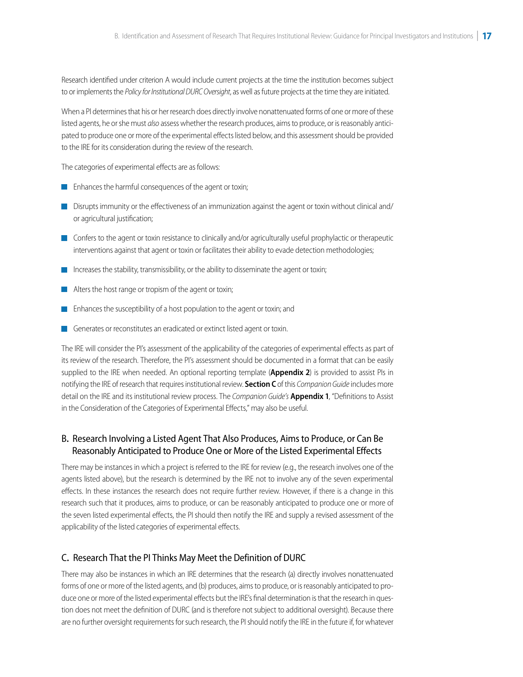<span id="page-17-0"></span>Research identified under criterion A would include current projects at the time the institution becomes subject to or implements the *Policy for Institutional DURC Oversight*, as well as future projects at the time they are initiated.

When a PI determines that his or her research does directly involve nonattenuated forms of one or more of these listed agents, he or she must *also* assess whether the research produces, aims to produce, or is reasonably anticipated to produce one or more of the experimental effects listed below, and this assessment should be provided to the IRE for its consideration during the review of the research.

The categories of experimental effects are as follows:

- **Enhances the harmful consequences of the agent or toxin;**
- Disrupts immunity or the effectiveness of an immunization against the agent or toxin without clinical and/ or agricultural justification;
- Confers to the agent or toxin resistance to clinically and/or agriculturally useful prophylactic or therapeutic interventions against that agent or toxin or facilitates their ability to evade detection methodologies;
- Increases the stability, transmissibility, or the ability to disseminate the agent or toxin;
- Alters the host range or tropism of the agent or toxin;
- Enhances the susceptibility of a host population to the agent or toxin; and
- Generates or reconstitutes an eradicated or extinct listed agent or toxin.

The IRE will consider the PI's assessment of the applicability of the categories of experimental effects as part of its review of the research. Therefore, the PI's assessment should be documented in a format that can be easily supplied to the IRE when needed. An optional reporting template (**Appendix 2**) is provided to assist PIs in notifying the IRE of research that requires institutional review. **Section C** of this *Companion Guide* includes more detail on the IRE and its institutional review process. The *Companion Guide's* **Appendix 1**, "Definitions to Assist in the Consideration of the Categories of Experimental Effects," may also be useful.

### B**.** Research Involving a Listed Agent That Also Produces, Aims to Produce, or Can Be Reasonably Anticipated to Produce One or More of the Listed Experimental Effects

There may be instances in which a project is referred to the IRE for review (e.g., the research involves one of the agents listed above), but the research is determined by the IRE not to involve any of the seven experimental effects. In these instances the research does not require further review. However, if there is a change in this research such that it produces, aims to produce, or can be reasonably anticipated to produce one or more of the seven listed experimental effects, the PI should then notify the IRE and supply a revised assessment of the applicability of the listed categories of experimental effects.

#### l, C**.** Research That the PI Thinks May Meet the Definition of DURC

There may also be instances in which an IRE determines that the research (a) directly involves nonattenuated forms of one or more of the listed agents, and (b) produces, aims to produce, or is reasonably anticipated to produce one or more of the listed experimental effects but the IRE's final determination is that the research in question does not meet the definition of DURC (and is therefore not subject to additional oversight). Because there are no further oversight requirements for such research, the PI should notify the IRE in the future if, for whatever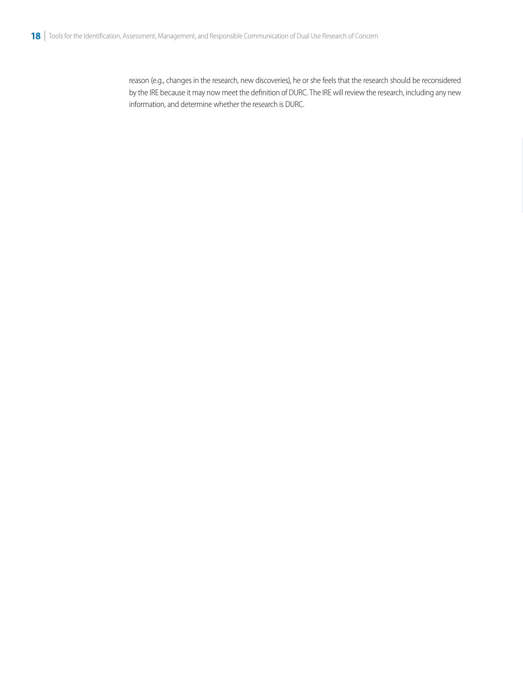reason (e.g., changes in the research, new discoveries), he or she feels that the research should be reconsidered by the IRE because it may now meet the definition of DURC. The IRE will review the research, including any new information, and determine whether the research is DURC.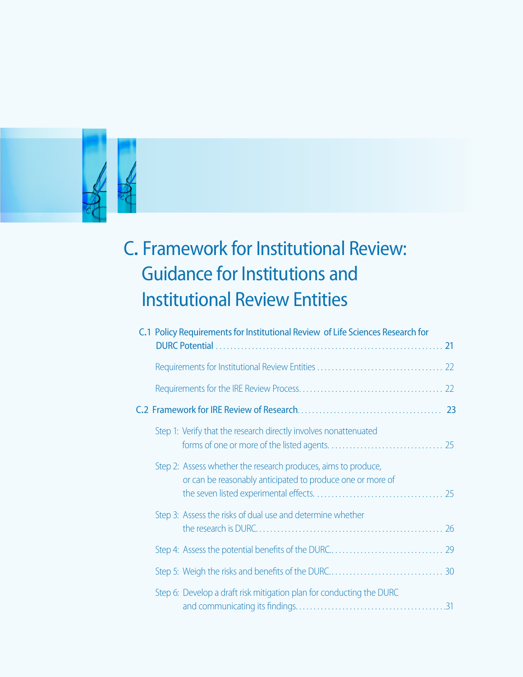<span id="page-19-0"></span>

# C**.** Framework for Institutional Review: Guidance for Institutions and Institutional Review Entities

| C.1 Policy Requirements for Institutional Review of Life Sciences Research for                                               |  |
|------------------------------------------------------------------------------------------------------------------------------|--|
|                                                                                                                              |  |
|                                                                                                                              |  |
|                                                                                                                              |  |
|                                                                                                                              |  |
| Step 1: Verify that the research directly involves nonattenuated                                                             |  |
| Step 2: Assess whether the research produces, aims to produce,<br>or can be reasonably anticipated to produce one or more of |  |
| Step 3: Assess the risks of dual use and determine whether                                                                   |  |
|                                                                                                                              |  |
|                                                                                                                              |  |
| Step 6: Develop a draft risk mitigation plan for conducting the DURC                                                         |  |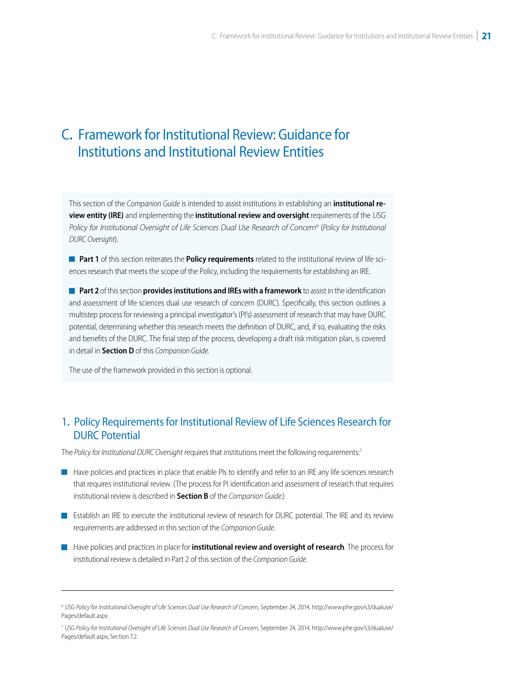## <span id="page-20-0"></span>C**.** Framework for Institutional Review: Guidance for Institutions and Institutional Review Entities

This section of the *Companion Guide* is intended to assist institutions in establishing an **institutional review entity (IRE)** and implementing the **institutional review and oversight** requirements of the *USG Policy for Institutional Oversight of Life Sciences Dual Use Research of Concern*<sup>6</sup> (*Policy for Institutional DURC Oversight*).

**Part 1** of this section reiterates the **Policy requirements** related to the institutional review of life sciences research that meets the scope of the Policy, including the requirements for establishing an IRE.

**Part 2** of this section **provides institutions and IREs with a framework** to assist in the identification and assessment of life sciences dual use research of concern (DURC). Specifically, this section outlines a multistep process for reviewing a principal investigator's (PI's) assessment of research that may have DURC potential, determining whether this research meets the definition of DURC, and, if so, evaluating the risks and benefits of the DURC. The final step of the process, developing a draft risk mitigation plan, is covered in detail in **Section D** of this *Companion Guide*.

The use of the framework provided in this section is optional.

#### j 1**.** Policy Requirements for Institutional Review of Life Sciences Research for DURC Potential

The *Policy for Institutional DURC Oversight* requires that institutions meet the following requirements.<sup>7</sup>

- Have policies and practices in place that enable PIs to identify and refer to an IRE any life sciences research that requires institutional review. (The process for PI identification and assessment of research that requires institutional review is described in **Section B** of the *Companion Guide*.)
- Establish an IRE to execute the institutional review of research for DURC potential. The IRE and its review requirements are addressed in this section of the *Companion Guide*.
- **H** Have policies and practices in place for **institutional review and oversight of research**. The process for institutional review is detailed in Part 2 of this section of the *Companion Guide*.

<sup>7</sup>*[USG Policy for Institutional Oversight of Life Sciences Dual Use Research of Concern,](http://www.phe.gov/s3/dualuse/Pages/default.aspx)* September 24, 2014, http://www.phe.gov/s3/dualuse/ Pages/default.aspx, Section 7.2.

<sup>&</sup>lt;sup>6</sup> [USG Policy for Institutional Oversight of Life Sciences Dual Use Research of Concern,](http://www.phe.gov/s3/dualuse/Pages/default.aspx) September 24, 2014, http://www.phe.gov/s3/dualuse/ Pages/default.aspx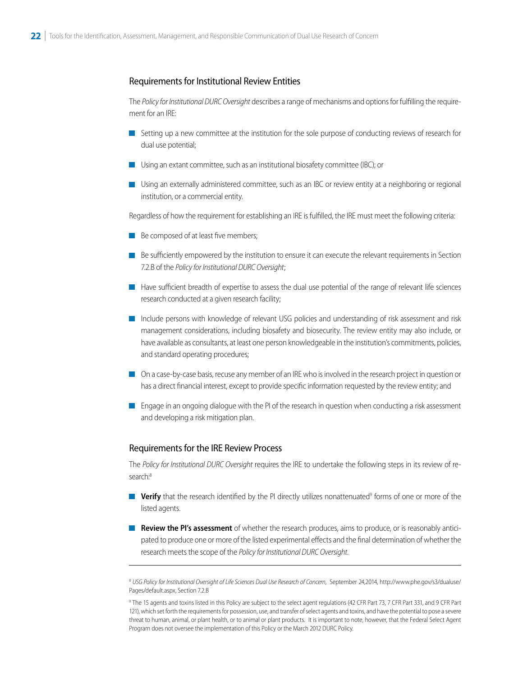#### <span id="page-21-0"></span>Requirements for Institutional Review Entities

The *Policy for Institutional DURC Oversight* describes a range of mechanisms and options for fulfilling the requirement for an IRE:

- Setting up a new committee at the institution for the sole purpose of conducting reviews of research for dual use potential;
- Using an extant committee, such as an institutional biosafety committee (IBC); or
- Using an externally administered committee, such as an IBC or review entity at a neighboring or regional institution, or a commercial entity.

Regardless of how the requirement for establishing an IRE is fulfilled, the IRE must meet the following criteria:

- Be composed of at least five members;
- Be sufficiently empowered by the institution to ensure it can execute the relevant requirements in Section 7.2.B of the *Policy for Institutional DURC Oversight*;
- Here sufficient breadth of expertise to assess the dual use potential of the range of relevant life sciences research conducted at a given research facility;
- Include persons with knowledge of relevant USG policies and understanding of risk assessment and risk management considerations, including biosafety and biosecurity. The review entity may also include, or have available as consultants, at least one person knowledgeable in the institution's commitments, policies, and standard operating procedures;
- On a case-by-case basis, recuse any member of an IRE who is involved in the research project in question or has a direct financial interest, except to provide specific information requested by the review entity; and
- **E** Engage in an ongoing dialogue with the PI of the research in question when conducting a risk assessment and developing a risk mitigation plan.

#### Requirements for the IRE Review Process

The *Policy for Institutional DURC Oversight* requires the IRE to undertake the following steps in its review of research:<sup>8</sup>

- **Verify** that the research identified by the PI directly utilizes nonattenuated<sup>9</sup> forms of one or more of the listed agents.
- **Review the PI's assessment** of whether the research produces, aims to produce, or is reasonably anticipated to produce one or more of the listed experimental effects and the final determination of whether the research meets the scope of the *Policy for Institutional DURC Oversight*.

<sup>8</sup>*[USG Policy for Institutional Oversight of Life Sciences Dual Use Research of Concern](http://www.phe.gov/s3/dualuse/Pages/default.aspx)*, September 24,2014, http://www.phe.gov/s3/dualuse/ Pages/default.aspx, Section 7.2.B

<sup>9</sup> The 15 agents and toxins listed in this Policy are subject to the select agent regulations (42 CFR Part 73, 7 CFR Part 331, and 9 CFR Part 121), which set forth the requirements for possession, use, and transfer of select agents and toxins, and have the potential to pose a severe threat to human, animal, or plant health, or to animal or plant products. It is important to note, however, that the Federal Select Agent Program does not oversee the implementation of this Policy or the March 2012 DURC Policy.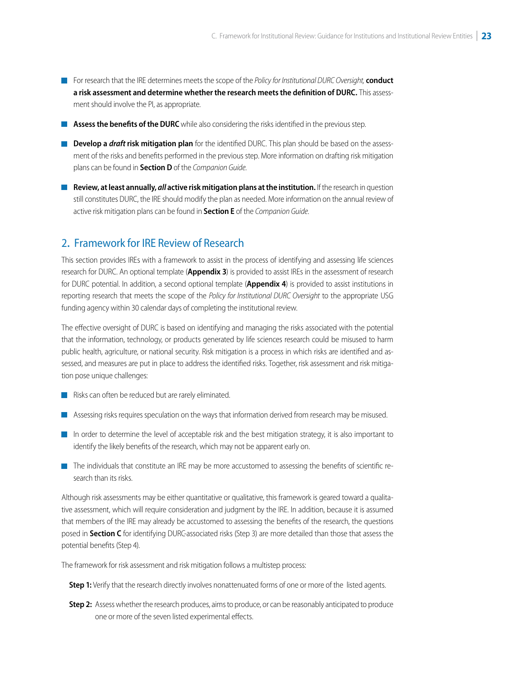- <span id="page-22-0"></span>For research that the IRE determines meets the scope of the *Policy for Institutional DURC Oversight,* **conduct a risk assessment and determine whether the research meets the definition of DURC.** This assessment should involve the PI, as appropriate.
- **Assess the benefits of the DURC** while also considering the risks identified in the previous step.
- **Develop a** *draft* **risk mitigation plan** for the identified DURC. This plan should be based on the assessment of the risks and benefits performed in the previous step. More information on drafting risk mitigation plans can be found in **Section D** of the *Companion Guide*.
- **Review, at least annually,** *all* **active risk mitigation plans at the institution.** If the research in question still constitutes DURC, the IRE should modify the plan as needed. More information on the annual review of active risk mitigation plans can be found in **Section E** of the *Companion Guide*.

## 2**.** Framework for IRE Review of Research

This section provides IREs with a framework to assist in the process of identifying and assessing life sciences research for DURC. An optional template (**Appendix 3**) is provided to assist IREs in the assessment of research for DURC potential. In addition, a second optional template (**Appendix 4**) is provided to assist institutions in reporting research that meets the scope of the *Policy for Institutional DURC Oversight* to the appropriate USG funding agency within 30 calendar days of completing the institutional review.

The effective oversight of DURC is based on identifying and managing the risks associated with the potential that the information, technology, or products generated by life sciences research could be misused to harm public health, agriculture, or national security. Risk mitigation is a process in which risks are identified and assessed, and measures are put in place to address the identified risks. Together, risk assessment and risk mitigation pose unique challenges:

- Risks can often be reduced but are rarely eliminated.
- Assessing risks requires speculation on the ways that information derived from research may be misused.
- In order to determine the level of acceptable risk and the best mitigation strategy, it is also important to identify the likely benefits of the research, which may not be apparent early on.
- The individuals that constitute an IRE may be more accustomed to assessing the benefits of scientific research than its risks.

Although risk assessments may be either quantitative or qualitative, this framework is geared toward a qualitative assessment, which will require consideration and judgment by the IRE. In addition, because it is assumed that members of the IRE may already be accustomed to assessing the benefits of the research, the questions posed in **Section C** for identifying DURC-associated risks (Step 3) are more detailed than those that assess the potential benefits (Step 4).

The framework for risk assessment and risk mitigation follows a multistep process:

**Step 1:** Verify that the research directly involves nonattenuated forms of one or more of the listed agents.

**Step 2:** Assess whether the research produces, aims to produce, or can be reasonably anticipated to produce one or more of the seven listed experimental effects.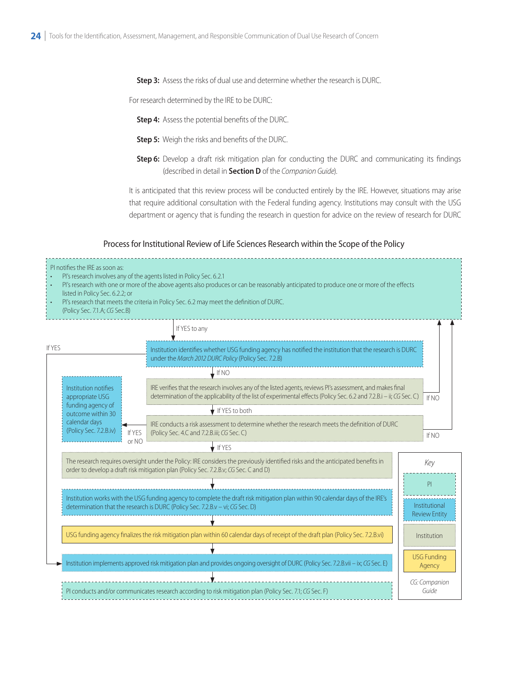**Step 3:** Assess the risks of dual use and determine whether the research is DURC.

For research determined by the IRE to be DURC:

**Step 4:** Assess the potential benefits of the DURC.

- **Step 5:** Weigh the risks and benefits of the DURC.
- **Step 6:** Develop a draft risk mitigation plan for conducting the DURC and communicating its findings (described in detail in **Section D** of the *Companion Guide*).

It is anticipated that this review process will be conducted entirely by the IRE. However, situations may arise that require additional consultation with the Federal funding agency. Institutions may consult with the USG department or agency that is funding the research in question for advice on the review of research for DURC

#### Process for Institutional Review of Life Sciences Research within the Scope of the Policy

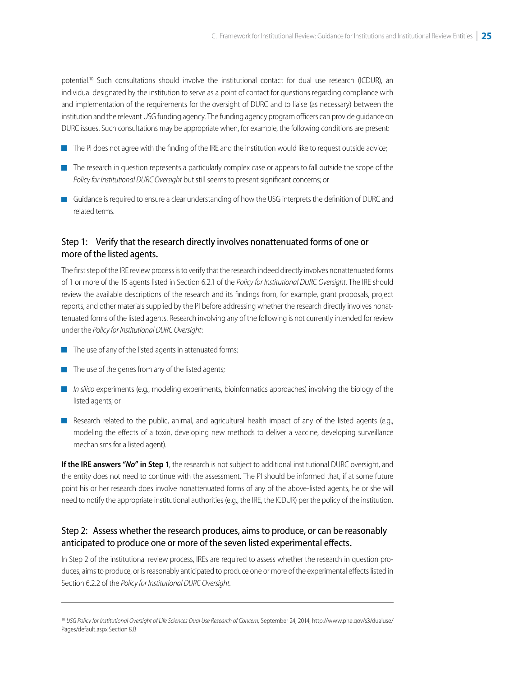<span id="page-24-0"></span>potential.<sup>10</sup> Such consultations should involve the institutional contact for dual use research (ICDUR), an individual designated by the institution to serve as a point of contact for questions regarding compliance with and implementation of the requirements for the oversight of DURC and to liaise (as necessary) between the institution and the relevant USG funding agency. The funding agency program officers can provide guidance on DURC issues. Such consultations may be appropriate when, for example, the following conditions are present:

- $\blacksquare$  The PI does not agree with the finding of the IRE and the institution would like to request outside advice;
- The research in question represents a particularly complex case or appears to fall outside the scope of the *Policy for Institutional DURC Oversight* but still seems to present significant concerns; or
- Guidance is required to ensure a clear understanding of how the USG interprets the definition of DURC and related terms.

### Step 1: Verify that the research directly involves nonattenuated forms of one or more of the listed agents**.**

The first step of the IRE review process is to verify that the research indeed directly involves nonattenuated forms of 1 or more of the 15 agents listed in Section 6.2.1 of the *Policy for Institutional DURC Oversight*. The IRE should review the available descriptions of the research and its findings from, for example, grant proposals, project reports, and other materials supplied by the PI before addressing whether the research directly involves nonattenuated forms of the listed agents. Research involving any of the following is not currently intended for review under the *Policy for Institutional DURC Oversight*:

- $\blacksquare$  The use of any of the listed agents in attenuated forms;
- $\blacksquare$  The use of the genes from any of the listed agents;
- *In silico* experiments (e.g., modeling experiments, bioinformatics approaches) involving the biology of the listed agents; or
- Research related to the public, animal, and agricultural health impact of any of the listed agents (e.g., modeling the effects of a toxin, developing new methods to deliver a vaccine, developing surveillance mechanisms for a listed agent).

**If the IRE answers "***No***" in Step 1**, the research is not subject to additional institutional DURC oversight, and the entity does not need to continue with the assessment. The PI should be informed that, if at some future point his or her research does involve nonattenuated forms of any of the above-listed agents, he or she will need to notify the appropriate institutional authorities (e.g., the IRE, the ICDUR) per the policy of the institution.

#### Step 2: Assess whether the research produces, aims to produce, or can be reasonably anticipated to produce one or more of the seven listed experimental effects**.**

In Step 2 of the institutional review process, IREs are required to assess whether the research in question produces, aims to produce, or is reasonably anticipated to produce one or more of the experimental effects listed in Section 6.2.2 of the *Policy for Institutional DURC Oversight*.

<sup>&</sup>lt;sup>10</sup> [USG Policy for Institutional Oversight of Life Sciences Dual Use Research of Concern,](http://www.phe.gov/s3/dualuse/Pages/default.aspx) September 24, 2014, http://www.phe.gov/s3/dualuse/ Pages/default.aspx Section 8.B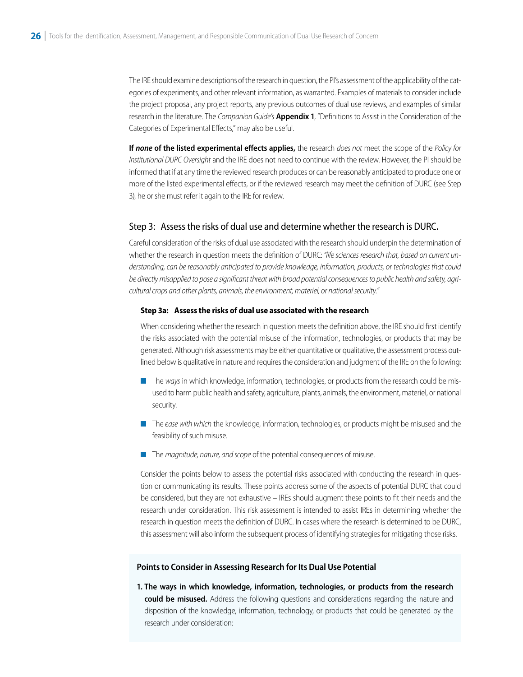<span id="page-25-0"></span>The IRE should examine descriptions of the research in question, the PI's assessment of the applicability of the categories of experiments, and other relevant information, as warranted. Examples of materials to consider include the project proposal, any project reports, any previous outcomes of dual use reviews, and examples of similar research in the literature. The *Companion Guide's* **Appendix 1**, "Definitions to Assist in the Consideration of the Categories of Experimental Effects," may also be useful.

**If** *none* **of the listed experimental effects applies,** the research *does not* meet the scope of the *Policy for Institutional DURC Oversight* and the IRE does not need to continue with the review. However, the PI should be informed that if at any time the reviewed research produces or can be reasonably anticipated to produce one or more of the listed experimental effects, or if the reviewed research may meet the definition of DURC (see Step 3), he or she must refer it again to the IRE for review.

#### Step 3: Assess the risks of dual use and determine whether the research is DURC**.**

Careful consideration of the risks of dual use associated with the research should underpin the determination of whether the research in question meets the definition of DURC: *"life sciences research that, based on current understanding, can be reasonably anticipated to provide knowledge, information, products, or technologies that could be directly misapplied to pose a significant threat with broad potential consequences to public health and safety, agricultural crops and other plants, animals, the environment, materiel, or national security."* 

#### **Step 3a: Assess the risks of dual use associated with the research**

When considering whether the research in question meets the definition above, the IRE should first identify the risks associated with the potential misuse of the information, technologies, or products that may be generated. Although risk assessments may be either quantitative or qualitative, the assessment process outlined below is qualitative in nature and requires the consideration and judgment of the IRE on the following:

- The ways in which knowledge, information, technologies, or products from the research could be misused to harm public health and safety, agriculture, plants, animals, the environment, materiel, or national security.
- The *ease with which* the knowledge, information, technologies, or products might be misused and the feasibility of such misuse.
- The *magnitude, nature, and scope* of the potential consequences of misuse.

Consider the points below to assess the potential risks associated with conducting the research in question or communicating its results. These points address some of the aspects of potential DURC that could be considered, but they are not exhaustive – IREs should augment these points to fit their needs and the research under consideration. This risk assessment is intended to assist IREs in determining whether the research in question meets the definition of DURC. In cases where the research is determined to be DURC, this assessment will also inform the subsequent process of identifying strategies for mitigating those risks.

#### **Points to Consider in Assessing Research for Its Dual Use Potential**

**1. The ways in which knowledge, information, technologies, or products from the research could be misused.** Address the following questions and considerations regarding the nature and disposition of the knowledge, information, technology, or products that could be generated by the research under consideration: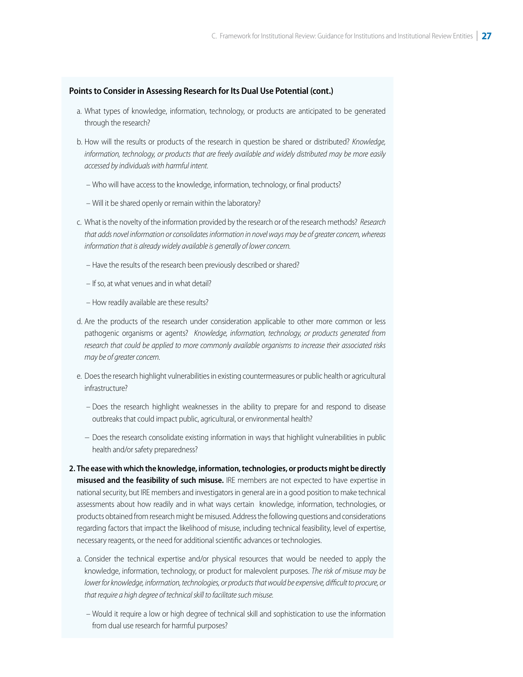#### **Points to Consider in Assessing Research for Its Dual Use Potential (cont.)**

- a. What types of knowledge, information, technology, or products are anticipated to be generated through the research?
- b. How will the results or products of the research in question be shared or distributed? *Knowledge, information, technology, or products that are freely available and widely distributed may be more easily accessed by individuals with harmful intent*.
	- Who will have access to the knowledge, information, technology, or final products?
	- Will it be shared openly or remain within the laboratory?
- c. What is the novelty of the information provided by the research or of the research methods? *Research that adds novel information or consolidates information in novel ways may be of greater concern, whereas information that is already widely available is generally of lower concern.*
	- Have the results of the research been previously described or shared?
	- If so, at what venues and in what detail?
	- How readily available are these results?
- d. Are the products of the research under consideration applicable to other more common or less pathogenic organisms or agents? *Knowledge, information, technology, or products generated from research that could be applied to more commonly available organisms to increase their associated risks may be of greater concern*.
- e. Does the research highlight vulnerabilities in existing countermeasures or public health or agricultural infrastructure?
	- Does the research highlight weaknesses in the ability to prepare for and respond to disease outbreaks that could impact public, agricultural, or environmental health?
	- − Does the research consolidate existing information in ways that highlight vulnerabilities in public health and/or safety preparedness?
- **2. The ease with which the knowledge, information, technologies, or products might be directly misused and the feasibility of such misuse.** IRE members are not expected to have expertise in national security, but IRE members and investigators in general are in a good position to make technical assessments about how readily and in what ways certain knowledge, information, technologies, or products obtained from research might be misused. Address the following questions and considerations regarding factors that impact the likelihood of misuse, including technical feasibility, level of expertise, necessary reagents, or the need for additional scientific advances or technologies.
	- a. Consider the technical expertise and/or physical resources that would be needed to apply the knowledge, information, technology, or product for malevolent purposes. *The risk of misuse may be lower for knowledge, information, technologies, or products that would be expensive, difficult to procure, or that require a high degree of technical skill to facilitate such misuse.*
	- Would it require a low or high degree of technical skill and sophistication to use the information from dual use research for harmful purposes?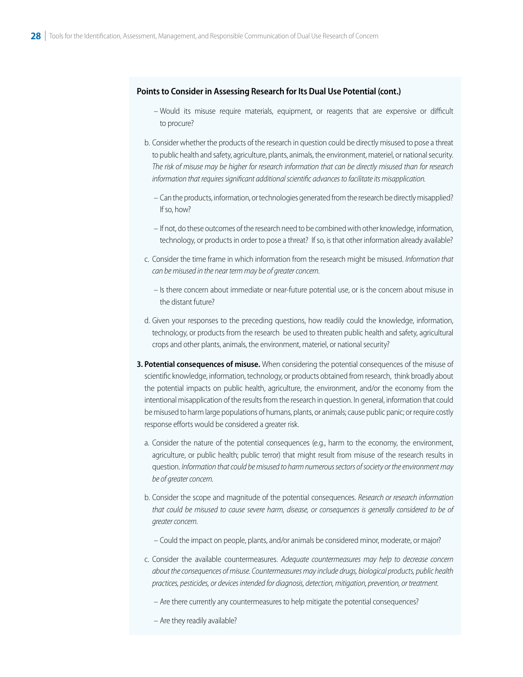#### **Points to Consider in Assessing Research for Its Dual Use Potential (cont.)**

- Would its misuse require materials, equipment, or reagents that are expensive or difficult to procure?
- b. Consider whether the products of the research in question could be directly misused to pose a threat to public health and safety, agriculture, plants, animals, the environment, materiel, or national security. *The risk of misuse may be higher for research information that can be directly misused than for research information that requires significant additional scientific advances to facilitate its misapplication.* 
	- Can the products, information, or technologies generated from the research be directly misapplied? If so, how?
	- If not, do these outcomes of the research need to be combined with other knowledge, information, technology, or products in order to pose a threat? If so, is that other information already available?
- c. Consider the time frame in which information from the research might be misused. *Information that can be misused in the near term may be of greater concern.* 
	- Is there concern about immediate or near-future potential use, or is the concern about misuse in the distant future?
- d. Given your responses to the preceding questions, how readily could the knowledge, information, technology, or products from the research be used to threaten public health and safety, agricultural crops and other plants, animals, the environment, materiel, or national security?
- **3. Potential consequences of misuse.** When considering the potential consequences of the misuse of scientific knowledge, information, technology, or products obtained from research, think broadly about the potential impacts on public health, agriculture, the environment, and/or the economy from the intentional misapplication of the results from the research in question. In general, information that could be misused to harm large populations of humans, plants, or animals; cause public panic; or require costly response efforts would be considered a greater risk.
	- a. Consider the nature of the potential consequences (e.g., harm to the economy, the environment, agriculture, or public health; public terror) that might result from misuse of the research results in question. *Information that could be misused to harm numerous sectors of society or the environment may be of greater concern.*
	- b. Consider the scope and magnitude of the potential consequences. *Research or research information that could be misused to cause severe harm, disease, or consequences is generally considered to be of greater concern.*
		- Could the impact on people, plants, and/or animals be considered minor, moderate, or major?
	- c. Consider the available countermeasures. *Adequate countermeasures may help to decrease concern about the consequences of misuse. Countermeasures may include drugs, biological products, public health practices, pesticides, or devices intended for diagnosis, detection, mitigation, prevention, or treatment.*
		- Are there currently any countermeasures to help mitigate the potential consequences?
		- Are they readily available?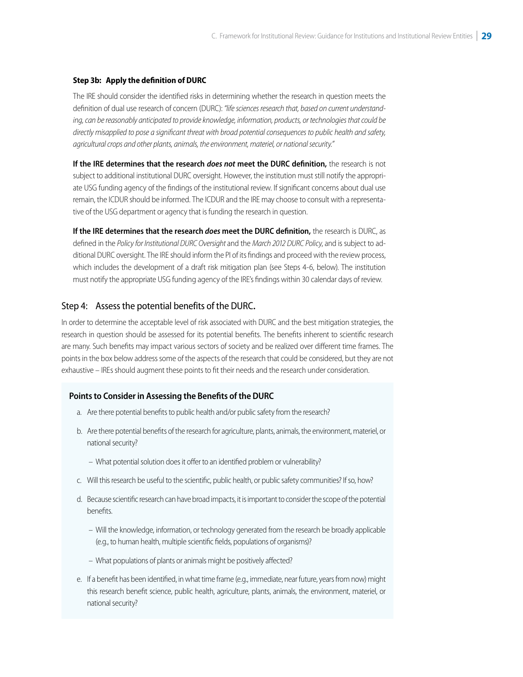#### <span id="page-28-0"></span>**Step 3b: Apply the definition of DURC**

The IRE should consider the identified risks in determining whether the research in question meets the definition of dual use research of concern (DURC): *"life sciences research that, based on current understanding, can be reasonably anticipated to provide knowledge, information, products, or technologies that could be directly misapplied to pose a significant threat with broad potential consequences to public health and safety, agricultural crops and other plants, animals, the environment, materiel, or national security."* 

**If the IRE determines that the research** *does not* **meet the DURC definition,** the research is not subject to additional institutional DURC oversight. However, the institution must still notify the appropriate USG funding agency of the findings of the institutional review. If significant concerns about dual use remain, the ICDUR should be informed. The ICDUR and the IRE may choose to consult with a representative of the USG department or agency that is funding the research in question.

**If the IRE determines that the research** *does* **meet the DURC definition,** the research is DURC, as defined in the *Policy for Institutional DURC Oversight* and the *March 2012 DURC Policy*, and is subject to additional DURC oversight. The IRE should inform the PI of its findings and proceed with the review process, which includes the development of a draft risk mitigation plan (see Steps 4-6, below). The institution must notify the appropriate USG funding agency of the IRE's findings within 30 calendar days of review.

#### Step 4: Assess the potential benefits of the DURC**.**

In order to determine the acceptable level of risk associated with DURC and the best mitigation strategies, the research in question should be assessed for its potential benefits. The benefits inherent to scientific research are many. Such benefits may impact various sectors of society and be realized over different time frames. The points in the box below address some of the aspects of the research that could be considered, but they are not exhaustive – IREs should augment these points to fit their needs and the research under consideration.

#### **Points to Consider in Assessing the Benefits of the DURC**

- a. Are there potential benefits to public health and/or public safety from the research?
- b. Are there potential benefits of the research for agriculture, plants, animals, the environment, materiel, or national security?
	- What potential solution does it offer to an identified problem or vulnerability?
- c. Will this research be useful to the scientific, public health, or public safety communities? If so, how?
- d. Because scientific research can have broad impacts, it is important to consider the scope of the potential benefits.
	- Will the knowledge, information, or technology generated from the research be broadly applicable (e.g., to human health, multiple scientific fields, populations of organisms)?
	- What populations of plants or animals might be positively affected?
- e. If a benefit has been identified, in what time frame (e.g., immediate, near future, years from now) might this research benefit science, public health, agriculture, plants, animals, the environment, materiel, or national security?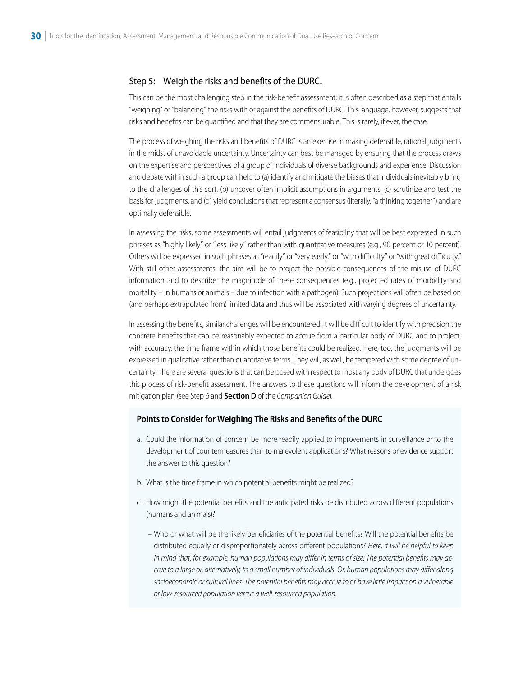#### <span id="page-29-0"></span>Step 5: Weigh the risks and benefits of the DURC**.**

This can be the most challenging step in the risk-benefit assessment; it is often described as a step that entails "weighing" or "balancing" the risks with or against the benefits of DURC. This language, however, suggests that risks and benefits can be quantified and that they are commensurable. This is rarely, if ever, the case.

The process of weighing the risks and benefits of DURC is an exercise in making defensible, rational judgments in the midst of unavoidable uncertainty. Uncertainty can best be managed by ensuring that the process draws on the expertise and perspectives of a group of individuals of diverse backgrounds and experience. Discussion and debate within such a group can help to (a) identify and mitigate the biases that individuals inevitably bring to the challenges of this sort, (b) uncover often implicit assumptions in arguments, (c) scrutinize and test the basis for judgments, and (d) yield conclusions that represent a consensus (literally, "a thinking together") and are optimally defensible.

In assessing the risks, some assessments will entail judgments of feasibility that will be best expressed in such phrases as "highly likely" or "less likely" rather than with quantitative measures (e.g., 90 percent or 10 percent). Others will be expressed in such phrases as "readily" or "very easily," or "with difficulty" or "with great difficulty." With still other assessments, the aim will be to project the possible consequences of the misuse of DURC information and to describe the magnitude of these consequences (e.g., projected rates of morbidity and mortality – in humans or animals – due to infection with a pathogen). Such projections will often be based on (and perhaps extrapolated from) limited data and thus will be associated with varying degrees of uncertainty.

In assessing the benefits, similar challenges will be encountered. It will be difficult to identify with precision the concrete benefits that can be reasonably expected to accrue from a particular body of DURC and to project, with accuracy, the time frame within which those benefits could be realized. Here, too, the judgments will be expressed in qualitative rather than quantitative terms. They will, as well, be tempered with some degree of uncertainty. There are several questions that can be posed with respect to most any body of DURC that undergoes this process of risk-benefit assessment. The answers to these questions will inform the development of a risk mitigation plan (see Step 6 and **Section D** of the *Companion Guide*).

#### **Points to Consider for Weighing The Risks and Benefits of the DURC**

- a. Could the information of concern be more readily applied to improvements in surveillance or to the development of countermeasures than to malevolent applications? What reasons or evidence support the answer to this question?
- b. What is the time frame in which potential benefits might be realized?
- c. How might the potential benefits and the anticipated risks be distributed across different populations (humans and animals)?
	- Who or what will be the likely beneficiaries of the potential benefits? Will the potential benefits be distributed equally or disproportionately across different populations? *Here, it will be helpful to keep in mind that, for example, human populations may differ in terms of size: The potential benefits may accrue to a large or, alternatively, to a small number of individuals. Or, human populations may differ along socioeconomic or cultural lines: The potential benefits may accrue to or have little impact on a vulnerable or low-resourced population versus a well-resourced population.*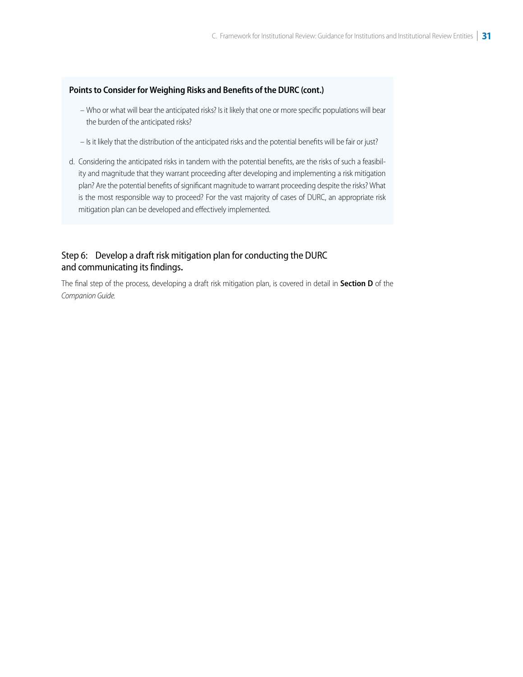#### <span id="page-30-0"></span>**Points to Consider for Weighing Risks and Benefits of the DURC (cont.)**

- Who or what will bear the anticipated risks? Is it likely that one or more specific populations will bear the burden of the anticipated risks?
- Is it likely that the distribution of the anticipated risks and the potential benefits will be fair or just?
- d. Considering the anticipated risks in tandem with the potential benefits, are the risks of such a feasibility and magnitude that they warrant proceeding after developing and implementing a risk mitigation plan? Are the potential benefits of significant magnitude to warrant proceeding despite the risks? What is the most responsible way to proceed? For the vast majority of cases of DURC, an appropriate risk mitigation plan can be developed and effectively implemented.

## Step 6: Develop a draft risk mitigation plan for conducting the DURC and communicating its findings**.**

The final step of the process, developing a draft risk mitigation plan, is covered in detail in **Section D** of the *Companion Guide.*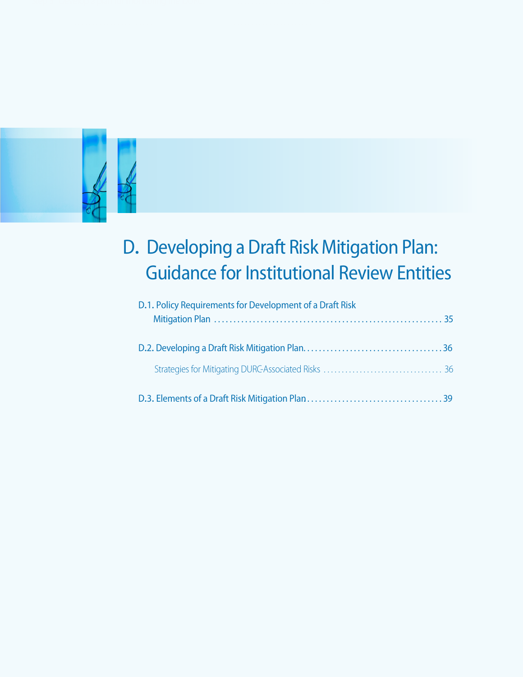<span id="page-31-0"></span>

## D**.** Developing a Draft Risk Mitigation Plan: Guidance for Institutional Review Entities

| D.1. Policy Requirements for Development of a Draft Risk |
|----------------------------------------------------------|
|                                                          |
|                                                          |
|                                                          |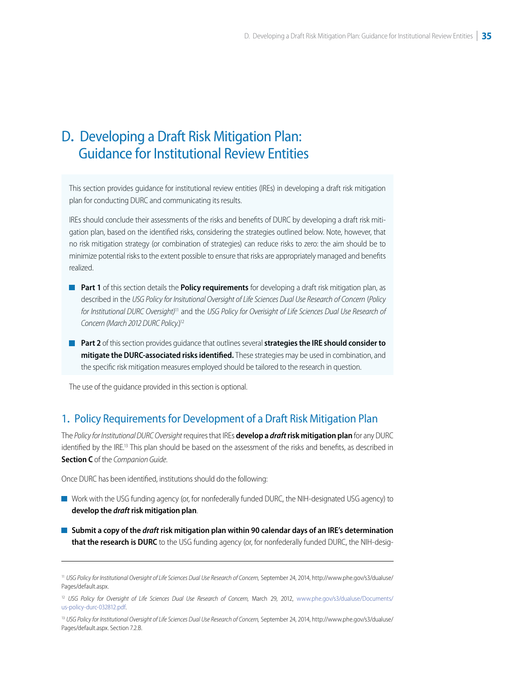#### <span id="page-32-0"></span> $\overline{\phantom{a}}$ D**.** Developing a Draft Risk Mitigation Plan: Guidance for Institutional Review Entities

This section provides guidance for institutional review entities (IREs) in developing a draft risk mitigation plan for conducting DURC and communicating its results.

IREs should conclude their assessments of the risks and benefits of DURC by developing a draft risk mitigation plan, based on the identified risks, considering the strategies outlined below. Note, however, that no risk mitigation strategy (or combination of strategies) can reduce risks to zero: the aim should be to minimize potential risks to the extent possible to ensure that risks are appropriately managed and benefits realized.

- **Part 1** of this section details the **Policy requirements** for developing a draft risk mitigation plan, as described in the *USG Policy for Insitutional Oversight of Life Sciences Dual Use Research of Concern* (*Policy*  for Institutional DURC Oversight)<sup>11</sup> and the *USG Policy for Overisight of Life Sciences Dual Use Research of Concern (March 2012 DURC Policy*.)12
- **Part 2** of this section provides guidance that outlines several **strategies the IRE should consider to mitigate the DURC-associated risks identified.** These strategies may be used in combination, and the specific risk mitigation measures employed should be tailored to the research in question.

The use of the guidance provided in this section is optional.

## 1**.** Policy Requirements for Development of a Draft Risk Mitigation Plan

The *Policy for Institutional DURC Oversight* requires that IREs **develop a** *draft* **risk mitigation plan** for any DURC identified by the IRE.<sup>13</sup> This plan should be based on the assessment of the risks and benefits, as described in **Section C** of the *Companion Guide*.

Once DURC has been identified, institutions should do the following:

- Work with the USG funding agency (or, for nonfederally funded DURC, the NIH-designated USG agency) to **develop the** *draft* **risk mitigation plan**.
- **Submit a copy of the** *draft* **risk mitigation plan within 90 calendar days of an IRE's determination that the research is DURC** to the USG funding agency (or, for nonfederally funded DURC, the NIH-desig-

<sup>&</sup>lt;sup>11</sup> [USG Policy for Institutional Oversight of Life Sciences Dual Use Research of Concern,](http://www.phe.gov/s3/dualuse/Pages/default.aspx) September 24, 2014, http://www.phe.gov/s3/dualuse/ Pages/default.aspx.

<sup>&</sup>lt;sup>12</sup> [USG Policy for Oversight of Life Sciences Dual Use Research of Concern](http://www.phe.gov/s3/dualuse/Documents/us-policy-durc-032812.pdf), March 29, 2012, www.phe.gov/s3/dualuse/Documents/ us-policy-durc-032812.pdf.

<sup>&</sup>lt;sup>13</sup> [USG Policy for Institutional Oversight of Life Sciences Dual Use Research of Concern,](http://www.phe.gov/s3/dualuse/Pages/default.aspx) September 24, 2014, http://www.phe.gov/s3/dualuse/ Pages/default.aspx. Section 7.2.B.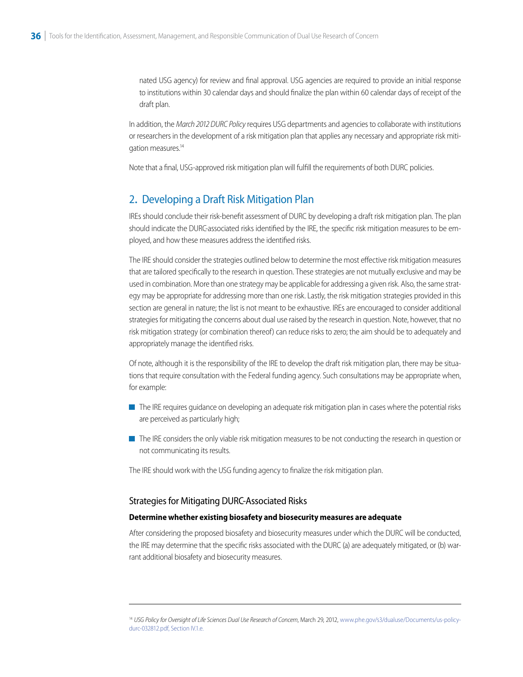<span id="page-33-0"></span>nated USG agency) for review and final approval. USG agencies are required to provide an initial response to institutions within 30 calendar days and should finalize the plan within 60 calendar days of receipt of the draft plan.

In addition, the *March 2012 DURC Policy* requires USG departments and agencies to collaborate with institutions or researchers in the development of a risk mitigation plan that applies any necessary and appropriate risk mitigation measures.<sup>14</sup>

Note that a final, USG-approved risk mitigation plan will fulfill the requirements of both DURC policies.

## 2**.** Developing a Draft Risk Mitigation Plan

IREs should conclude their risk-benefit assessment of DURC by developing a draft risk mitigation plan. The plan should indicate the DURC-associated risks identified by the IRE, the specific risk mitigation measures to be employed, and how these measures address the identified risks.

The IRE should consider the strategies outlined below to determine the most effective risk mitigation measures that are tailored specifically to the research in question. These strategies are not mutually exclusive and may be used in combination. More than one strategy may be applicable for addressing a given risk. Also, the same strategy may be appropriate for addressing more than one risk. Lastly, the risk mitigation strategies provided in this section are general in nature; the list is not meant to be exhaustive. IREs are encouraged to consider additional strategies for mitigating the concerns about dual use raised by the research in question. Note, however, that no risk mitigation strategy (or combination thereof) can reduce risks to zero; the aim should be to adequately and appropriately manage the identified risks.

Of note, although it is the responsibility of the IRE to develop the draft risk mitigation plan, there may be situations that require consultation with the Federal funding agency. Such consultations may be appropriate when, for example:

- The IRE requires quidance on developing an adequate risk mitigation plan in cases where the potential risks are perceived as particularly high;
- The IRE considers the only viable risk mitigation measures to be not conducting the research in question or not communicating its results.

The IRE should work with the USG funding agency to finalize the risk mitigation plan.

#### Strategies for Mitigating DURC-Associated Risks

#### **Determine whether existing biosafety and biosecurity measures are adequate**

After considering the proposed biosafety and biosecurity measures under which the DURC will be conducted, the IRE may determine that the specific risks associated with the DURC (a) are adequately mitigated, or (b) warrant additional biosafety and biosecurity measures.

<sup>&</sup>lt;sup>14</sup> [USG Policy for Oversight of Life Sciences Dual Use Research of Concern](http://www.phe.gov/s3/dualuse/Documents/us-policy-durc-032812.pdf), March 29, 2012, www.phe.gov/s3/dualuse/Documents/us-policydurc-032812.pdf, Section IV.1.e.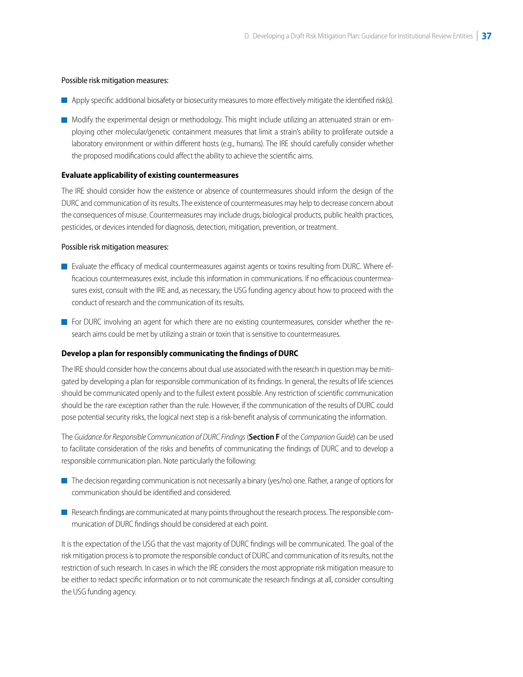#### Possible risk mitigation measures:

- Apply specific additional biosafety or biosecurity measures to more effectively mitigate the identified risk(s).
- Modify the experimental design or methodology. This might include utilizing an attenuated strain or employing other molecular/genetic containment measures that limit a strain's ability to proliferate outside a laboratory environment or within different hosts (e.g., humans). The IRE should carefully consider whether the proposed modifications could affect the ability to achieve the scientific aims.

#### **Evaluate applicability of existing countermeasures**

The IRE should consider how the existence or absence of countermeasures should inform the design of the DURC and communication of its results. The existence of countermeasures may help to decrease concern about the consequences of misuse. Countermeasures may include drugs, biological products, public health practices, pesticides, or devices intended for diagnosis, detection, mitigation, prevention, or treatment.

#### Possible risk mitigation measures:

- **E** Evaluate the efficacy of medical countermeasures against agents or toxins resulting from DURC. Where efficacious countermeasures exist, include this information in communications. If no efficacious countermeasures exist, consult with the IRE and, as necessary, the USG funding agency about how to proceed with the conduct of research and the communication of its results.
- **For DURC** involving an agent for which there are no existing countermeasures, consider whether the research aims could be met by utilizing a strain or toxin that is sensitive to countermeasures.

#### **Develop a plan for responsibly communicating the findings of DURC**

The IRE should consider how the concerns about dual use associated with the research in question may be mitigated by developing a plan for responsible communication of its findings. In general, the results of life sciences should be communicated openly and to the fullest extent possible. Any restriction of scientific communication should be the rare exception rather than the rule. However, if the communication of the results of DURC could pose potential security risks, the logical next step is a risk-benefit analysis of communicating the information.

The *Guidance for Responsible Communication of DURC Findings* (**Section F** of the *Companion Guide*) can be used to facilitate consideration of the risks and benefits of communicating the findings of DURC and to develop a responsible communication plan. Note particularly the following:

- $\blacksquare$  The decision regarding communication is not necessarily a binary (yes/no) one. Rather, a range of options for communication should be identified and considered.
- Research findings are communicated at many points throughout the research process. The responsible communication of DURC findings should be considered at each point.

It is the expectation of the USG that the vast majority of DURC findings will be communicated. The goal of the risk mitigation process is to promote the responsible conduct of DURC and communication of its results, not the restriction of such research. In cases in which the IRE considers the most appropriate risk mitigation measure to be either to redact specific information or to not communicate the research findings at all, consider consulting the USG funding agency.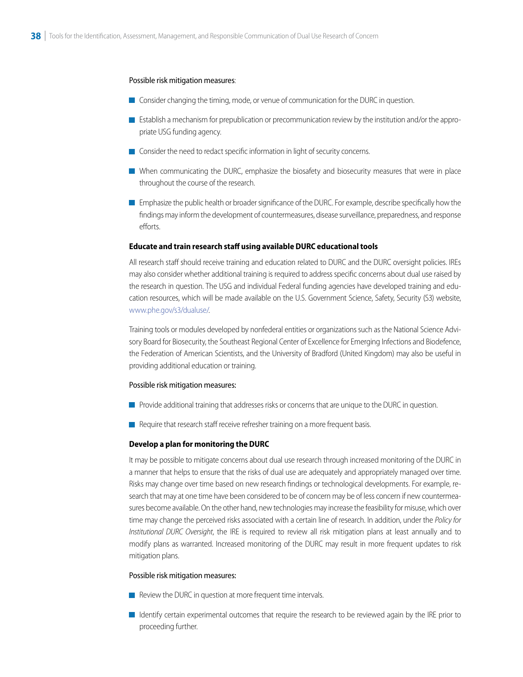#### Possible risk mitigation measures:

- **Consider changing the timing, mode, or venue of communication for the DURC in question.**
- **Establish a mechanism for prepublication or precommunication review by the institution and/or the appro**priate USG funding agency.
- Consider the need to redact specific information in light of security concerns.
- When communicating the DURC, emphasize the biosafety and biosecurity measures that were in place throughout the course of the research.
- **Emphasize the public health or broader significance of the DURC. For example, describe specifically how the** findings may inform the development of countermeasures, disease surveillance, preparedness, and response efforts.

#### **Educate and train research staff using available DURC educational tools**

All research staff should receive training and education related to DURC and the DURC oversight policies. IREs may also consider whether additional training is required to address specific concerns about dual use raised by the research in question. The USG and individual Federal funding agencies have developed training and education resources, which will be made available on the U.S. Government Science, Safety, Security (S3) website, [www.phe.gov/s3/dualuse/](http://www.phe.gov/s3/dualuse).

Training tools or modules developed by nonfederal entities or organizations such as the National Science Advisory Board for Biosecurity, the Southeast Regional Center of Excellence for Emerging Infections and Biodefence, the Federation of American Scientists, and the University of Bradford (United Kingdom) may also be useful in providing additional education or training.

#### Possible risk mitigation measures:

- **Provide additional training that addresses risks or concerns that are unique to the DURC in question.**
- $\blacksquare$  Require that research staff receive refresher training on a more frequent basis.

#### **Develop a plan for monitoring the DURC**

It may be possible to mitigate concerns about dual use research through increased monitoring of the DURC in a manner that helps to ensure that the risks of dual use are adequately and appropriately managed over time. Risks may change over time based on new research findings or technological developments. For example, research that may at one time have been considered to be of concern may be of less concern if new countermeasures become available. On the other hand, new technologies may increase the feasibility for misuse, which over time may change the perceived risks associated with a certain line of research. In addition, under the *Policy for Institutional DURC Oversight*, the IRE is required to review all risk mitigation plans at least annually and to modify plans as warranted. Increased monitoring of the DURC may result in more frequent updates to risk mitigation plans.

#### Possible risk mitigation measures:

- $\blacksquare$  Review the DURC in question at more frequent time intervals.
- I Identify certain experimental outcomes that require the research to be reviewed again by the IRE prior to proceeding further.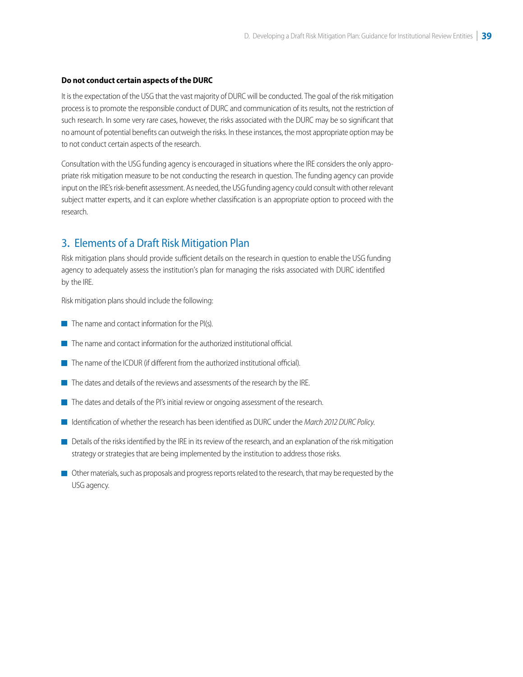#### **Do not conduct certain aspects of the DURC**

It is the expectation of the USG that the vast majority of DURC will be conducted. The goal of the risk mitigation process is to promote the responsible conduct of DURC and communication of its results, not the restriction of such research. In some very rare cases, however, the risks associated with the DURC may be so significant that no amount of potential benefits can outweigh the risks. In these instances, the most appropriate option may be to not conduct certain aspects of the research.

Consultation with the USG funding agency is encouraged in situations where the IRE considers the only appropriate risk mitigation measure to be not conducting the research in question. The funding agency can provide input on the IRE's risk-benefit assessment. As needed, the USG funding agency could consult with other relevant subject matter experts, and it can explore whether classification is an appropriate option to proceed with the research.

## 3**.** Elements of a Draft Risk Mitigation Plan

Risk mitigation plans should provide sufficient details on the research in question to enable the USG funding agency to adequately assess the institution's plan for managing the risks associated with DURC identified by the IRE.

Risk mitigation plans should include the following:

- $\blacksquare$  The name and contact information for the PI(s).
- $\blacksquare$  The name and contact information for the authorized institutional official.
- $\blacksquare$  The name of the ICDUR (if different from the authorized institutional official).
- $\blacksquare$  The dates and details of the reviews and assessments of the research by the IRE.
- The dates and details of the PI's initial review or ongoing assessment of the research.
- Identification of whether the research has been identified as DURC under the *March 2012 DURC Policy*.
- Details of the risks identified by the IRE in its review of the research, and an explanation of the risk mitigation strategy or strategies that are being implemented by the institution to address those risks.
- Other materials, such as proposals and progress reports related to the research, that may be requested by the USG agency.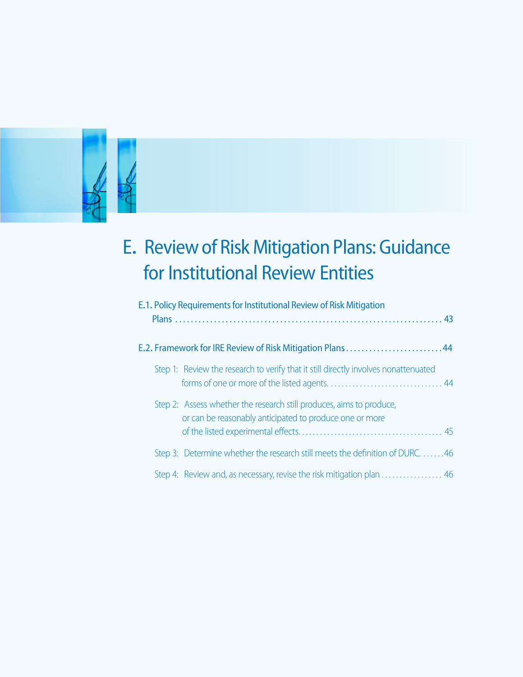

# E**.** Reviewof RiskMitigation Plans: Guidance for Institutional Review Entities

| E.1. Policy Requirements for Institutional Review of Risk Mitigation                                                            |
|---------------------------------------------------------------------------------------------------------------------------------|
| E.2. Framework for IRE Review of Risk Mitigation Plans44                                                                        |
| Step 1: Review the research to verify that it still directly involves nonattenuated                                             |
| Step 2: Assess whether the research still produces, aims to produce,<br>or can be reasonably anticipated to produce one or more |
| Step 3: Determine whether the research still meets the definition of DURC. 46                                                   |
| Step 4: Review and, as necessary, revise the risk mitigation plan  46                                                           |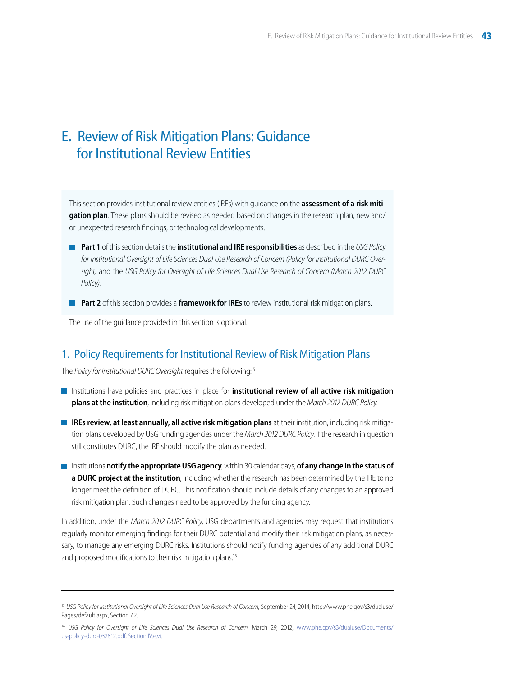# <span id="page-38-0"></span>E**.** Review of Risk Mitigation Plans: Guidance for Institutional Review Entities

This section provides institutional review entities (IREs) with guidance on the **assessment of a risk mitigation plan**. These plans should be revised as needed based on changes in the research plan, new and/ or unexpected research findings, or technological developments.

- **Part 1** of this section details the *institutional and IRE responsibilities* as described in the *USG Policy for Institutional Oversight of Life Sciences Dual Use Research of Concern (Policy for Institutional DURC Oversight)* and the *USG Policy for Oversight of Life Sciences Dual Use Research of Concern (March 2012 DURC Policy)*.
- **Part 2** of this section provides a **framework for IREs** to review institutional risk mitigation plans.

The use of the guidance provided in this section is optional.

#### 1**.** Policy Requirements for Institutional Review of Risk Mitigation Plans

The *Policy for Institutional DURC Oversight* requires the following:15

- **Institutions have policies and practices in place for institutional review of all active risk mitigation plans at the institution**, including risk mitigation plans developed under the *March 2012 DURC Policy*.
- **IREs review, at least annually, all active risk mitigation plans** at their institution, including risk mitigation plans developed by USG funding agencies under the *March 2012 DURC Policy*. If the research in question still constitutes DURC, the IRE should modify the plan as needed.
- **Institutions notify the appropriate USG agency**, within 30 calendar days, of any change in the status of **a DURC project at the institution**, including whether the research has been determined by the IRE to no longer meet the definition of DURC. This notification should include details of any changes to an approved risk mitigation plan. Such changes need to be approved by the funding agency.

In addition, under the *March 2012 DURC Policy*, USG departments and agencies may request that institutions regularly monitor emerging findings for their DURC potential and modify their risk mitigation plans, as necessary, to manage any emerging DURC risks. Institutions should notify funding agencies of any additional DURC and proposed modifications to their risk mitigation plans.<sup>16</sup>

<sup>15</sup>*[USG Policy for Institutional Oversight of Life Sciences Dual Use Research of Concern](http://www.phe.gov/s3/dualuse/Pages/default.aspx)*, September 24, 2014, http://www.phe.gov/s3/dualuse/ Pages/default.aspx, Section 7.2.

<sup>&</sup>lt;sup>16</sup> [USG Policy for Oversight of Life Sciences Dual Use Research of Concern](http://www.phe.gov/s3/dualuse/Documents/us-policy-durc-032812.pdf), March 29, 2012, www.phe.gov/s3/dualuse/Documents/ us-policy-durc-032812.pdf, Section IV.e.vi.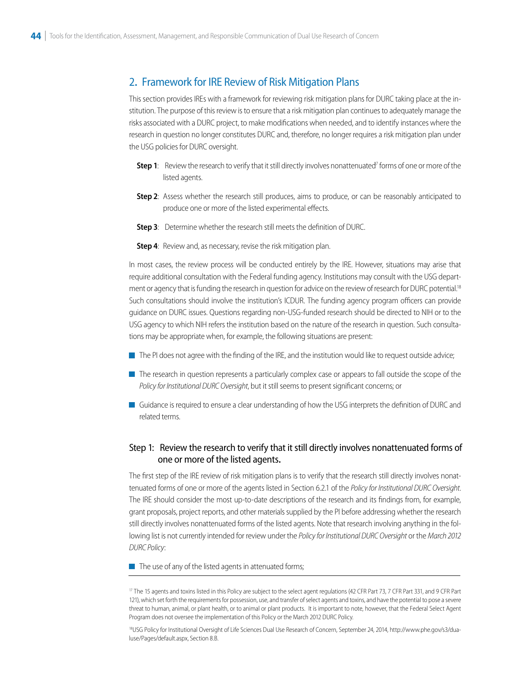#### <span id="page-39-0"></span>2**.** Framework for IRE Review of Risk Mitigation Plans

This section provides IREs with a framework for reviewing risk mitigation plans for DURC taking place at the institution. The purpose of this review is to ensure that a risk mitigation plan continues to adequately manage the risks associated with a DURC project, to make modifications when needed, and to identify instances where the research in question no longer constitutes DURC and, therefore, no longer requires a risk mitigation plan under the USG policies for DURC oversight.

- **Step 1:** Review the research to verify that it still directly involves nonattenuated<sup>7</sup> forms of one or more of the listed agents.
- **Step 2**: Assess whether the research still produces, aims to produce, or can be reasonably anticipated to produce one or more of the listed experimental effects.
- **Step 3**: Determine whether the research still meets the definition of DURC.
- **Step 4:** Review and, as necessary, revise the risk mitigation plan.

In most cases, the review process will be conducted entirely by the IRE. However, situations may arise that require additional consultation with the Federal funding agency. Institutions may consult with the USG department or agency that is funding the research in question for advice on the review of research for DURC potential.<sup>18</sup> Such consultations should involve the institution's ICDUR. The funding agency program officers can provide guidance on DURC issues. Questions regarding non-USG-funded research should be directed to NIH or to the USG agency to which NIH refers the institution based on the nature of the research in question. Such consultations may be appropriate when, for example, the following situations are present:

- $\blacksquare$  The PI does not agree with the finding of the IRE, and the institution would like to request outside advice;
- The research in question represents a particularly complex case or appears to fall outside the scope of the *Policy for Institutional DURC Oversight*, but it still seems to present significant concerns; or
- Guidance is required to ensure a clear understanding of how the USG interprets the definition of DURC and related terms.

#### Step 1: Review the research to verify that it still directly involves nonattenuated forms of one or more of the listed agents**.**

The first step of the IRE review of risk mitigation plans is to verify that the research still directly involves nonattenuated forms of one or more of the agents listed in Section 6.2.1 of the *Policy for Institutional DURC Oversight*. The IRE should consider the most up-to-date descriptions of the research and its findings from, for example, grant proposals, project reports, and other materials supplied by the PI before addressing whether the research still directly involves nonattenuated forms of the listed agents. Note that research involving anything in the following list is not currently intended for review under the *Policy for Institutional DURC Oversight* or the *March 2012 DURC Policy*:

 $\blacksquare$  The use of any of the listed agents in attenuated forms;

[18USG Policy for Institutional Oversight of Life Sciences Dual Use Research of Concern, September 24, 2014, http://www.phe.gov/s3/dua](http://www.phe.gov/s3/dualuse/Pages/default.aspx)luse/Pages/default.aspx, Section 8.B.

<sup>&</sup>lt;sup>17</sup> The 15 agents and toxins listed in this Policy are subject to the select agent regulations (42 CFR Part 73, 7 CFR Part 331, and 9 CFR Part 121), which set forth the requirements for possession, use, and transfer of select agents and toxins, and have the potential to pose a severe threat to human, animal, or plant health, or to animal or plant products. It is important to note, however, that the Federal Select Agent Program does not oversee the implementation of this Policy or the March 2012 DURC Policy.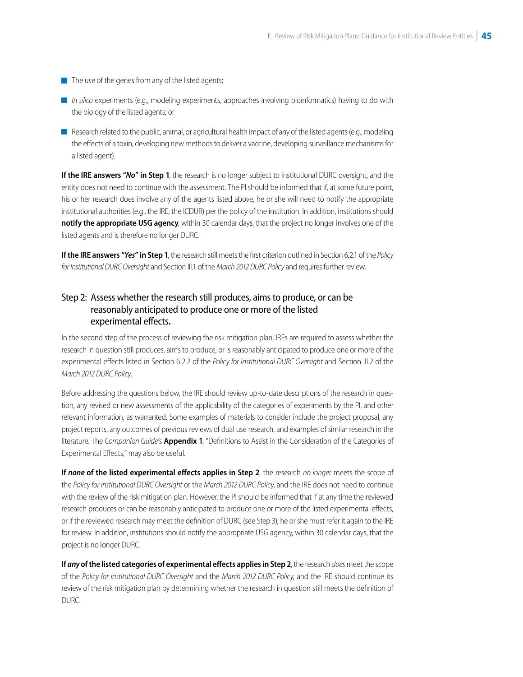- <span id="page-40-0"></span> $\blacksquare$  The use of the genes from any of the listed agents;
- *In silico* experiments (e.g., modeling experiments, approaches involving bioinformatics) having to do with the biology of the listed agents; or
- Research related to the public, animal, or agricultural health impact of any of the listed agents (e.g., modeling the effects of a toxin, developing new methods to deliver a vaccine, developing surveillance mechanisms for a listed agent).

**If the IRE answers "***No***" in Step 1**, the research is no longer subject to institutional DURC oversight, and the entity does not need to continue with the assessment. The PI should be informed that if, at some future point, his or her research does involve any of the agents listed above, he or she will need to notify the appropriate institutional authorities (e.g., the IRE, the ICDUR) per the policy of the institution. In addition, institutions should **notify the appropriate USG agency**, within 30 calendar days, that the project no longer involves one of the listed agents and is therefore no longer DURC.

**If the IRE answers "***Yes***" in Step 1**, the research still meets the first criterion outlined in Section 6.2.1 of the *Policy for Institutional DURC Oversight* and Section III.1 of the *March 2012 DURC Policy* and requires further review.

#### Step 2: Assess whether the research still produces, aims to produce, or can be reasonably anticipated to produce one or more of the listed experimental effects**.**

In the second step of the process of reviewing the risk mitigation plan, IREs are required to assess whether the research in question still produces, aims to produce, or is reasonably anticipated to produce one or more of the experimental effects listed in Section 6.2.2 of the *Policy for Institutional DURC Oversight* and Section III.2 of the *March 2012 DURC Policy*.

Before addressing the questions below, the IRE should review up-to-date descriptions of the research in question, any revised or new assessments of the applicability of the categories of experiments by the PI, and other relevant information, as warranted. Some examples of materials to consider include the project proposal, any project reports, any outcomes of previous reviews of dual use research, and examples of similar research in the literature. The *Companion Guide'*s **Appendix 1**, "Definitions to Assist in the Consideration of the Categories of Experimental Effects," may also be useful.

**If** *none* **of the listed experimental effects applies in Step 2**, the research *no longer* meets the scope of the *Policy for Institutional DURC Oversight* or the *March 2012 DURC Policy*, and the IRE does not need to continue with the review of the risk mitigation plan. However, the PI should be informed that if at any time the reviewed research produces or can be reasonably anticipated to produce one or more of the listed experimental effects, or if the reviewed research may meet the definition of DURC (see Step 3), he or she must refer it again to the IRE for review. In addition, institutions should notify the appropriate USG agency, within 30 calendar days, that the project is no longer DURC.

**If** *any* **of the listed categories of experimental effects applies in Step 2**, the research *does* meet the scope of the *Policy for Institutional DURC Oversight* and the *March 2012 DURC Policy*, and the IRE should continue its review of the risk mitigation plan by determining whether the research in question still meets the definition of DURC.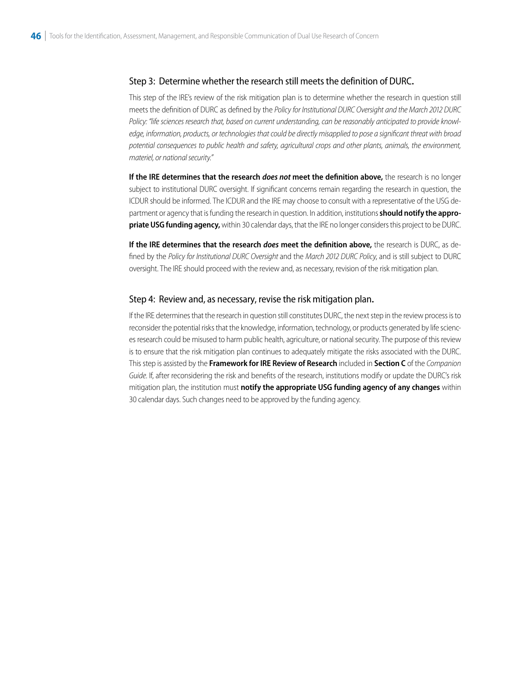#### <span id="page-41-0"></span>Step 3: Determine whether the research still meets the definition of DURC**.**

This step of the IRE's review of the risk mitigation plan is to determine whether the research in question still meets the definition of DURC as defined by the *Policy for Institutional DURC Oversight and the March 2012 DURC Policy: "life sciences research that, based on current understanding, can be reasonably anticipated to provide knowledge, information, products, or technologies that could be directly misapplied to pose a significant threat with broad potential consequences to public health and safety, agricultural crops and other plants, animals, the environment, materiel, or national security."* 

**If the IRE determines that the research** *does not* **meet the definition above,** the research is no longer subject to institutional DURC oversight. If significant concerns remain regarding the research in question, the ICDUR should be informed. The ICDUR and the IRE may choose to consult with a representative of the USG department or agency that is funding the research in question. In addition, institutions **should notify the appropriate USG funding agency,** within 30 calendar days, that the IRE no longer considers this project to be DURC.

**If the IRE determines that the research** *does* **meet the definition above,** the research is DURC, as defined by the *Policy for Institutional DURC Oversight* and the *March 2012 DURC Policy*, and is still subject to DURC oversight. The IRE should proceed with the review and, as necessary, revision of the risk mitigation plan.

#### Step 4: Review and, as necessary, revise the risk mitigation plan**.**

If the IRE determines that the research in question still constitutes DURC, the next step in the review process is to reconsider the potential risks that the knowledge, information, technology, or products generated by life sciences research could be misused to harm public health, agriculture, or national security. The purpose of this review is to ensure that the risk mitigation plan continues to adequately mitigate the risks associated with the DURC. This step is assisted by the **Framework for IRE Review of Research** included in **Section C** of the *Companion Guide*. If, after reconsidering the risk and benefits of the research, institutions modify or update the DURC's risk mitigation plan, the institution must **notify the appropriate USG funding agency of any changes** within 30 calendar days. Such changes need to be approved by the funding agency.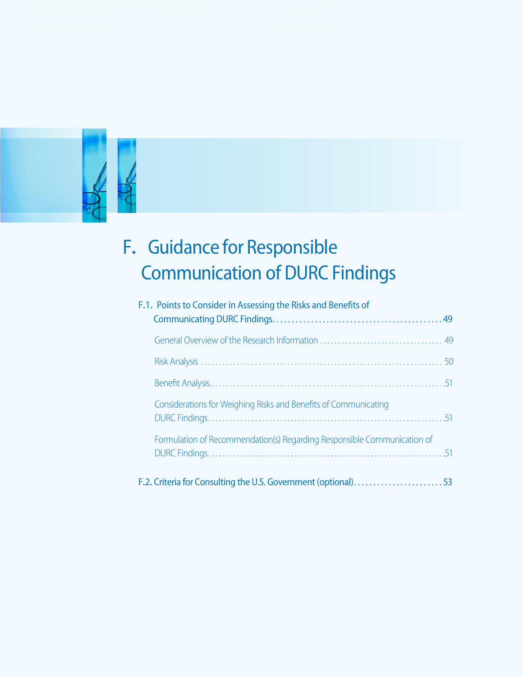

# $\ddot{\phantom{0}}$ F**.** Guidance for Responsible Communication of DURC Findings

| F.1. Points to Consider in Assessing the Risks and Benefits of          |  |
|-------------------------------------------------------------------------|--|
|                                                                         |  |
|                                                                         |  |
|                                                                         |  |
| Considerations for Weighing Risks and Benefits of Communicating         |  |
| Formulation of Recommendation(s) Regarding Responsible Communication of |  |
| F.2. Criteria for Consulting the U.S. Government (optional)53           |  |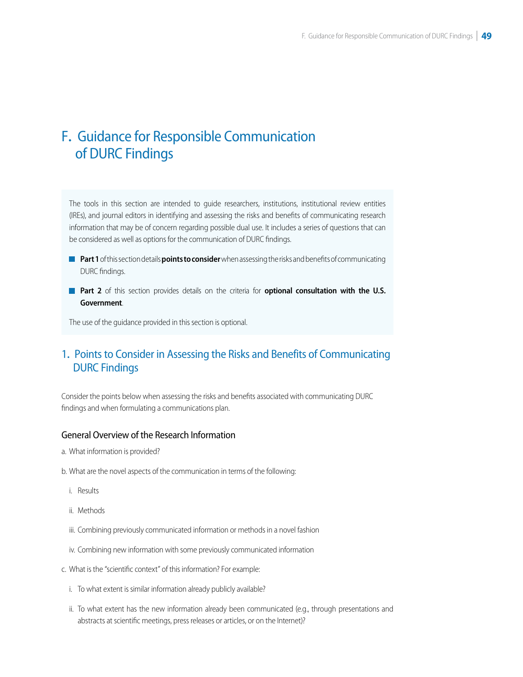#### <span id="page-43-0"></span> $\overline{\phantom{0}}$ F**.** Guidance for Responsible Communication of DURC Findings

The tools in this section are intended to guide researchers, institutions, institutional review entities (IREs), and journal editors in identifying and assessing the risks and benefits of communicating research information that may be of concern regarding possible dual use. It includes a series of questions that can be considered as well as options for the communication of DURC findings.

- **Part 1** of this section details **points to consider** when assessing the risks and benefits of communicating DURC findings.
- **Part 2** of this section provides details on the criteria for **optional consultation with the U.S. Government**.

The use of the guidance provided in this section is optional.

#### j 1**.** Points to Consider in Assessing the Risks and Benefits of Communicating DURC Findings

Consider the points below when assessing the risks and benefits associated with communicating DURC findings and when formulating a communications plan.

#### General Overview of the Research Information

- a. What information is provided?
- b. What are the novel aspects of the communication in terms of the following:
	- i. Results
	- ii. Methods
	- iii. Combining previously communicated information or methods in a novel fashion
	- iv. Combining new information with some previously communicated information
- c. What is the "scientific context" of this information? For example:
	- i. To what extent is similar information already publicly available?
	- ii. To what extent has the new information already been communicated (e.g., through presentations and abstracts at scientific meetings, press releases or articles, or on the Internet)?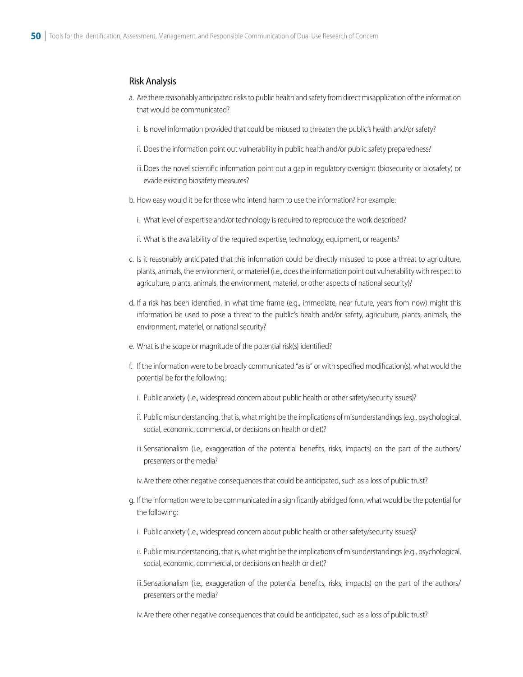#### <span id="page-44-0"></span>Risk Analysis

- a. Are there reasonably anticipated risks to public health and safety from direct misapplication of the information that would be communicated?
	- i. Is novel information provided that could be misused to threaten the public's health and/or safety?
	- ii. Does the information point out vulnerability in public health and/or public safety preparedness?
	- iii.Does the novel scientific information point out a gap in regulatory oversight (biosecurity or biosafety) or evade existing biosafety measures?
- b. How easy would it be for those who intend harm to use the information? For example:
	- i. What level of expertise and/or technology is required to reproduce the work described?
	- ii. What is the availability of the required expertise, technology, equipment, or reagents?
- c. Is it reasonably anticipated that this information could be directly misused to pose a threat to agriculture, plants, animals, the environment, or materiel (i.e., does the information point out vulnerability with respect to agriculture, plants, animals, the environment, materiel, or other aspects of national security)?
- d. If a risk has been identified, in what time frame (e.g., immediate, near future, years from now) might this information be used to pose a threat to the public's health and/or safety, agriculture, plants, animals, the environment, materiel, or national security?
- e. What is the scope or magnitude of the potential risk(s) identified?
- f. If the information were to be broadly communicated "as is" or with specified modification(s), what would the potential be for the following:
	- i. Public anxiety (i.e., widespread concern about public health or other safety/security issues)?
	- ii. Public misunderstanding, that is, what might be the implications of misunderstandings (e.g., psychological, social, economic, commercial, or decisions on health or diet)?
	- iii.Sensationalism (i.e., exaggeration of the potential benefits, risks, impacts) on the part of the authors/ presenters or the media?
	- iv.Are there other negative consequences that could be anticipated, such as a loss of public trust?
- g. If the information were to be communicated in a significantly abridged form, what would be the potential for the following:
	- i. Public anxiety (i.e., widespread concern about public health or other safety/security issues)?
	- ii. Public misunderstanding, that is, what might be the implications of misunderstandings (e.g., psychological, social, economic, commercial, or decisions on health or diet)?
	- iii.Sensationalism (i.e., exaggeration of the potential benefits, risks, impacts) on the part of the authors/ presenters or the media?

iv.Are there other negative consequences that could be anticipated, such as a loss of public trust?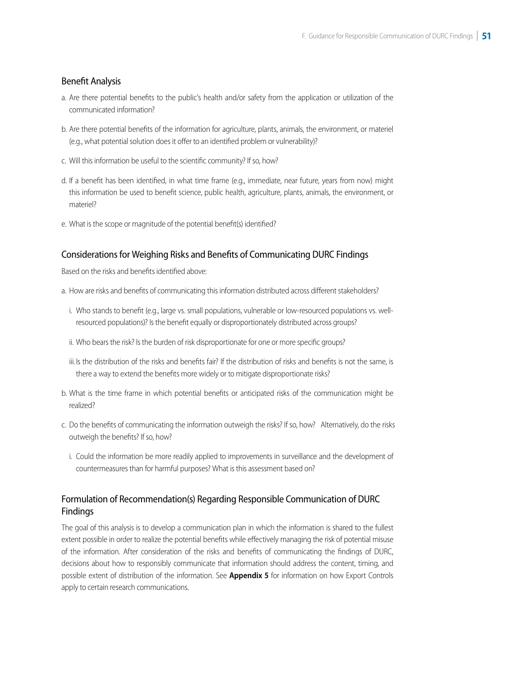#### <span id="page-45-0"></span>Benefit Analysis

- a. Are there potential benefits to the public's health and/or safety from the application or utilization of the communicated information?
- b. Are there potential benefits of the information for agriculture, plants, animals, the environment, or materiel (e.g., what potential solution does it offer to an identified problem or vulnerability)?
- c. Will this information be useful to the scientific community? If so, how?
- d. If a benefit has been identified, in what time frame (e.g., immediate, near future, years from now) might this information be used to benefit science, public health, agriculture, plants, animals, the environment, or materiel?
- e. What is the scope or magnitude of the potential benefit(s) identified?

#### Considerations for Weighing Risks and Benefits of Communicating DURC Findings

Based on the risks and benefits identified above:

- a. How are risks and benefits of communicating this information distributed across different stakeholders?
	- i. Who stands to benefit (e.g., large vs. small populations, vulnerable or low-resourced populations vs. wellresourced populations)? Is the benefit equally or disproportionately distributed across groups?
	- ii. Who bears the risk? Is the burden of risk disproportionate for one or more specific groups?
- iii. Is the distribution of the risks and benefits fair? If the distribution of risks and benefits is not the same, is there a way to extend the benefits more widely or to mitigate disproportionate risks?
- b. What is the time frame in which potential benefits or anticipated risks of the communication might be realized?
- c. Do the benefits of communicating the information outweigh the risks? If so, how? Alternatively, do the risks outweigh the benefits? If so, how?
	- i. Could the information be more readily applied to improvements in surveillance and the development of countermeasures than for harmful purposes? What is this assessment based on?

#### Formulation of Recommendation(s) Regarding Responsible Communication of DURC Findings

The goal of this analysis is to develop a communication plan in which the information is shared to the fullest extent possible in order to realize the potential benefits while effectively managing the risk of potential misuse of the information. After consideration of the risks and benefits of communicating the findings of DURC, decisions about how to responsibly communicate that information should address the content, timing, and possible extent of distribution of the information. See **Appendix 5** for information on how Export Controls apply to certain research communications.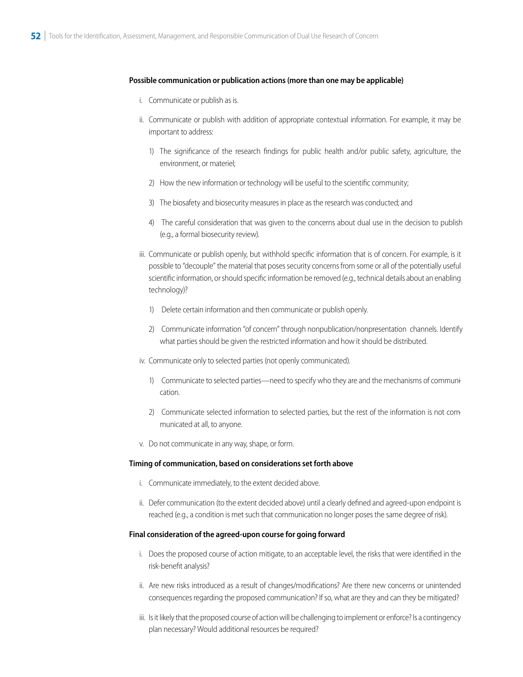#### **Possible communication or publication actions (more than one may be applicable)**

- i. Communicate or publish as is.
- ii. Communicate or publish with addition of appropriate contextual information. For example, it may be important to address:
	- 1) The significance of the research findings for public health and/or public safety, agriculture, the environment, or materiel;
	- 2) How the new information or technology will be useful to the scientific community;
	- 3) The biosafety and biosecurity measures in place as the research was conducted; and
	- 4) The careful consideration that was given to the concerns about dual use in the decision to publish (e.g., a formal biosecurity review).
- iii. Communicate or publish openly, but withhold specific information that is of concern. For example, is it possible to "decouple" the material that poses security concerns from some or all of the potentially useful scientific information, or should specific information be removed (e.g., technical details about an enabling technology)?
	- 1) Delete certain information and then communicate or publish openly.
	- 2) Communicate information "of concern" through nonpublication/nonpresentation channels. Identify what parties should be given the restricted information and how it should be distributed.
- iv. Communicate only to selected parties (not openly communicated).
	- 1) Communicate to selected parties—need to specify who they are and the mechanisms of communication.
	- 2) Communicate selected information to selected parties, but the rest of the information is not communicated at all, to anyone.
- v. Do not communicate in any way, shape, or form.

#### **Timing of communication, based on considerations set forth above**

- i. Communicate immediately, to the extent decided above.
- ii. Defer communication (to the extent decided above) until a clearly defined and agreed-upon endpoint is reached (e.g., a condition is met such that communication no longer poses the same degree of risk).

#### **Final consideration of the agreed-upon course for going forward**

- i. Does the proposed course of action mitigate, to an acceptable level, the risks that were identified in the risk-benefit analysis?
- ii. Are new risks introduced as a result of changes/modifications? Are there new concerns or unintended consequences regarding the proposed communication? If so, what are they and can they be mitigated?
- iii. Is it likely that the proposed course of action will be challenging to implement or enforce? Is a contingency plan necessary? Would additional resources be required?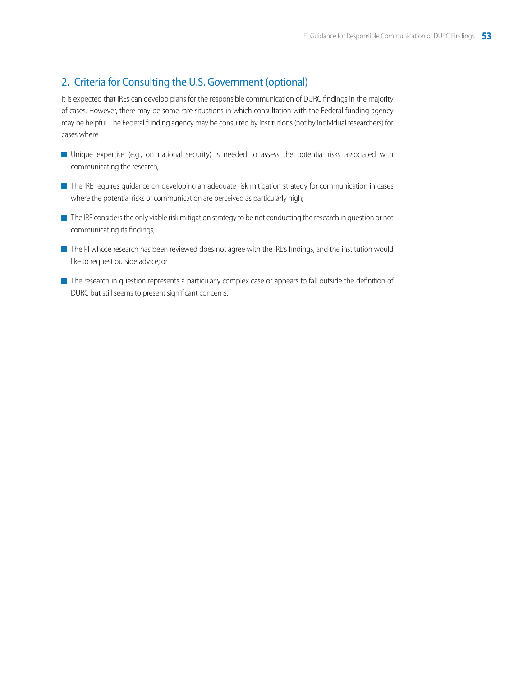# 2**.** Criteria for Consulting the U .S . Government (optional)

It is expected that IREs can develop plans for the responsible communication of DURC findings in the majority of cases. However, there may be some rare situations in which consultation with the Federal funding agency may be helpful. The Federal funding agency may be consulted by institutions (not by individual researchers) for cases where:

- Unique expertise (e.g., on national security) is needed to assess the potential risks associated with communicating the research;
- The IRE requires guidance on developing an adequate risk mitigation strategy for communication in cases where the potential risks of communication are perceived as particularly high;
- The IRE considers the only viable risk mitigation strategy to be not conducting the research in question or not communicating its findings;
- The PI whose research has been reviewed does not agree with the IRE's findings, and the institution would like to request outside advice; or
- The research in question represents a particularly complex case or appears to fall outside the definition of DURC but still seems to present significant concerns.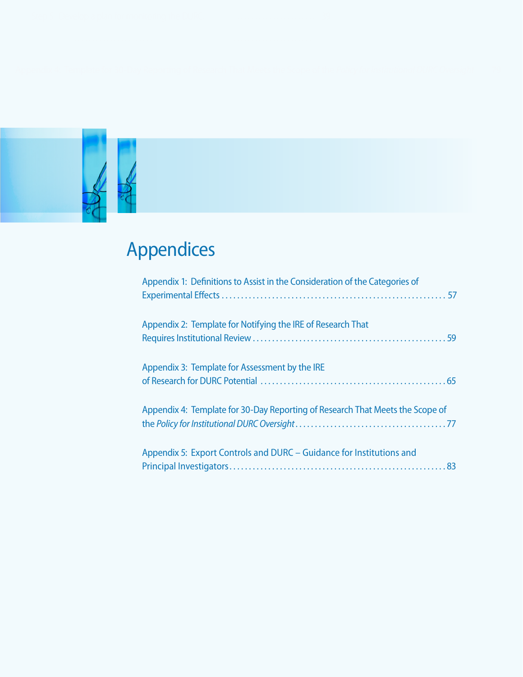

# Appendices

| Appendix 1: Definitions to Assist in the Consideration of the Categories of   |
|-------------------------------------------------------------------------------|
| Appendix 2: Template for Notifying the IRE of Research That                   |
| Appendix 3: Template for Assessment by the IRE                                |
| Appendix 4: Template for 30-Day Reporting of Research That Meets the Scope of |
| Appendix 5: Export Controls and DURC - Guidance for Institutions and          |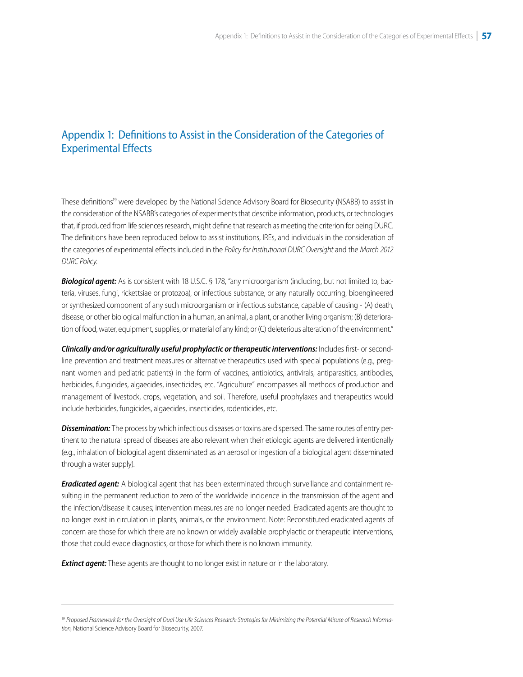# <span id="page-49-0"></span>Appendix 1: Definitions to Assist in the Consideration of the Categories of Experimental Effects

These definitions<sup>19</sup> were developed by the National Science Advisory Board for Biosecurity (NSABB) to assist in the consideration of the NSABB's categories of experiments that describe information, products, or technologies that, if produced from life sciences research, might define that research as meeting the criterion for being DURC. The definitions have been reproduced below to assist institutions, IREs, and individuals in the consideration of the categories of experimental effects included in the *Policy for Institutional DURC Oversight* and the *March 2012 DURC Policy*.

*Biological agent:* As is consistent with 18 U.S.C. § 178, "any microorganism (including, but not limited to, bacteria, viruses, fungi, rickettsiae or protozoa), or infectious substance, or any naturally occurring, bioengineered or synthesized component of any such microorganism or infectious substance, capable of causing - (A) death, disease, or other biological malfunction in a human, an animal, a plant, or another living organism; (B) deterioration of food, water, equipment, supplies, or material of any kind; or (C) deleterious alteration of the environment."

*Clinically and/or agriculturally useful prophylactic or therapeutic interventions:* Includes first- or secondline prevention and treatment measures or alternative therapeutics used with special populations (e.g., pregnant women and pediatric patients) in the form of vaccines, antibiotics, antivirals, antiparasitics, antibodies, herbicides, fungicides, algaecides, insecticides, etc. "Agriculture" encompasses all methods of production and management of livestock, crops, vegetation, and soil. Therefore, useful prophylaxes and therapeutics would include herbicides, fungicides, algaecides, insecticides, rodenticides, etc.

*Dissemination:* The process by which infectious diseases or toxins are dispersed. The same routes of entry pertinent to the natural spread of diseases are also relevant when their etiologic agents are delivered intentionally (e.g., inhalation of biological agent disseminated as an aerosol or ingestion of a biological agent disseminated through a water supply).

*Eradicated agent:* A biological agent that has been exterminated through surveillance and containment resulting in the permanent reduction to zero of the worldwide incidence in the transmission of the agent and the infection/disease it causes; intervention measures are no longer needed. Eradicated agents are thought to no longer exist in circulation in plants, animals, or the environment. Note: Reconstituted eradicated agents of concern are those for which there are no known or widely available prophylactic or therapeutic interventions, those that could evade diagnostics, or those for which there is no known immunity.

**Extinct agent:** These agents are thought to no longer exist in nature or in the laboratory.

<sup>&</sup>lt;sup>19</sup> Proposed Framework for the Oversight of Dual Use Life Sciences Research: Strategies for Minimizing the Potential Misuse of Research Informa*tion,* National Science Advisory Board for Biosecurity, 2007.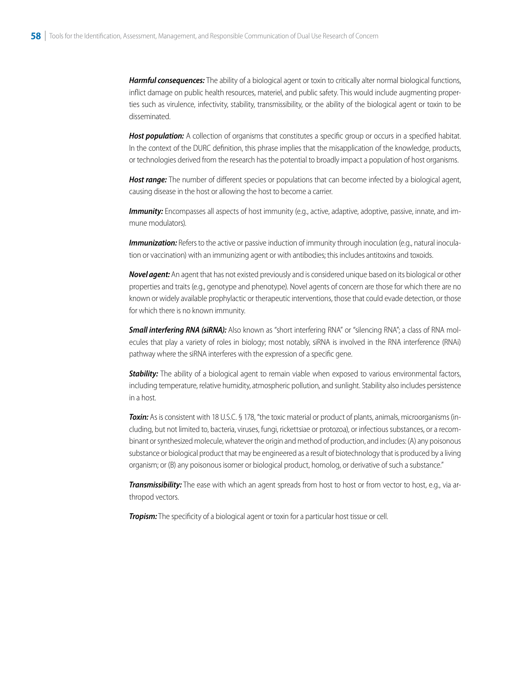*Harmful consequences:* The ability of a biological agent or toxin to critically alter normal biological functions, inflict damage on public health resources, materiel, and public safety. This would include augmenting properties such as virulence, infectivity, stability, transmissibility, or the ability of the biological agent or toxin to be disseminated.

Host population: A collection of organisms that constitutes a specific group or occurs in a specified habitat. In the context of the DURC definition, this phrase implies that the misapplication of the knowledge, products, or technologies derived from the research has the potential to broadly impact a population of host organisms.

*Host range:* The number of different species or populations that can become infected by a biological agent, causing disease in the host or allowing the host to become a carrier.

**Immunity:** Encompasses all aspects of host immunity (e.g., active, adaptive, adoptive, passive, innate, and immune modulators).

*Immunization:* Refers to the active or passive induction of immunity through inoculation (e.g., natural inoculation or vaccination) with an immunizing agent or with antibodies; this includes antitoxins and toxoids.

*Novel agent:* An agent that has not existed previously and is considered unique based on its biological or other properties and traits (e.g., genotype and phenotype). Novel agents of concern are those for which there are no known or widely available prophylactic or therapeutic interventions, those that could evade detection, or those for which there is no known immunity.

**Small interfering RNA (siRNA):** Also known as "short interfering RNA" or "silencing RNA"; a class of RNA molecules that play a variety of roles in biology; most notably, siRNA is involved in the RNA interference (RNAi) pathway where the siRNA interferes with the expression of a specific gene.

*Stability:* The ability of a biological agent to remain viable when exposed to various environmental factors, including temperature, relative humidity, atmospheric pollution, and sunlight. Stability also includes persistence in a host.

*Toxin:* As is consistent with 18 U.S.C. § 178, "the toxic material or product of plants, animals, microorganisms (including, but not limited to, bacteria, viruses, fungi, rickettsiae or protozoa), or infectious substances, or a recombinant or synthesized molecule, whatever the origin and method of production, and includes: (A) any poisonous substance or biological product that may be engineered as a result of biotechnology that is produced by a living organism; or (B) any poisonous isomer or biological product, homolog, or derivative of such a substance."

*Transmissibility:* The ease with which an agent spreads from host to host or from vector to host, e.g., via arthropod vectors.

**Tropism:** The specificity of a biological agent or toxin for a particular host tissue or cell.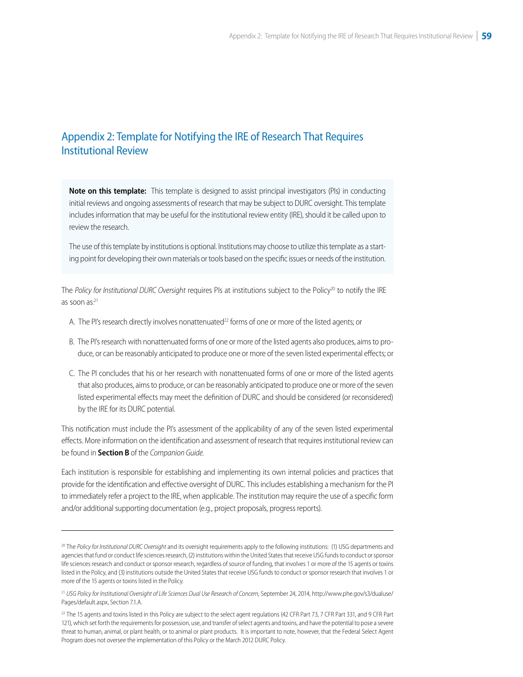# <span id="page-51-0"></span>Appendix 2: Template for Notifying the IRE of Research That Requires Institutional Review

**Note on this template:** This template is designed to assist principal investigators (PIs) in conducting initial reviews and ongoing assessments of research that may be subject to DURC oversight. This template includes information that may be useful for the institutional review entity (IRE), should it be called upon to review the research.

The use of this template by institutions is optional. Institutions may choose to utilize this template as a starting point for developing their own materials or tools based on the specific issues or needs of the institution.

The *Policy for Institutional DURC Oversight* requires PIs at institutions subject to the Policy<sup>20</sup> to notify the IRE as soon as:<sup>21</sup>

- A. The PI's research directly involves nonattenuated<sup>22</sup> forms of one or more of the listed agents; or
- B. The PI's research with nonattenuated forms of one or more of the listed agents also produces, aims to produce, or can be reasonably anticipated to produce one or more of the seven listed experimental effects; or
- C. The PI concludes that his or her research with nonattenuated forms of one or more of the listed agents that also produces, aims to produce, or can be reasonably anticipated to produce one or more of the seven listed experimental effects may meet the definition of DURC and should be considered (or reconsidered) by the IRE for its DURC potential.

This notification must include the PI's assessment of the applicability of any of the seven listed experimental effects. More information on the identification and assessment of research that requires institutional review can be found in **Section B** of the *Companion Guide.* 

Each institution is responsible for establishing and implementing its own internal policies and practices that provide for the identification and effective oversight of DURC. This includes establishing a mechanism for the PI to immediately refer a project to the IRE, when applicable. The institution may require the use of a specific form and/or additional supporting documentation (e.g., project proposals, progress reports).

<sup>20</sup> The *Policy for Institutional DURC Oversight* and its oversight requirements apply to the following institutions: (1) USG departments and agencies that fund or conduct life sciences research, (2) institutions within the United States that receive USG funds to conduct or sponsor life sciences research and conduct or sponsor research, regardless of source of funding, that involves 1 or more of the 15 agents or toxins listed in the Policy, and (3) institutions outside the United States that receive USG funds to conduct or sponsor research that involves 1 or more of the 15 agents or toxins listed in the Policy.

<sup>21</sup>*USG Policy for Institutional Oversight of Life Sciences Dual Use Research of Concern*, September 24, 2014, [http://www.phe.gov/s3/dualuse/](http://www.phe.gov/s3/dualuse/Pages/default.aspx) [Pages/default.aspx,](http://www.phe.gov/s3/dualuse/Pages/default.aspx) Section 7.1.A.

<sup>&</sup>lt;sup>22</sup> The 15 agents and toxins listed in this Policy are subject to the select agent regulations (42 CFR Part 73, 7 CFR Part 331, and 9 CFR Part 121), which set forth the requirements for possession, use, and transfer of select agents and toxins, and have the potential to pose a severe threat to human, animal, or plant health, or to animal or plant products. It is important to note, however, that the Federal Select Agent Program does not oversee the implementation of this Policy or the March 2012 DURC Policy.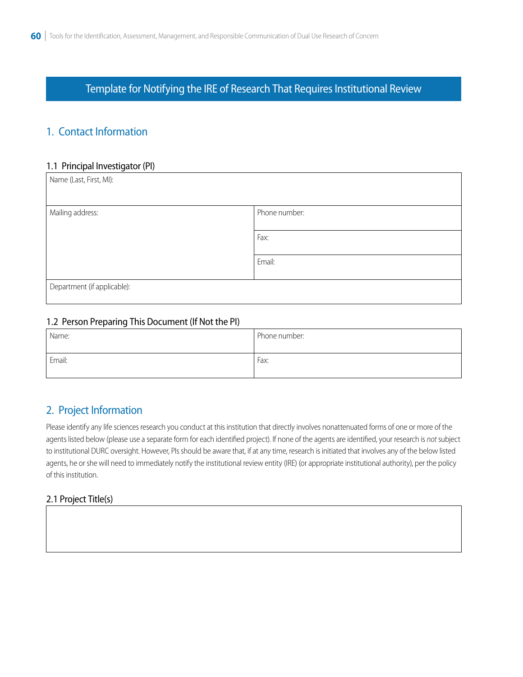Template for Notifying the IRE of Research That Requires Institutional Review

# 1. Contact Information

#### 1.1 Principal Investigator (PI)

| Phone number: |
|---------------|
|               |
| Fax:          |
|               |
| Email:        |
|               |
|               |
|               |

#### 1.2 Person Preparing This Document (If Not the PI)

| Name:  | Phone number: |
|--------|---------------|
| Email: | Fax:          |

# 2. Project Information

Please identify any life sciences research you conduct at this institution that directly involves nonattenuated forms of one or more of the agents listed below (please use a separate form for each identified project). If none of the agents are identified, your research is *not* subject to institutional DURC oversight. However, PIs should be aware that, if at any time, research is initiated that involves any of the below listed agents, he or she will need to immediately notify the institutional review entity (IRE) (or appropriate institutional authority), per the policy of this institution.

#### 2.1 Project Title(s)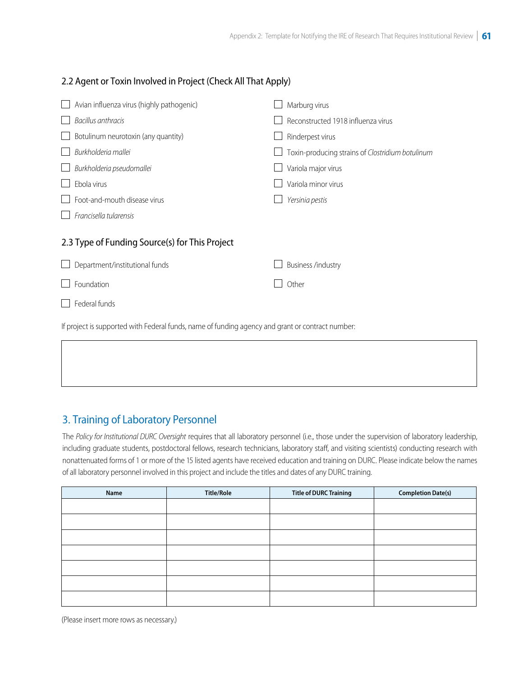#### 2.2 Agent or Toxin Involved in Project (Check All That Apply)

| Avian influenza virus (highly pathogenic)                                                        | Marburg virus                                    |  |  |
|--------------------------------------------------------------------------------------------------|--------------------------------------------------|--|--|
| Bacillus anthracis                                                                               | Reconstructed 1918 influenza virus               |  |  |
| Botulinum neurotoxin (any quantity)                                                              | Rinderpest virus                                 |  |  |
| Burkholderia mallei                                                                              | Toxin-producing strains of Clostridium botulinum |  |  |
| Burkholderia pseudomallei                                                                        | Variola major virus                              |  |  |
| Ebola virus                                                                                      | Variola minor virus                              |  |  |
| Foot-and-mouth disease virus                                                                     | Yersinia pestis                                  |  |  |
| Francisella tularensis                                                                           |                                                  |  |  |
| 2.3 Type of Funding Source(s) for This Project                                                   |                                                  |  |  |
| Department/institutional funds                                                                   | Business /industry                               |  |  |
| Foundation                                                                                       | Other                                            |  |  |
| Federal funds                                                                                    |                                                  |  |  |
| If project is supported with Federal funds, name of funding agency and grant or contract number: |                                                  |  |  |

# 3. Training of Laboratory Personnel

The *Policy for Institutional DURC Oversight* requires that all laboratory personnel (i.e., those under the supervision of laboratory leadership, including graduate students, postdoctoral fellows, research technicians, laboratory staff, and visiting scientists) conducting research with nonattenuated forms of 1 or more of the 15 listed agents have received education and training on DURC. Please indicate below the names of all laboratory personnel involved in this project and include the titles and dates of any DURC training.

| Name | <b>Title/Role</b> | <b>Title of DURC Training</b> | <b>Completion Date(s)</b> |
|------|-------------------|-------------------------------|---------------------------|
|      |                   |                               |                           |
|      |                   |                               |                           |
|      |                   |                               |                           |
|      |                   |                               |                           |
|      |                   |                               |                           |
|      |                   |                               |                           |
|      |                   |                               |                           |

(Please insert more rows as necessary.)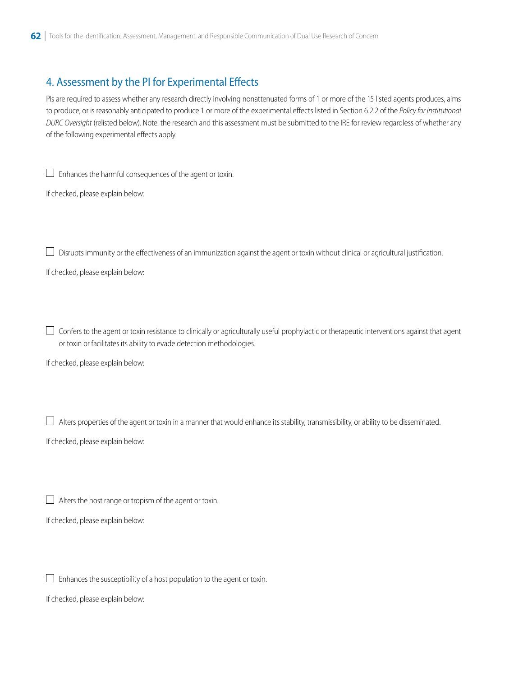# 4. Assessment by the PI for Experimental Effects

PIs are required to assess whether any research directly involving nonattenuated forms of 1 or more of the 15 listed agents produces, aims to produce, or is reasonably anticipated to produce 1 or more of the experimental effects listed in Section 6.2.2 of the *Policy for Institutional DURC Oversight* (relisted below). Note: the research and this assessment must be submitted to the IRE for review regardless of whether any of the following experimental effects apply.

Enhances the harmful consequences of the agent or toxin.

If checked, please explain below:

 $\Box$  Disrupts immunity or the effectiveness of an immunization against the agent or toxin without clinical or agricultural justification.

If checked, please explain below:

 $\overline{\phantom{a}}$  $\Box$  Confers to the agent or toxin resistance to clinically or agriculturally useful prophylactic or therapeutic interventions against that agent or toxin or facilitates its ability to evade detection methodologies.

If checked, please explain below:

Alters properties of the agent or toxin in a manner that would enhance its stability, transmissibility, or ability to be disseminated.

If checked, please explain below:

Alters the host range or tropism of the agent or toxin.

If checked, please explain below:

Enhances the susceptibility of a host population to the agent or toxin.

If checked, please explain below: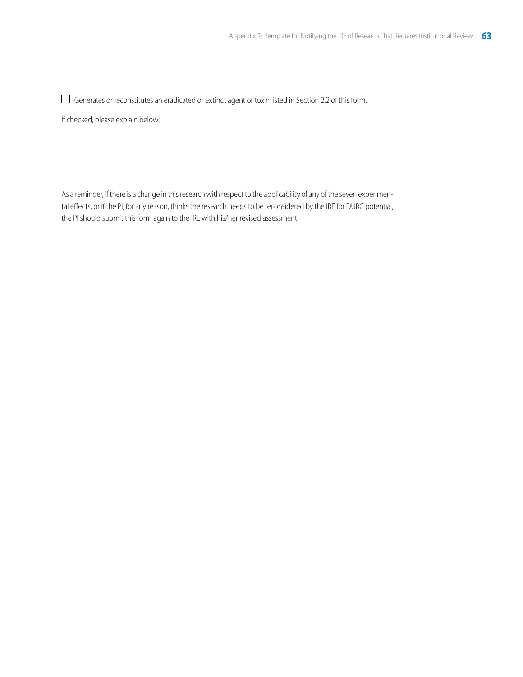Generates or reconstitutes an eradicated or extinct agent or toxin listed in Section 2.2 of this form.

If checked, please explain below:

As a reminder, if there is a change in this research with respect to the applicability of any of the seven experimental effects, or if the PI, for any reason, thinks the research needs to be reconsidered by the IRE for DURC potential, the PI should submit this form again to the IRE with his/her revised assessment.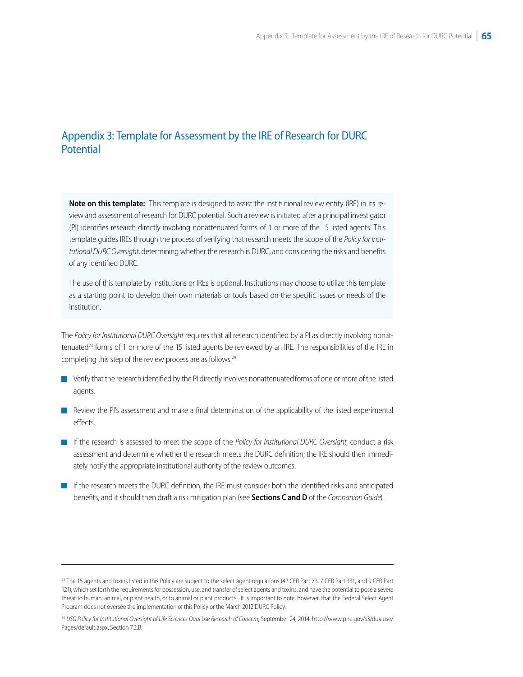## <span id="page-56-0"></span>Appendix 3: Template for Assessment by the IRE of Research for DURC **Potential**

**Note on this template:** This template is designed to assist the institutional review entity (IRE) in its review and assessment of research for DURC potential. Such a review is initiated after a principal investigator (PI) identifies research directly involving nonattenuated forms of 1 or more of the 15 listed agents. This template guides IREs through the process of verifying that research meets the scope of the *Policy for Institutional DURC Oversight*, determining whether the research is DURC, and considering the risks and benefits of any identified DURC.

The use of this template by institutions or IREs is optional. Institutions may choose to utilize this template as a starting point to develop their own materials or tools based on the specific issues or needs of the institution.

The *Policy for Institutional DURC Oversight* requires that all research identified by a PI as directly involving nonattenuated<sup>23</sup> forms of 1 or more of the 15 listed agents be reviewed by an IRE. The responsibilities of the IRE in completing this step of the review process are as follows:<sup>24</sup>

- $\blacksquare$  Verify that the research identified by the PI directly involves nonattenuated forms of one or more of the listed agents.
- **Review the PI's assessment and make a final determination of the applicability of the listed experimental** effects.
- If the research is assessed to meet the scope of the *Policy for Institutional DURC Oversight*, conduct a risk assessment and determine whether the research meets the DURC definition; the IRE should then immediately notify the appropriate institutional authority of the review outcomes.
- If the research meets the DURC definition, the IRE must consider both the identified risks and anticipated benefits, and it should then draft a risk mitigation plan (see **Sections C and D** of the *Companion Guide*).

<sup>&</sup>lt;sup>23</sup> The 15 agents and toxins listed in this Policy are subject to the select agent regulations (42 CFR Part 73, 7 CFR Part 331, and 9 CFR Part 121), which set forth the requirements for possession, use, and transfer of select agents and toxins, and have the potential to pose a severe threat to human, animal, or plant health, or to animal or plant products. It is important to note, however, that the Federal Select Agent Program does not oversee the implementation of this Policy or the March 2012 DURC Policy.

<sup>24</sup>*USG Policy for Institutional Oversight of Life Sciences Dual Use Research of Concern*, September 24, 2014, [http://www.phe.gov/s3/dualuse/](http://www.phe.gov/s3/dualuse/Pages/default.aspx) [Pages/default.aspx,](http://www.phe.gov/s3/dualuse/Pages/default.aspx) Section 7.2.B.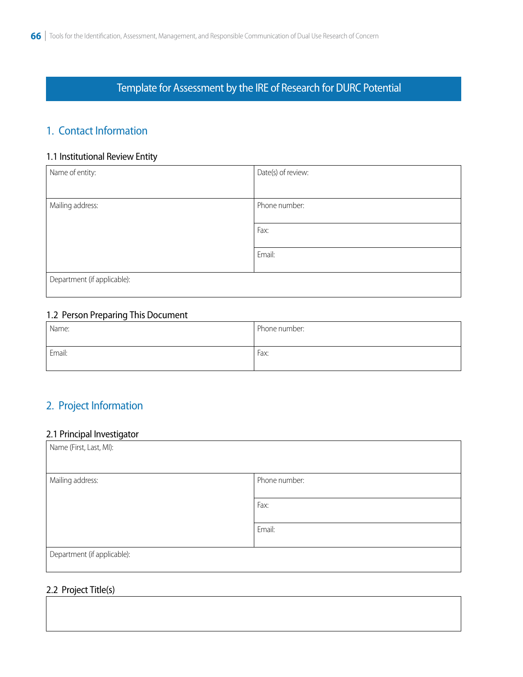# Template for Assessment by the IRE of Research for DURC Potential

# 1. Contact Information

#### 1.1 Institutional Review Entity

| Name of entity:             | Date(s) of review: |
|-----------------------------|--------------------|
|                             |                    |
| Mailing address:            | Phone number:      |
|                             | Fax:               |
|                             | Email:             |
| Department (if applicable): |                    |

#### 1.2 Person Preparing This Document

| Name:  | Phone number: |
|--------|---------------|
| Email: | Fax:          |

# 2. Project Information

#### 2.1 Principal Investigator

| Name (First, Last, MI):     |               |
|-----------------------------|---------------|
| Mailing address:            | Phone number: |
|                             | Fax:          |
|                             | Email:        |
| Department (if applicable): |               |

#### 2.2 Project Title(s)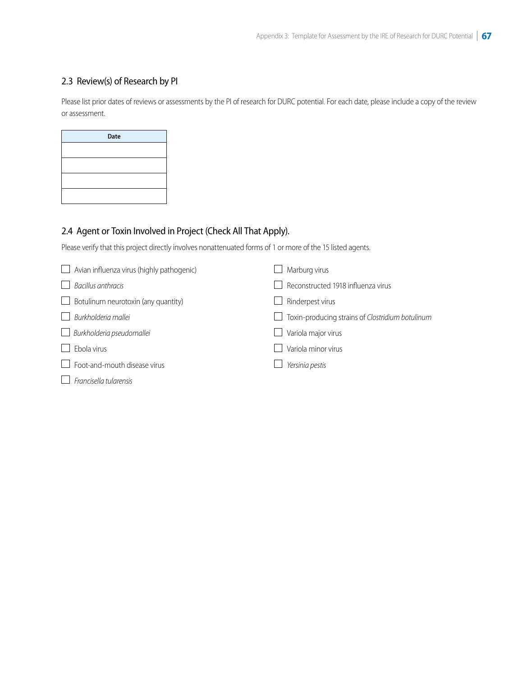## 2.3 Review(s) of Research by PI

Please list prior dates of reviews or assessments by the PI of research for DURC potential. For each date, please include a copy of the review or assessment.

| <b>Date</b> |  |
|-------------|--|
|             |  |
|             |  |
|             |  |
|             |  |
|             |  |

## 2.4 Agent or Toxin Involved in Project (Check All That Apply).

Please verify that this project directly involves nonattenuated forms of 1 or more of the 15 listed agents.

| Avian influenza virus (highly pathogenic)<br>$\mathbf{1}$ | Marburg virus                                                    |
|-----------------------------------------------------------|------------------------------------------------------------------|
| Bacillus anthracis                                        | Reconstructed 1918 influenza virus                               |
| Botulinum neurotoxin (any quantity)<br>$\Box$             | Rinderpest virus                                                 |
| Burkholderia mallei                                       | Toxin-producing strains of Clostridium botulinum<br>$\mathbf{I}$ |
| Burkholderia pseudomallei<br>$\mathbf{I}$                 | Variola major virus                                              |
| Ebola virus                                               | Variola minor virus                                              |
| Foot-and-mouth disease virus                              | Yersinia pestis                                                  |
| Francisella tularensis                                    |                                                                  |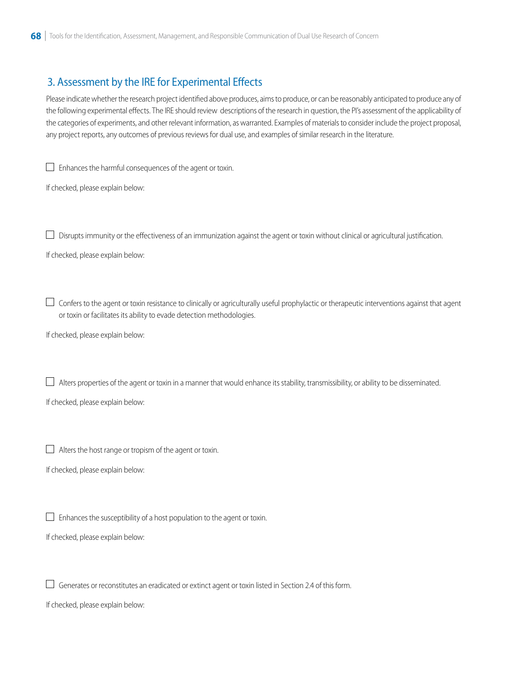# 3. Assessment by the IRE for Experimental Effects

Please indicate whether the research project identified above produces, aims to produce, or can be reasonably anticipated to produce any of the following experimental effects. The IRE should review descriptions of the research in question, the PI's assessment of the applicability of the categories of experiments, and other relevant information, as warranted. Examples of materials to consider include the project proposal, any project reports, any outcomes of previous reviews for dual use, and examples of similar research in the literature.

 $\Box$  Enhances the harmful consequences of the agent or toxin.

If checked, please explain below:

 $\Box$  Disrupts immunity or the effectiveness of an immunization against the agent or toxin without clinical or agricultural justification.

If checked, please explain below:

 $\Box$  Confers to the agent or toxin resistance to clinically or agriculturally useful prophylactic or therapeutic interventions against that agent or toxin or facilitates its ability to evade detection methodologies.

If checked, please explain below:

 $\Box$  Alters properties of the agent or toxin in a manner that would enhance its stability, transmissibility, or ability to be disseminated.

If checked, please explain below:

 $\Box$  Alters the host range or tropism of the agent or toxin.

If checked, please explain below:

 $\Box$  Enhances the susceptibility of a host population to the agent or toxin.

If checked, please explain below:

 $\Box$  Generates or reconstitutes an eradicated or extinct agent or toxin listed in Section 2.4 of this form.

If checked, please explain below: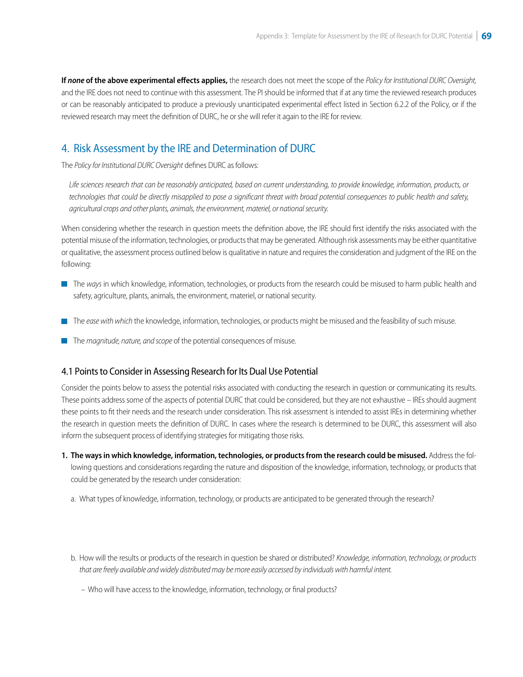**If** *none* **of the above experimental effects applies,** the research does not meet the scope of the *Policy for Institutional DURC Oversight,*  and the IRE does not need to continue with this assessment. The PI should be informed that if at any time the reviewed research produces or can be reasonably anticipated to produce a previously unanticipated experimental effect listed in Section 6.2.2 of the Policy, or if the reviewed research may meet the definition of DURC, he or she will refer it again to the IRE for review.

## 4. Risk Assessment by the IRE and Determination of DURC

The *Policy for Institutional DURC Oversight* defines DURC as follows:

*Life sciences research that can be reasonably anticipated, based on current understanding, to provide knowledge, information, products, or technologies that could be directly misapplied to pose a significant threat with broad potential consequences to public health and safety, agricultural crops and other plants, animals, the environment, materiel, or national security.* 

When considering whether the research in question meets the definition above, the IRE should first identify the risks associated with the potential misuse of the information, technologies, or products that may be generated. Although risk assessments may be either quantitative or qualitative, the assessment process outlined below is qualitative in nature and requires the consideration and judgment of the IRE on the following:

- **The ways in which knowledge, information, technologies, or products from the research could be misused to harm public health and** safety, agriculture, plants, animals, the environment, materiel, or national security.
- The *ease with which* the knowledge, information, technologies, or products might be misused and the feasibility of such misuse.
- The *magnitude, nature, and scope* of the potential consequences of misuse.

#### 4.1 Points to Consider in Assessing Research for Its Dual Use Potential

Consider the points below to assess the potential risks associated with conducting the research in question or communicating its results. These points address some of the aspects of potential DURC that could be considered, but they are not exhaustive – IREs should augment these points to fit their needs and the research under consideration. This risk assessment is intended to assist IREs in determining whether the research in question meets the definition of DURC. In cases where the research is determined to be DURC, this assessment will also inform the subsequent process of identifying strategies for mitigating those risks.

- **1. The ways in which knowledge, information, technologies, or products from the research could be misused.** Address the following questions and considerations regarding the nature and disposition of the knowledge, information, technology, or products that could be generated by the research under consideration:
	- a. What types of knowledge, information, technology, or products are anticipated to be generated through the research?
	- b. How will the results or products of the research in question be shared or distributed? *Knowledge, information, technology, or products that are freely available and widely distributed may be more easily accessed by individuals with harmful intent.*

– Who will have access to the knowledge, information, technology, or final products?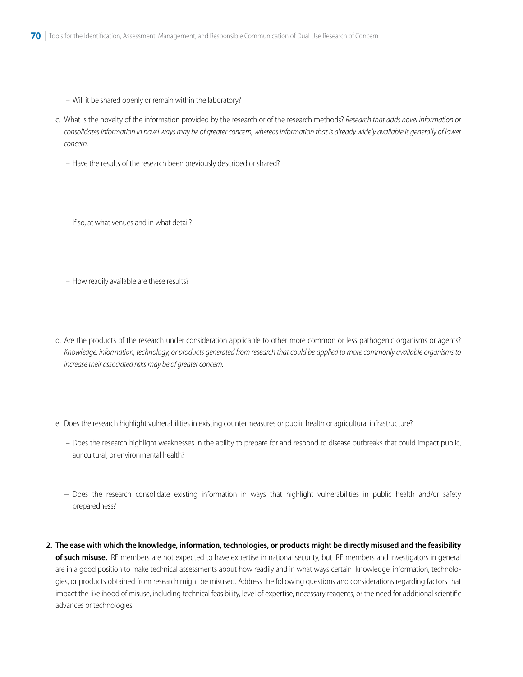- Will it be shared openly or remain within the laboratory?
- c. What is the novelty of the information provided by the research or of the research methods? *Research that adds novel information or consolidates information in novel ways may be of greater concern, whereas information that is already widely available is generally of lower concern.*
	- Have the results of the research been previously described or shared?
	- If so, at what venues and in what detail?
	- How readily available are these results?
- d. Are the products of the research under consideration applicable to other more common or less pathogenic organisms or agents? *Knowledge, information, technology, or products generated from research that could be applied to more commonly available organisms to increase their associated risks may be of greater concern.*
- e. Does the research highlight vulnerabilities in existing countermeasures or public health or agricultural infrastructure?
	- Does the research highlight weaknesses in the ability to prepare for and respond to disease outbreaks that could impact public, agricultural, or environmental health?
	- − Does the research consolidate existing information in ways that highlight vulnerabilities in public health and/or safety preparedness?
- **2. The ease with which the knowledge, information, technologies, or products might be directly misused and the feasibility of such misuse.** IRE members are not expected to have expertise in national security, but IRE members and investigators in general are in a good position to make technical assessments about how readily and in what ways certain knowledge, information, technologies, or products obtained from research might be misused. Address the following questions and considerations regarding factors that impact the likelihood of misuse, including technical feasibility, level of expertise, necessary reagents, or the need for additional scientific advances or technologies.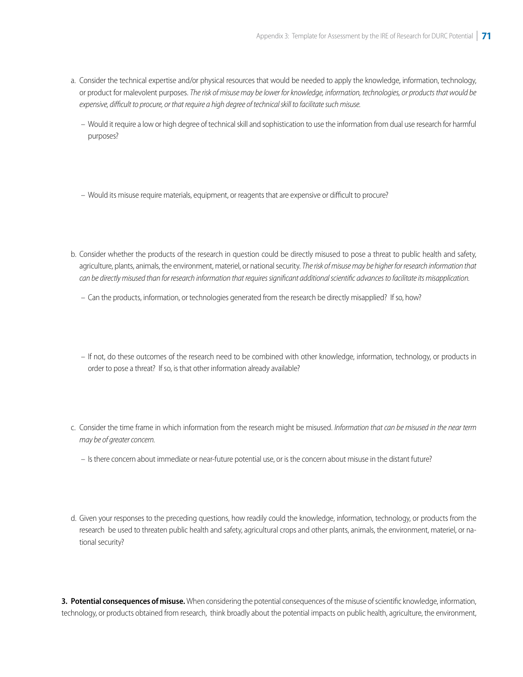- a. Consider the technical expertise and/or physical resources that would be needed to apply the knowledge, information, technology, or product for malevolent purposes. *The risk of misuse may be lower for knowledge, information, technologies, or products that would be expensive, difficult to procure, or that require a high degree of technical skill to facilitate such misuse.* 
	- Would it require a low or high degree of technical skill and sophistication to use the information from dual use research for harmful purposes?
	- Would its misuse require materials, equipment, or reagents that are expensive or difficult to procure?
- b. Consider whether the products of the research in question could be directly misused to pose a threat to public health and safety, agriculture, plants, animals, the environment, materiel, or national security. *The risk of misuse may be higher for research information that can be directly misused than for research information that requires significant additional scientific advances to facilitate its misapplication.*
	- Can the products, information, or technologies generated from the research be directly misapplied? If so, how?
	- If not, do these outcomes of the research need to be combined with other knowledge, information, technology, or products in order to pose a threat? If so, is that other information already available?
- c. Consider the time frame in which information from the research might be misused. *Information that can be misused in the near term may be of greater concern.*
	- Is there concern about immediate or near-future potential use, or is the concern about misuse in the distant future?
- d. Given your responses to the preceding questions, how readily could the knowledge, information, technology, or products from the research be used to threaten public health and safety, agricultural crops and other plants, animals, the environment, materiel, or national security?

**3. Potential consequences of misuse.** When considering the potential consequences of the misuse of scientific knowledge, information, technology, or products obtained from research, think broadly about the potential impacts on public health, agriculture, the environment,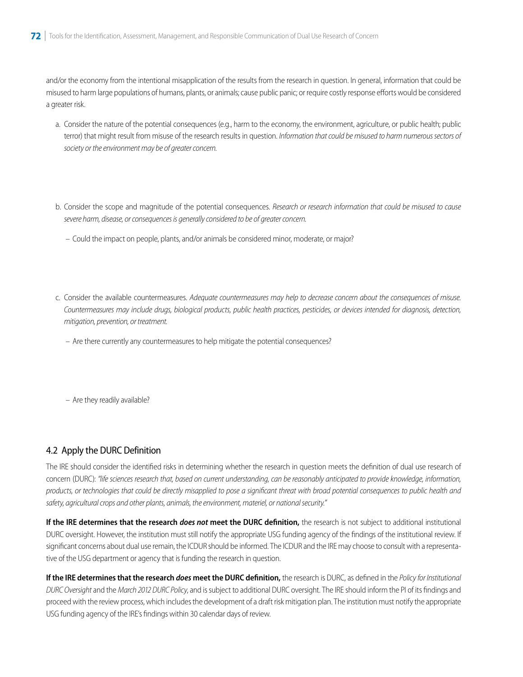and/or the economy from the intentional misapplication of the results from the research in question. In general, information that could be misused to harm large populations of humans, plants, or animals; cause public panic; or require costly response efforts would be considered a greater risk.

- a. Consider the nature of the potential consequences (e.g., harm to the economy, the environment, agriculture, or public health; public terror) that might result from misuse of the research results in question. *Information that could be misused to harm numerous sectors of society or the environment may be of greater concern.*
- b. Consider the scope and magnitude of the potential consequences. *Research or research information that could be misused to cause severe harm, disease, or consequences is generally considered to be of greater concern.*
	- Could the impact on people, plants, and/or animals be considered minor, moderate, or major?
- c. Consider the available countermeasures. *Adequate countermeasures may help to decrease concern about the consequences of misuse. Countermeasures may include drugs, biological products, public health practices, pesticides, or devices intended for diagnosis, detection, mitigation, prevention, or treatment.*
	- Are there currently any countermeasures to help mitigate the potential consequences?
	- Are they readily available?

#### 4.2 Apply the DURC Definition

The IRE should consider the identified risks in determining whether the research in question meets the definition of dual use research of concern (DURC): *"life sciences research that, based on current understanding, can be reasonably anticipated to provide knowledge, information, products, or technologies that could be directly misapplied to pose a significant threat with broad potential consequences to public health and safety, agricultural crops and other plants, animals, the environment, materiel, or national security."* 

**If the IRE determines that the research** *does not* **meet the DURC definition,** the research is not subject to additional institutional DURC oversight. However, the institution must still notify the appropriate USG funding agency of the findings of the institutional review. If significant concerns about dual use remain, the ICDUR should be informed. The ICDUR and the IRE may choose to consult with a representative of the USG department or agency that is funding the research in question.

**If the IRE determines that the research** *does* **meet the DURC definition,** the research is DURC, as defined in the *Policy for Institutional DURC Oversight* and the *March 2012 DURC Policy*, and is subject to additional DURC oversight. The IRE should inform the PI of its findings and proceed with the review process, which includes the development of a draft risk mitigation plan. The institution must notify the appropriate USG funding agency of the IRE's findings within 30 calendar days of review.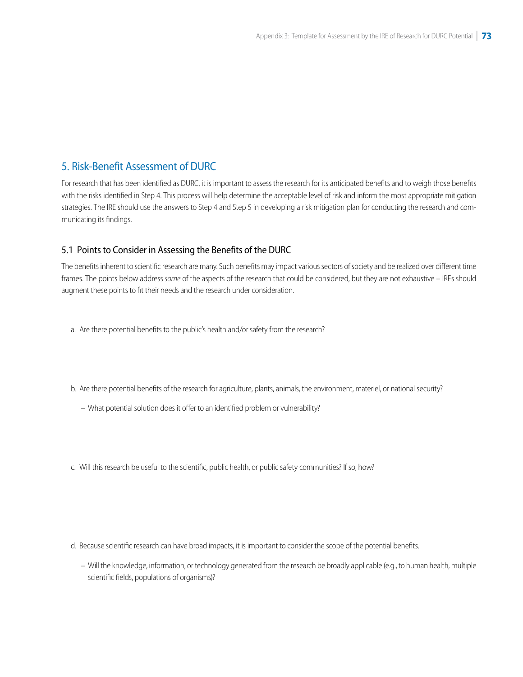### 5. Risk-Benefit Assessment of DURC

For research that has been identified as DURC, it is important to assess the research for its anticipated benefits and to weigh those benefits with the risks identified in Step 4. This process will help determine the acceptable level of risk and inform the most appropriate mitigation strategies. The IRE should use the answers to Step 4 and Step 5 in developing a risk mitigation plan for conducting the research and communicating its findings.

#### 5.1 Points to Consider in Assessing the Benefits of the DURC

The benefits inherent to scientific research are many. Such benefits may impact various sectors of society and be realized over different time frames. The points below address *some* of the aspects of the research that could be considered, but they are not exhaustive – IREs should augment these points to fit their needs and the research under consideration.

- a. Are there potential benefits to the public's health and/or safety from the research?
- b. Are there potential benefits of the research for agriculture, plants, animals, the environment, materiel, or national security?
	- What potential solution does it offer to an identified problem or vulnerability?
- c. Will this research be useful to the scientific, public health, or public safety communities? If so, how?

- d. Because scientific research can have broad impacts, it is important to consider the scope of the potential benefits.
	- Will the knowledge, information, or technology generated from the research be broadly applicable (e.g., to human health, multiple scientific fields, populations of organisms)?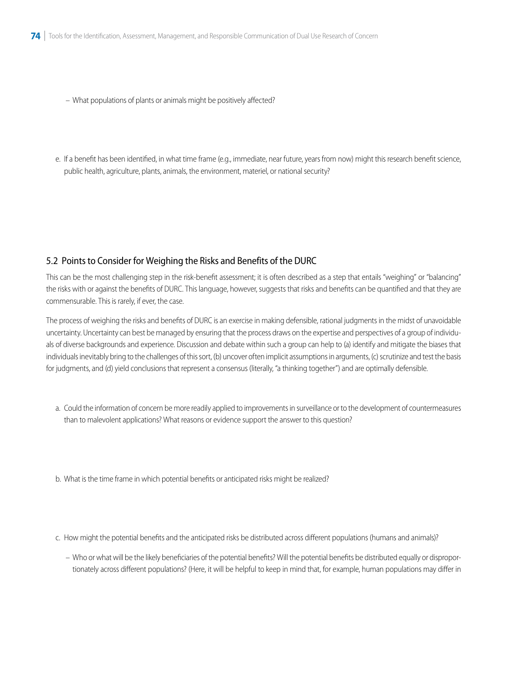- What populations of plants or animals might be positively affected?
- e. If a benefit has been identified, in what time frame (e.g., immediate, near future, years from now) might this research benefit science, public health, agriculture, plants, animals, the environment, materiel, or national security?

#### 5.2 Points to Consider for Weighing the Risks and Benefits of the DURC

This can be the most challenging step in the risk-benefit assessment; it is often described as a step that entails "weighing" or "balancing" the risks with or against the benefits of DURC. This language, however, suggests that risks and benefits can be quantified and that they are commensurable. This is rarely, if ever, the case.

The process of weighing the risks and benefits of DURC is an exercise in making defensible, rational judgments in the midst of unavoidable uncertainty. Uncertainty can best be managed by ensuring that the process draws on the expertise and perspectives of a group of individuals of diverse backgrounds and experience. Discussion and debate within such a group can help to (a) identify and mitigate the biases that individuals inevitably bring to the challenges of this sort, (b) uncover often implicit assumptions in arguments, (c) scrutinize and test the basis for judgments, and (d) yield conclusions that represent a consensus (literally, "a thinking together") and are optimally defensible.

- a. Could the information of concern be more readily applied to improvements in surveillance or to the development of countermeasures than to malevolent applications? What reasons or evidence support the answer to this question?
- b. What is the time frame in which potential benefits or anticipated risks might be realized?

c. How might the potential benefits and the anticipated risks be distributed across different populations (humans and animals)?

– Who or what will be the likely beneficiaries of the potential benefits? Will the potential benefits be distributed equally or disproportionately across different populations? (Here, it will be helpful to keep in mind that, for example, human populations may differ in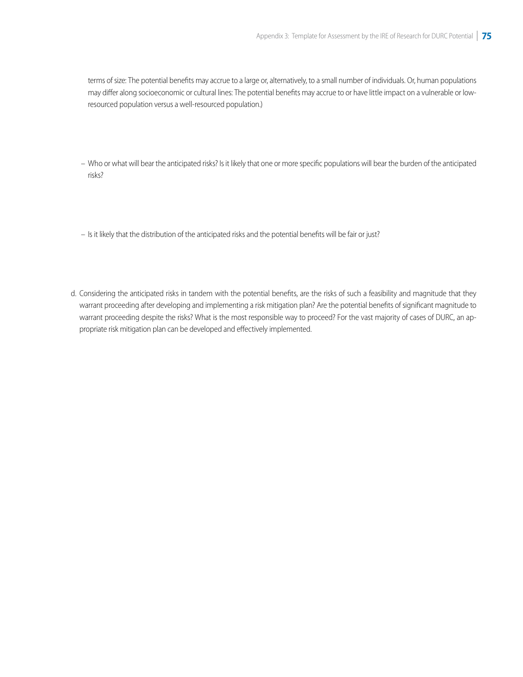terms of size: The potential benefits may accrue to a large or, alternatively, to a small number of individuals. Or, human populations may differ along socioeconomic or cultural lines: The potential benefits may accrue to or have little impact on a vulnerable or lowresourced population versus a well-resourced population.)

- Who or what will bear the anticipated risks? Is it likely that one or more specific populations will bear the burden of the anticipated risks?
- Is it likely that the distribution of the anticipated risks and the potential benefits will be fair or just?
- d. Considering the anticipated risks in tandem with the potential benefits, are the risks of such a feasibility and magnitude that they warrant proceeding after developing and implementing a risk mitigation plan? Are the potential benefits of significant magnitude to warrant proceeding despite the risks? What is the most responsible way to proceed? For the vast majority of cases of DURC, an appropriate risk mitigation plan can be developed and effectively implemented.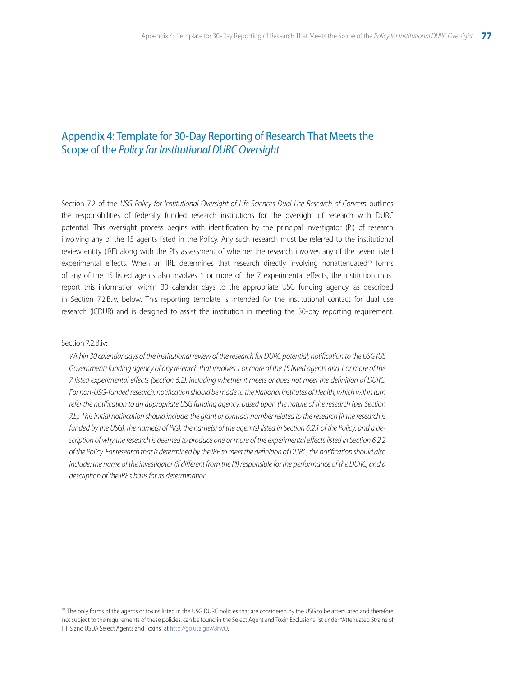## <span id="page-67-0"></span>Appendix 4: Template for 30-Day Reporting of Research That Meets the Scope of the *Policy for Institutional DURC Oversight*

Section 7.2 of the *USG Policy for Institutional Oversight of Life Sciences Dual Use Research of Concern* outlines the responsibilities of federally funded research institutions for the oversight of research with DURC potential. This oversight process begins with identification by the principal investigator (PI) of research involving any of the 15 agents listed in the Policy. Any such research must be referred to the institutional review entity (IRE) along with the PI's assessment of whether the research involves any of the seven listed experimental effects. When an IRE determines that research directly involving nonattenuated<sup>25</sup> forms of any of the 15 listed agents also involves 1 or more of the 7 experimental effects, the institution must report this information within 30 calendar days to the appropriate USG funding agency, as described in Section 7.2.B.iv, below. This reporting template is intended for the institutional contact for dual use research (ICDUR) and is designed to assist the institution in meeting the 30-day reporting requirement.

#### Section 7.2.B.iv:

*Within 30 calendar days of the institutional review of the research for DURC potential, notification to the USG (US Government) funding agency of any research that involves 1 or more of the 15 listed agents and 1 or more of the 7 listed experimental effects (Section 6.2), including whether it meets or does not meet the definition of DURC. For non-USG-funded research, notification should be made to the National Institutes of Health, which will in turn refer the notification to an appropriate USG funding agency, based upon the nature of the research (per Section 7.E). This initial notification should include: the grant or contract number related to the research (if the research is funded by the USG); the name(s) of PI(s); the name(s) of the agent(s) listed in Section 6.2.1 of the Policy; and a description of why the research is deemed to produce one or more of the experimental effects listed in Section 6.2.2 of the Policy. For research that is determined by the IRE to meet the definition of DURC, the notification should also include: the name of the investigator (if different from the PI) responsible for the performance of the DURC, and a description of the IRE's basis for its determination.* 

<sup>&</sup>lt;sup>25</sup> The only forms of the agents or toxins listed in the USG DURC policies that are considered by the USG to be attenuated and therefore not subject to the requirements of these policies, can be found in the Select Agent and Toxin Exclusions list under "Attenuated Strains of HHS and USDA Select Agents and Toxins" at [http://go.usa.gov/8rwQ.](http://www.selectagents.gov/Select%20Agents%20and%20Toxins%20Exclusions.html)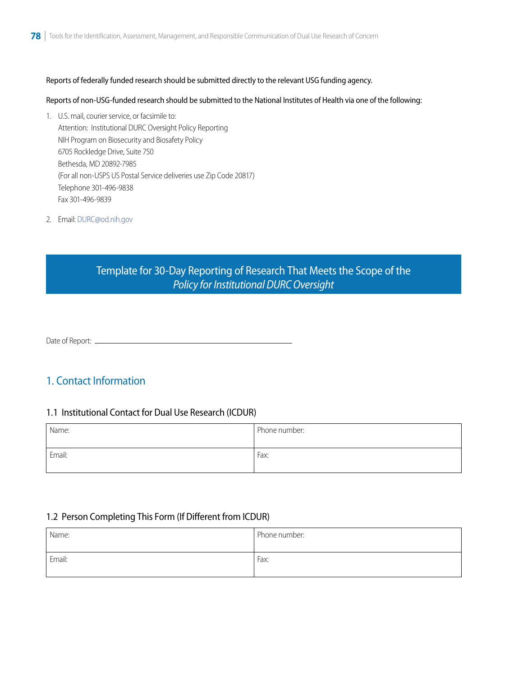#### Reports of federally funded research should be submitted directly to the relevant USG funding agency .

#### Reports of non-USG-funded research should be submitted to the National Institutes of Health via one of the following:

 $\overline{\phantom{a}}$ 1. U.S. mail, courier service, or facsimile to: Attention: Institutional DURC Oversight Policy Reporting NIH Program on Biosecurity and Biosafety Policy 6705 Rockledge Drive, Suite 750 Bethesda, MD 20892-7985 (For all non-USPS US Postal Service deliveries use Zip Code 20817) Telephone 301-496-9838 Fax 301-496-9839

2. Email: [DURC@od.nih.gov](mailto:DURC@od.nih.gov) 

# Template for 30-Day Reporting of Research That Meets the Scope of the *Policy for Institutional DURC Oversight*

Date of Report: \_\_

## 1. Contact Information

#### 1.1 Institutional Contact for Dual Use Research (ICDUR)

| Name:  | Phone number: |
|--------|---------------|
| Email: | Fax:          |

#### 1.2 Person Completing This Form (If Different from ICDUR)

| Name:  | Phone number: |
|--------|---------------|
| Email: | Fax:          |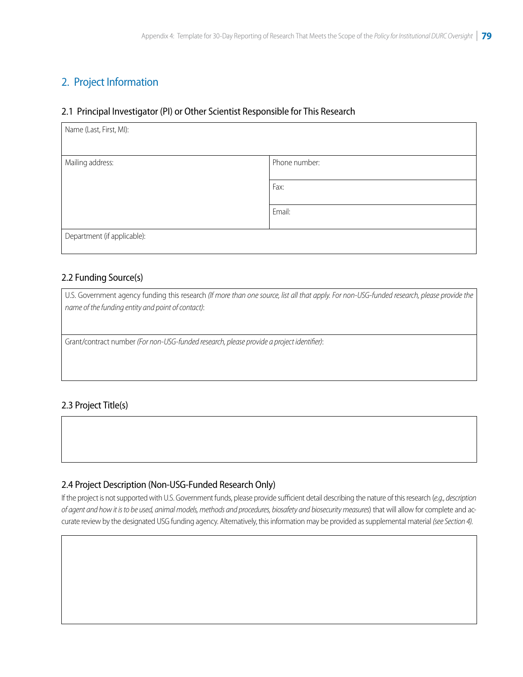# 2. Project Information

#### 2.1 Principal Investigator (PI) or Other Scientist Responsible for This Research

| Name (Last, First, MI):     |               |
|-----------------------------|---------------|
|                             |               |
| Mailing address:            | Phone number: |
|                             | Fax:          |
|                             | Email:        |
| Department (if applicable): |               |

#### 2.2 Funding Source(s)

U.S. Government agency funding this research *(If more than one source, list all that apply. For non-USG-funded research, please provide the name of the funding entity and point of contact)*:

Grant/contract number *(For non-USG-funded research, please provide a project identifier)*:

#### 2.3 Project Title(s)

#### 2.4 Project Description (Non-USG-Funded Research Only)

If the project is not supported with U.S. Government funds, please provide sufficient detail describing the nature of this research (*e.g., description of agent and how it is to be used, animal models, methods and procedures, biosafety and biosecurity measures*) that will allow for complete and accurate review by the designated USG funding agency. Alternatively, this information may be provided as supplemental material *(see Section 4)*.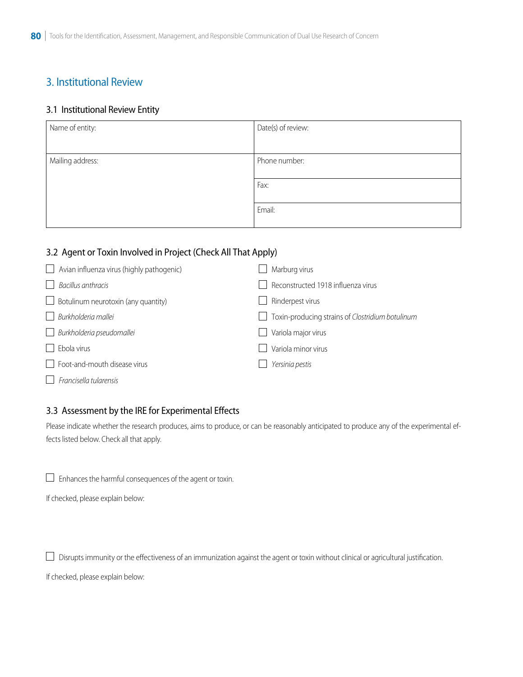# 3. Institutional Review

#### 3.1 Institutional Review Entity

| Name of entity:  | Date(s) of review:    |
|------------------|-----------------------|
| Mailing address: | Phone number:<br>Fax: |
|                  |                       |
|                  | Email:                |

#### 3.2 Agent or Toxin Involved in Project (Check All That Apply)

| Avian influenza virus (highly pathogenic)<br>$\mathbf{1}$ | Marburg virus                                    |
|-----------------------------------------------------------|--------------------------------------------------|
| Bacillus anthracis                                        | Reconstructed 1918 influenza virus               |
| $\Box$ Botulinum neurotoxin (any quantity)                | Rinderpest virus                                 |
| Burkholderia mallei                                       | Toxin-producing strains of Clostridium botulinum |
| Burkholderia pseudomallei                                 | Variola major virus                              |
| Ebola virus                                               | Variola minor virus                              |
| $\Box$ Foot-and-mouth disease virus                       | Yersinia pestis                                  |
| Francisella tularensis                                    |                                                  |

#### 3.3 Assessment by the IRE for Experimental Effects

Please indicate whether the research produces, aims to produce, or can be reasonably anticipated to produce any of the experimental effects listed below. Check all that apply.

 $\overline{\phantom{a}}$  $\Box$  Enhances the harmful consequences of the agent or toxin.

If checked, please explain below:

 $\overline{\phantom{a}}$  $\Box$  Disrupts immunity or the effectiveness of an immunization against the agent or toxin without clinical or agricultural justification.

If checked, please explain below: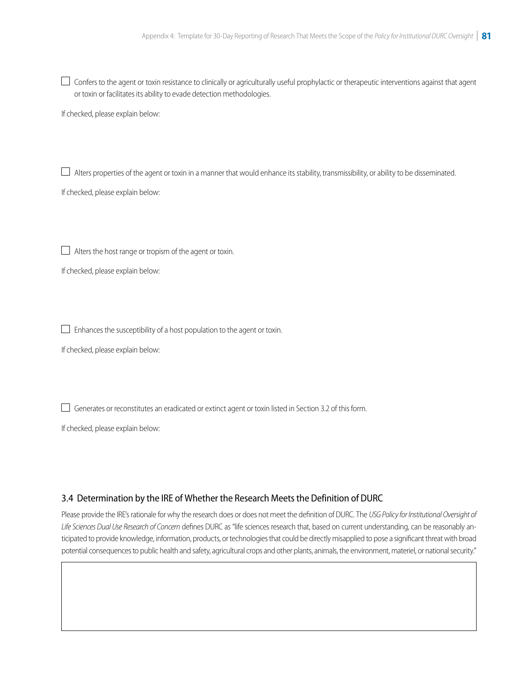$\overline{\phantom{a}}$  $\Box$  Confers to the agent or toxin resistance to clinically or agriculturally useful prophylactic or therapeutic interventions against that agent or toxin or facilitates its ability to evade detection methodologies.

If checked, please explain below:

 $\overline{\phantom{a}}$ Alters properties of the agent or toxin in a manner that would enhance its stability, transmissibility, or ability to be disseminated.

If checked, please explain below:

 $\overline{\phantom{a}}$  $\Box$  Alters the host range or tropism of the agent or toxin.

If checked, please explain below:

 $\overline{\phantom{a}}$  $\Box$  Enhances the susceptibility of a host population to the agent or toxin.

If checked, please explain below:

 $\overline{\phantom{a}}$  $\Box$  Generates or reconstitutes an eradicated or extinct agent or toxin listed in Section 3.2 of this form.

If checked, please explain below:

I

#### 3.4 Determination by the IRE of Whether the Research Meets the Definition of DURC

Please provide the IRE's rationale for why the research does or does not meet the definition of DURC. The *USG Policy for Institutional Oversight of Life Sciences Dual Use Research of Concern* defines DURC as "life sciences research that, based on current understanding, can be reasonably anticipated to provide knowledge, information, products, or technologies that could be directly misapplied to pose a significant threat with broad potential consequences to public health and safety, agricultural crops and other plants, animals, the environment, materiel, or national security."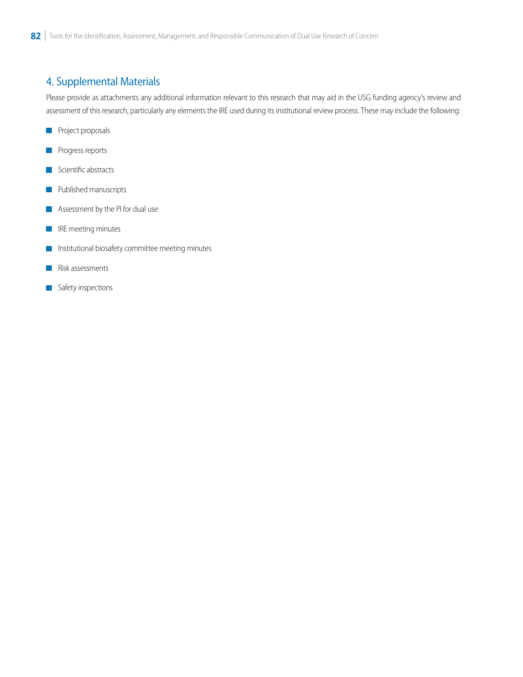# 4. Supplemental Materials

Please provide as attachments any additional information relevant to this research that may aid in the USG funding agency's review and assessment of this research, particularly any elements the IRE used during its institutional review process. These may include the following:

- **Project proposals**
- Progress reports П
- Scientific abstracts П
- Published manuscripts L.
- Assessment by the PI for dual use
- IRE meeting minutes  $\sim$
- Institutional biosafety committee meeting minutes l a
- Risk assessments
- Safety inspections F.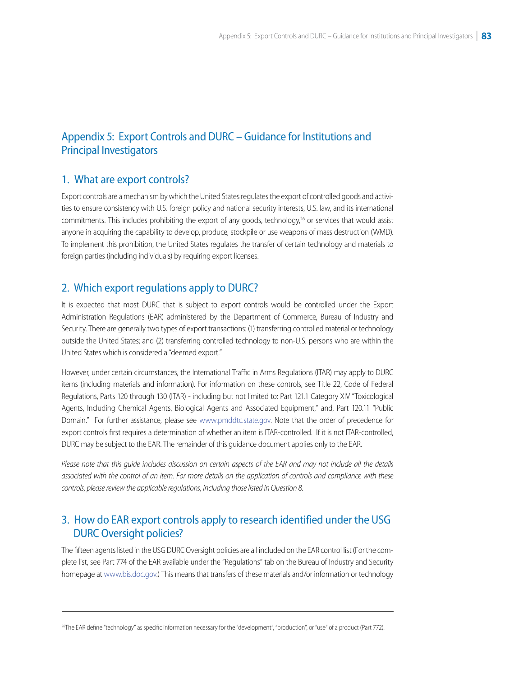# Appendix 5: Export Controls and DURC – Guidance for Institutions and Principal Investigators

#### 1. What are export controls?

Export controls are a mechanism by which the United States regulates the export of controlled goods and activities to ensure consistency with U.S. foreign policy and national security interests, U.S. law, and its international commitments. This includes prohibiting the export of any goods, technology, $26$  or services that would assist anyone in acquiring the capability to develop, produce, stockpile or use weapons of mass destruction (WMD). To implement this prohibition, the United States regulates the transfer of certain technology and materials to foreign parties (including individuals) by requiring export licenses.

#### 2. Which export regulations apply to DURC?

It is expected that most DURC that is subject to export controls would be controlled under the Export Administration Regulations (EAR) administered by the Department of Commerce, Bureau of Industry and Security. There are generally two types of export transactions: (1) transferring controlled material or technology outside the United States; and (2) transferring controlled technology to non-U.S. persons who are within the United States which is considered a "deemed export."

However, under certain circumstances, the International Traffic in Arms Regulations (ITAR) may apply to DURC items (including materials and information). For information on these controls, see Title 22, Code of Federal Regulations, Parts 120 through 130 (ITAR) - including but not limited to: Part 121.1 Category XIV "Toxicological Agents, Including Chemical Agents, Biological Agents and Associated Equipment," and, Part 120.11 "Public Domain." For further assistance, please see [www.pmddtc.state.gov.](http://www.pmddtc.state.gov) Note that the order of precedence for export controls first requires a determination of whether an item is ITAR-controlled. If it is not ITAR-controlled, DURC may be subject to the EAR. The remainder of this guidance document applies only to the EAR.

*Please note that this guide includes discussion on certain aspects of the EAR and may not include all the details associated with the control of an item. For more details on the application of controls and compliance with these controls, please review the applicable regulations, including those listed in Question 8.* 

### 3. How do EAR export controls apply to research identified under the USG DURC Oversight policies?

The fifteen agents listed in the USG DURC Oversight policies are all included on the EAR control list (For the complete list, see Part 774 of the EAR available under the "Regulations" tab on the Bureau of Industry and Security homepage at [www.bis.doc.gov.](http://www.bis.doc.gov)) This means that transfers of these materials and/or information or technology

<sup>&</sup>lt;sup>26</sup>The EAR define "technology" as specific information necessary for the "development", "production", or "use" of a product (Part 772).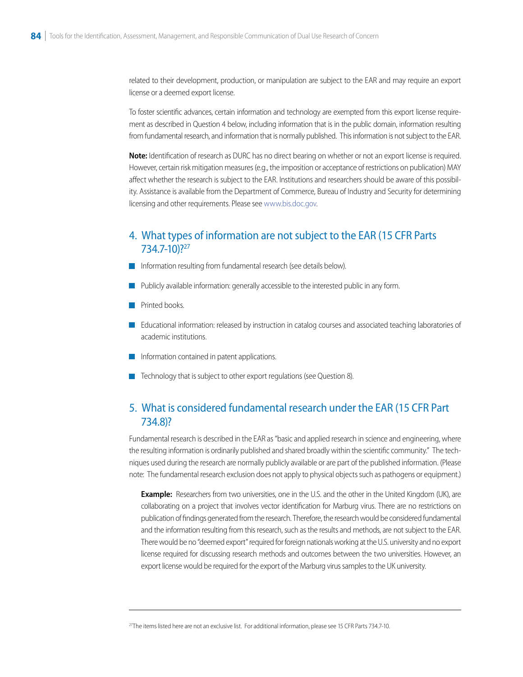related to their development, production, or manipulation are subject to the EAR and may require an export license or a deemed export license.<br>To foster scientific advances, certain information and technology are exempted from this export license require-

ment as described in Question 4 below, including information that is in the public domain, information resulting from fundamental research, and information that is normally published. This information is not subject to the EAR.

**Note:** Identification of research as DURC has no direct bearing on whether or not an export license is required. However, certain risk mitigation measures (e.g., the imposition or acceptance of restrictions on publication) MAY affect whether the research is subject to the EAR. Institutions and researchers should be aware of this possibility. Assistance is available from the Department of Commerce, Bureau of Industry and Security for determining licensing and other requirements. Please see [www.bis.doc.gov](http://www.bis.doc.gov).

#### 4. What types of information are not subject to the EAR (15 CFR Parts 734.7-10)?27

- Information resulting from fundamental research (see details below).
- Publicly available information: generally accessible to the interested public in any form.
- Printed books.
- Educational information: released by instruction in catalog courses and associated teaching laboratories of academic institutions.
- Information contained in patent applications.
- Technology that is subject to other export regulations (see Question 8).

### 5. What is considered fundamental research under the EAR (15 CFR Part 734.8)?

Fundamental research is described in the EAR as "basic and applied research in science and engineering, where the resulting information is ordinarily published and shared broadly within the scientific community." The techniques used during the research are normally publicly available or are part of the published information. (Please note: The fundamental research exclusion does not apply to physical objects such as pathogens or equipment.)

**Example:** Researchers from two universities, one in the U.S. and the other in the United Kingdom (UK), are collaborating on a project that involves vector identification for Marburg virus. There are no restrictions on publication of findings generated from the research. Therefore, the research would be considered fundamental and the information resulting from this research, such as the results and methods, are not subject to the EAR. There would be no "deemed export" required for foreign nationals working at the U.S. university and no export license required for discussing research methods and outcomes between the two universities. However, an export license would be required for the export of the Marburg virus samples to the UK university.

<sup>&</sup>lt;sup>27</sup>The items listed here are not an exclusive list. For additional information, please see 15 CFR Parts 734.7-10.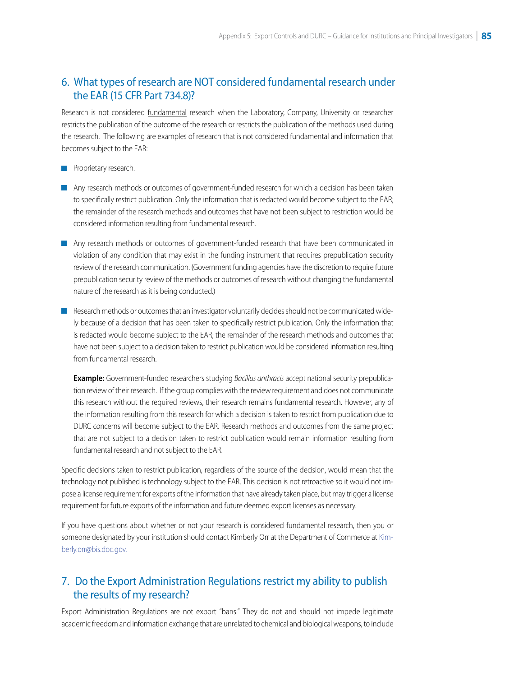## 6. What types of research are NOT considered fundamental research under the EAR (15 CFR Part 734.8)?

Research is not considered fundamental research when the Laboratory, Company, University or researcher restricts the publication of the outcome of the research or restricts the publication of the methods used during the research. The following are examples of research that is not considered fundamental and information that becomes subject to the EAR:

- **Proprietary research.**
- Any research methods or outcomes of government-funded research for which a decision has been taken to specifically restrict publication. Only the information that is redacted would become subject to the EAR; the remainder of the research methods and outcomes that have not been subject to restriction would be considered information resulting from fundamental research.
- Any research methods or outcomes of government-funded research that have been communicated in violation of any condition that may exist in the funding instrument that requires prepublication security review of the research communication. (Government funding agencies have the discretion to require future prepublication security review of the methods or outcomes of research without changing the fundamental nature of the research as it is being conducted.)
- Research methods or outcomes that an investigator voluntarily decides should not be communicated widely because of a decision that has been taken to specifically restrict publication. Only the information that is redacted would become subject to the EAR; the remainder of the research methods and outcomes that have not been subject to a decision taken to restrict publication would be considered information resulting from fundamental research.

**Example:** Government-funded researchers studying *Bacillus anthracis* accept national security prepublication review of their research. If the group complies with the review requirement and does not communicate this research without the required reviews, their research remains fundamental research. However, any of the information resulting from this research for which a decision is taken to restrict from publication due to DURC concerns will become subject to the EAR. Research methods and outcomes from the same project that are not subject to a decision taken to restrict publication would remain information resulting from fundamental research and not subject to the EAR.

Specific decisions taken to restrict publication, regardless of the source of the decision, would mean that the technology not published is technology subject to the EAR. This decision is not retroactive so it would not impose a license requirement for exports of the information that have already taken place, but may trigger a license requirement for future exports of the information and future deemed export licenses as necessary. If you have questions about whether or not your research is considered fundamental research, then you or

someone designated by your institution should contact Kimberly Orr at the Department of Commerce at [Kim](mailto:Kimberly.orr@bis.doc.gov)[berly.orr@bis.doc.gov.](mailto:Kimberly.orr@bis.doc.gov)

## 7. Do the Export Administration Regulations restrict my ability to publish the results of my research?

Export Administration Regulations are not export "bans." They do not and should not impede legitimate academic freedom and information exchange that are unrelated to chemical and biological weapons, to include